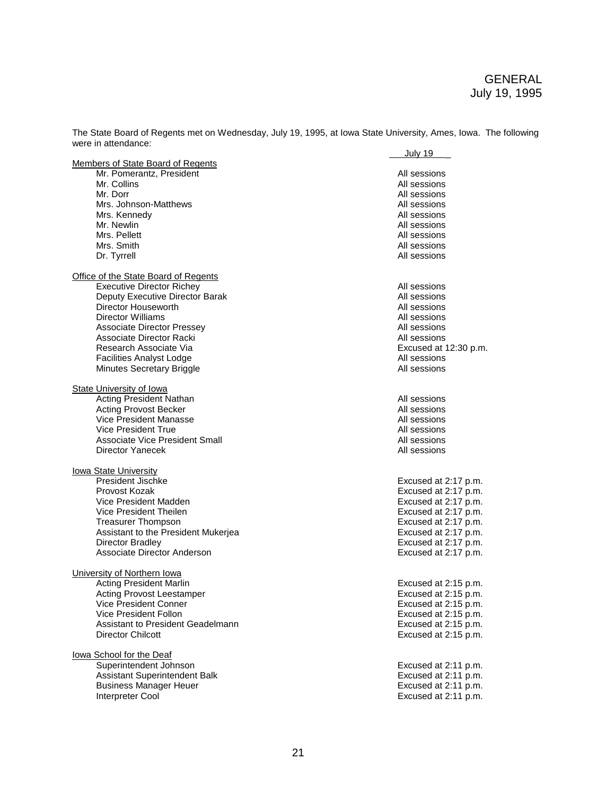The State Board of Regents met on Wednesday, July 19, 1995, at Iowa State University, Ames, Iowa. The following were in attendance: July 19 \_

|                                             | <u>July 19.</u>       |
|---------------------------------------------|-----------------------|
| Members of State Board of Regents           |                       |
| Mr. Pomerantz, President                    | All sessions          |
| Mr. Collins                                 | All sessions          |
| Mr. Dorr                                    | All sessions          |
| Mrs. Johnson-Matthews                       | All sessions          |
| Mrs. Kennedy                                | All sessions          |
| Mr. Newlin                                  | All sessions          |
| Mrs. Pellett                                | All sessions          |
| Mrs. Smith                                  | All sessions          |
| Dr. Tyrrell                                 | All sessions          |
| <b>Office of the State Board of Regents</b> |                       |
| <b>Executive Director Richey</b>            | All sessions          |
| Deputy Executive Director Barak             | All sessions          |
| Director Houseworth                         | All sessions          |
| <b>Director Williams</b>                    | All sessions          |
| <b>Associate Director Pressey</b>           | All sessions          |
| Associate Director Racki                    | All sessions          |
| Research Associate Via                      | Excused at 12:30 p.m. |
| <b>Facilities Analyst Lodge</b>             | All sessions          |
| Minutes Secretary Briggle                   | All sessions          |
| <b>State University of Iowa</b>             |                       |
| <b>Acting President Nathan</b>              | All sessions          |
| <b>Acting Provost Becker</b>                | All sessions          |
| Vice President Manasse                      | All sessions          |
| <b>Vice President True</b>                  | All sessions          |
| <b>Associate Vice President Small</b>       | All sessions          |
| <b>Director Yanecek</b>                     | All sessions          |
|                                             |                       |
| lowa State University                       |                       |
| President Jischke                           | Excused at 2:17 p.m.  |
| Provost Kozak                               | Excused at 2:17 p.m.  |
| Vice President Madden                       | Excused at 2:17 p.m.  |
| Vice President Theilen                      | Excused at 2:17 p.m.  |
| <b>Treasurer Thompson</b>                   | Excused at 2:17 p.m.  |
| Assistant to the President Mukerjea         | Excused at 2:17 p.m.  |
| Director Bradley                            | Excused at 2:17 p.m.  |
| Associate Director Anderson                 | Excused at 2:17 p.m.  |
| University of Northern Iowa                 |                       |
| <b>Acting President Marlin</b>              | Excused at 2:15 p.m.  |
| <b>Acting Provost Leestamper</b>            | Excused at 2:15 p.m.  |
| Vice President Conner                       | Excused at 2:15 p.m.  |
| Vice President Follon                       | Excused at 2:15 p.m.  |
| Assistant to President Geadelmann           | Excused at 2:15 p.m.  |
| <b>Director Chilcott</b>                    | Excused at 2:15 p.m.  |
|                                             |                       |
| lowa School for the Deaf                    |                       |
| Superintendent Johnson                      | Excused at 2:11 p.m.  |
| Assistant Superintendent Balk               | Excused at 2:11 p.m.  |
| <b>Business Manager Heuer</b>               | Excused at 2:11 p.m.  |
| Interpreter Cool                            | Excused at 2:11 p.m.  |
|                                             |                       |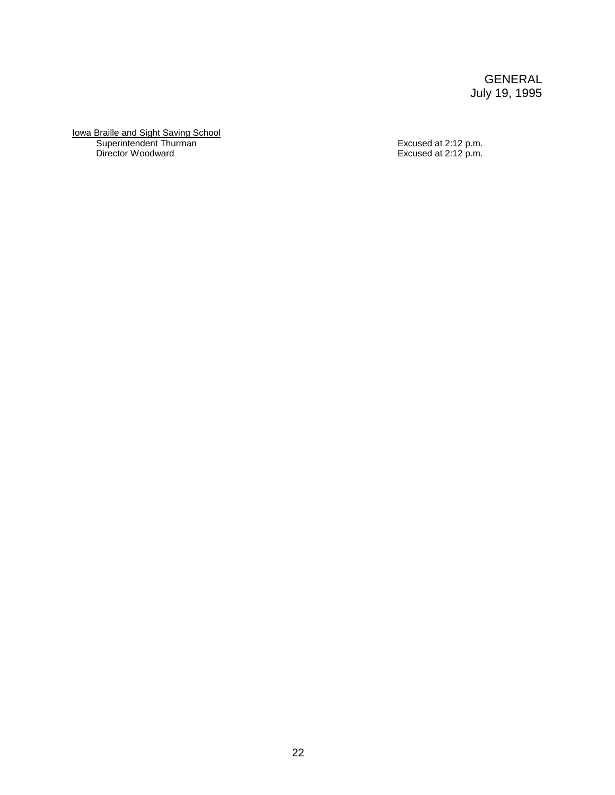Iowa Braille and Sight Saving School Superintendent Thurman **Excused at 2:12 p.m.** Director Woodward Excused at 2:12 p.m.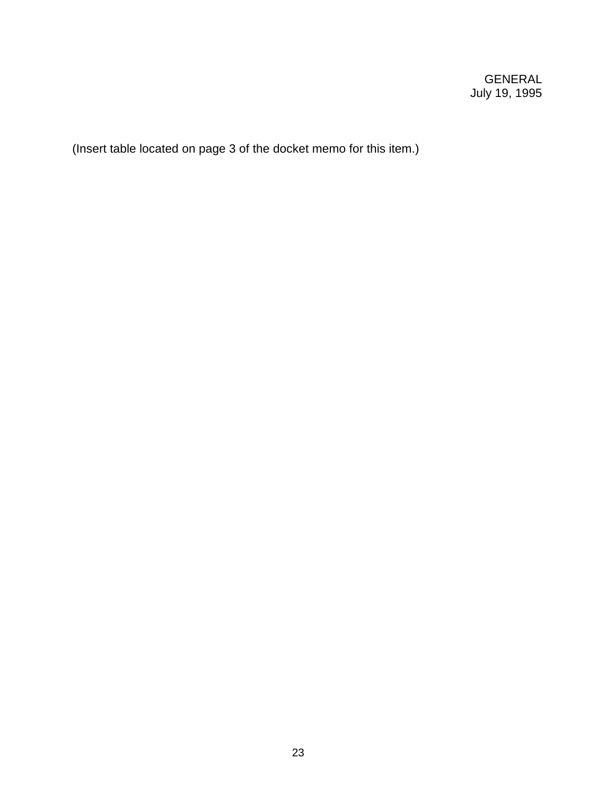(Insert table located on page 3 of the docket memo for this item.)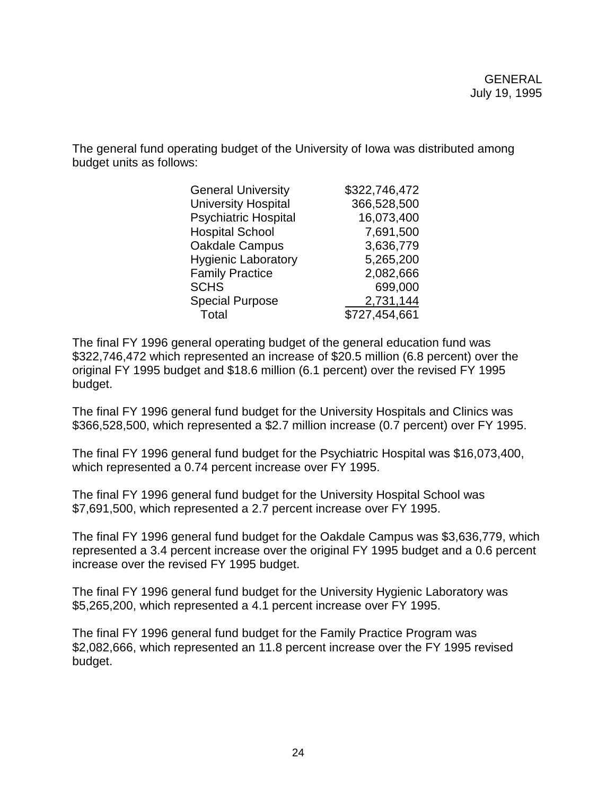The general fund operating budget of the University of Iowa was distributed among budget units as follows:

| <b>General University</b>   | \$322,746,472 |
|-----------------------------|---------------|
| <b>University Hospital</b>  | 366,528,500   |
| <b>Psychiatric Hospital</b> | 16,073,400    |
| <b>Hospital School</b>      | 7,691,500     |
| Oakdale Campus              | 3,636,779     |
| <b>Hygienic Laboratory</b>  | 5,265,200     |
| <b>Family Practice</b>      | 2,082,666     |
| <b>SCHS</b>                 | 699,000       |
| <b>Special Purpose</b>      | 2,731,144     |
| Total                       | \$727,454,661 |

The final FY 1996 general operating budget of the general education fund was \$322,746,472 which represented an increase of \$20.5 million (6.8 percent) over the original FY 1995 budget and \$18.6 million (6.1 percent) over the revised FY 1995 budget.

The final FY 1996 general fund budget for the University Hospitals and Clinics was \$366,528,500, which represented a \$2.7 million increase (0.7 percent) over FY 1995.

The final FY 1996 general fund budget for the Psychiatric Hospital was \$16,073,400, which represented a 0.74 percent increase over FY 1995.

The final FY 1996 general fund budget for the University Hospital School was \$7,691,500, which represented a 2.7 percent increase over FY 1995.

The final FY 1996 general fund budget for the Oakdale Campus was \$3,636,779, which represented a 3.4 percent increase over the original FY 1995 budget and a 0.6 percent increase over the revised FY 1995 budget.

The final FY 1996 general fund budget for the University Hygienic Laboratory was \$5,265,200, which represented a 4.1 percent increase over FY 1995.

The final FY 1996 general fund budget for the Family Practice Program was \$2,082,666, which represented an 11.8 percent increase over the FY 1995 revised budget.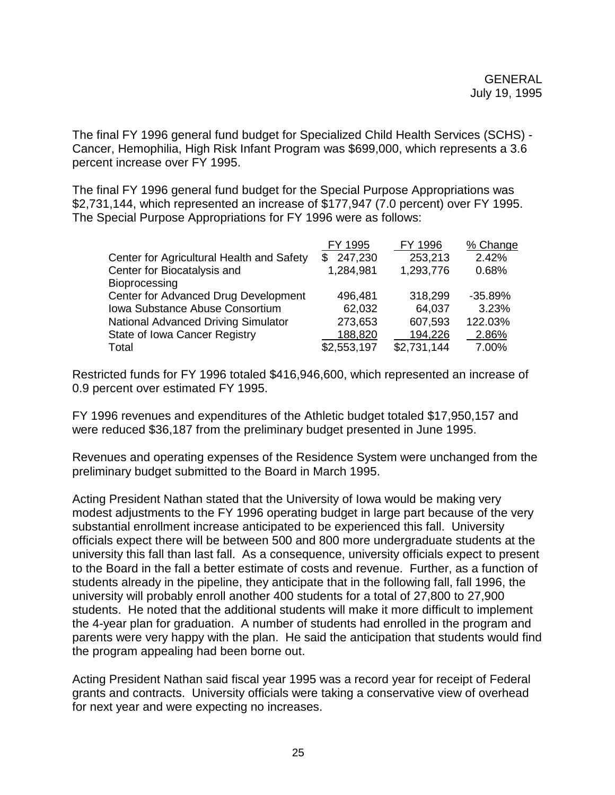The final FY 1996 general fund budget for Specialized Child Health Services (SCHS) - Cancer, Hemophilia, High Risk Infant Program was \$699,000, which represents a 3.6 percent increase over FY 1995.

The final FY 1996 general fund budget for the Special Purpose Appropriations was \$2,731,144, which represented an increase of \$177,947 (7.0 percent) over FY 1995. The Special Purpose Appropriations for FY 1996 were as follows:

| FY 1995     | FY 1996     | % Change  |
|-------------|-------------|-----------|
| \$247,230   | 253,213     | 2.42%     |
| 1,284,981   | 1,293,776   | 0.68%     |
|             |             |           |
| 496,481     | 318,299     | $-35.89%$ |
| 62,032      | 64,037      | 3.23%     |
| 273,653     | 607,593     | 122.03%   |
| 188,820     | 194,226     | 2.86%     |
| \$2,553,197 | \$2,731,144 | 7.00%     |
|             |             |           |

Restricted funds for FY 1996 totaled \$416,946,600, which represented an increase of 0.9 percent over estimated FY 1995.

FY 1996 revenues and expenditures of the Athletic budget totaled \$17,950,157 and were reduced \$36,187 from the preliminary budget presented in June 1995.

Revenues and operating expenses of the Residence System were unchanged from the preliminary budget submitted to the Board in March 1995.

Acting President Nathan stated that the University of Iowa would be making very modest adjustments to the FY 1996 operating budget in large part because of the very substantial enrollment increase anticipated to be experienced this fall. University officials expect there will be between 500 and 800 more undergraduate students at the university this fall than last fall. As a consequence, university officials expect to present to the Board in the fall a better estimate of costs and revenue. Further, as a function of students already in the pipeline, they anticipate that in the following fall, fall 1996, the university will probably enroll another 400 students for a total of 27,800 to 27,900 students. He noted that the additional students will make it more difficult to implement the 4-year plan for graduation. A number of students had enrolled in the program and parents were very happy with the plan. He said the anticipation that students would find the program appealing had been borne out.

Acting President Nathan said fiscal year 1995 was a record year for receipt of Federal grants and contracts. University officials were taking a conservative view of overhead for next year and were expecting no increases.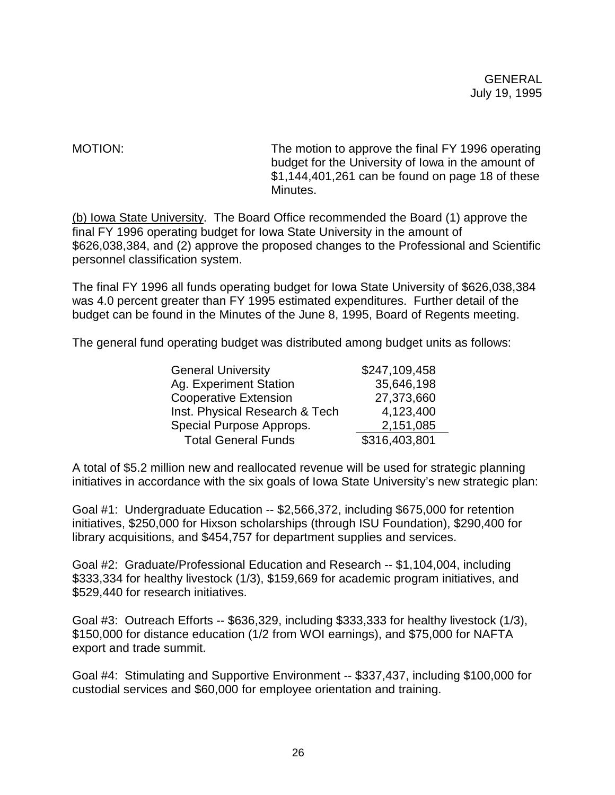MOTION: MOTION: The motion to approve the final FY 1996 operating budget for the University of Iowa in the amount of \$1,144,401,261 can be found on page 18 of these Minutes.

(b) Iowa State University. The Board Office recommended the Board (1) approve the final FY 1996 operating budget for Iowa State University in the amount of \$626,038,384, and (2) approve the proposed changes to the Professional and Scientific personnel classification system.

The final FY 1996 all funds operating budget for Iowa State University of \$626,038,384 was 4.0 percent greater than FY 1995 estimated expenditures. Further detail of the budget can be found in the Minutes of the June 8, 1995, Board of Regents meeting.

The general fund operating budget was distributed among budget units as follows:

| <b>General University</b>      | \$247,109,458 |
|--------------------------------|---------------|
| Ag. Experiment Station         | 35,646,198    |
| <b>Cooperative Extension</b>   | 27,373,660    |
| Inst. Physical Research & Tech | 4,123,400     |
| Special Purpose Approps.       | 2,151,085     |
| <b>Total General Funds</b>     | \$316,403,801 |

A total of \$5.2 million new and reallocated revenue will be used for strategic planning initiatives in accordance with the six goals of Iowa State University's new strategic plan:

Goal #1: Undergraduate Education -- \$2,566,372, including \$675,000 for retention initiatives, \$250,000 for Hixson scholarships (through ISU Foundation), \$290,400 for library acquisitions, and \$454,757 for department supplies and services.

Goal #2: Graduate/Professional Education and Research -- \$1,104,004, including \$333,334 for healthy livestock (1/3), \$159,669 for academic program initiatives, and \$529,440 for research initiatives.

Goal #3: Outreach Efforts -- \$636,329, including \$333,333 for healthy livestock (1/3), \$150,000 for distance education (1/2 from WOI earnings), and \$75,000 for NAFTA export and trade summit.

Goal #4: Stimulating and Supportive Environment -- \$337,437, including \$100,000 for custodial services and \$60,000 for employee orientation and training.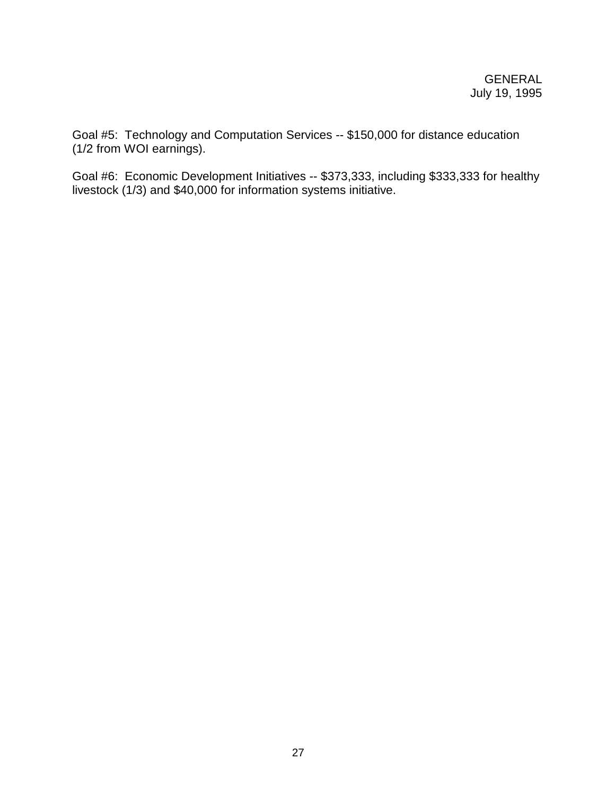Goal #5: Technology and Computation Services -- \$150,000 for distance education (1/2 from WOI earnings).

Goal #6: Economic Development Initiatives -- \$373,333, including \$333,333 for healthy livestock (1/3) and \$40,000 for information systems initiative.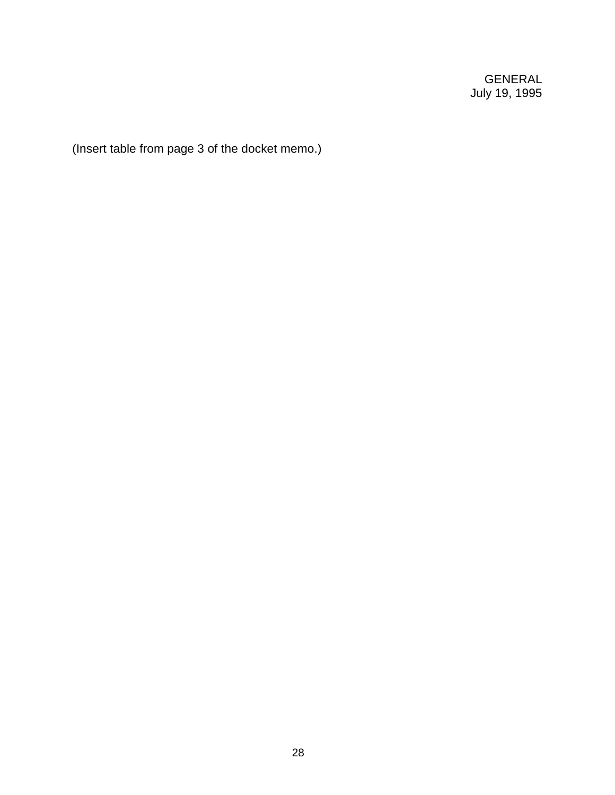(Insert table from page 3 of the docket memo.)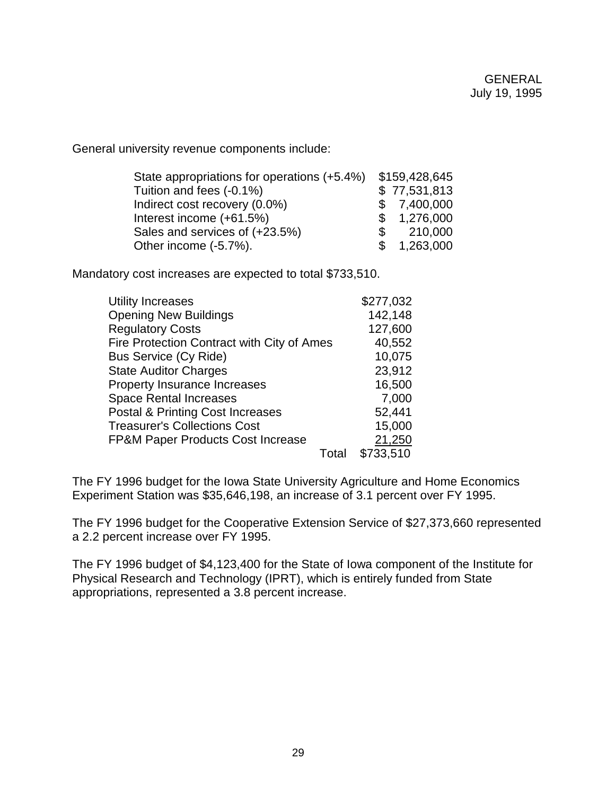General university revenue components include:

| State appropriations for operations (+5.4%) |    | \$159,428,645 |
|---------------------------------------------|----|---------------|
| Tuition and fees (-0.1%)                    |    | \$77,531,813  |
| Indirect cost recovery (0.0%)               |    | \$7,400,000   |
| Interest income (+61.5%)                    |    | \$1,276,000   |
| Sales and services of (+23.5%)              | S. | 210,000       |
| Other income (-5.7%).                       |    | \$1,263,000   |

Mandatory cost increases are expected to total \$733,510.

| Utility Increases                                 |       | \$277,032 |
|---------------------------------------------------|-------|-----------|
| <b>Opening New Buildings</b>                      |       | 142,148   |
| <b>Regulatory Costs</b>                           |       | 127,600   |
| <b>Fire Protection Contract with City of Ames</b> |       | 40,552    |
| <b>Bus Service (Cy Ride)</b>                      |       | 10,075    |
| <b>State Auditor Charges</b>                      |       | 23,912    |
| Property Insurance Increases                      |       | 16,500    |
| <b>Space Rental Increases</b>                     |       | 7,000     |
| <b>Postal &amp; Printing Cost Increases</b>       |       | 52,441    |
| <b>Treasurer's Collections Cost</b>               |       | 15,000    |
| <b>FP&amp;M Paper Products Cost Increase</b>      |       | 21,250    |
|                                                   | Total | \$733,510 |

The FY 1996 budget for the Iowa State University Agriculture and Home Economics Experiment Station was \$35,646,198, an increase of 3.1 percent over FY 1995.

The FY 1996 budget for the Cooperative Extension Service of \$27,373,660 represented a 2.2 percent increase over FY 1995.

The FY 1996 budget of \$4,123,400 for the State of Iowa component of the Institute for Physical Research and Technology (IPRT), which is entirely funded from State appropriations, represented a 3.8 percent increase.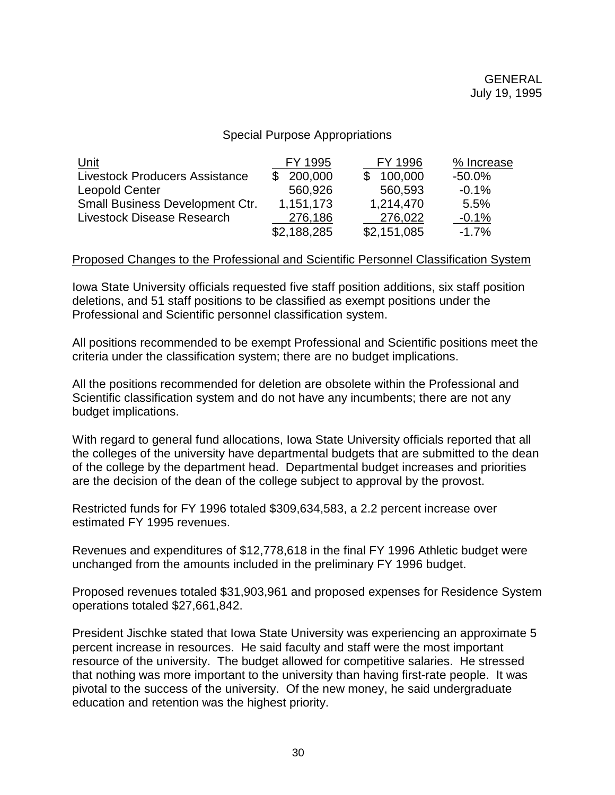### Special Purpose Appropriations

| Unit                                  | FY 1995        | FY 1996     | % Increase |
|---------------------------------------|----------------|-------------|------------|
| <b>Livestock Producers Assistance</b> | 200,000<br>\$. | 100,000     | $-50.0\%$  |
| <b>Leopold Center</b>                 | 560,926        | 560,593     | $-0.1%$    |
| Small Business Development Ctr.       | 1,151,173      | 1,214,470   | 5.5%       |
| Livestock Disease Research            | 276,186        | 276,022     | $-0.1%$    |
|                                       | \$2,188,285    | \$2,151,085 | $-1.7\%$   |

#### Proposed Changes to the Professional and Scientific Personnel Classification System

Iowa State University officials requested five staff position additions, six staff position deletions, and 51 staff positions to be classified as exempt positions under the Professional and Scientific personnel classification system.

All positions recommended to be exempt Professional and Scientific positions meet the criteria under the classification system; there are no budget implications.

All the positions recommended for deletion are obsolete within the Professional and Scientific classification system and do not have any incumbents; there are not any budget implications.

With regard to general fund allocations, Iowa State University officials reported that all the colleges of the university have departmental budgets that are submitted to the dean of the college by the department head. Departmental budget increases and priorities are the decision of the dean of the college subject to approval by the provost.

Restricted funds for FY 1996 totaled \$309,634,583, a 2.2 percent increase over estimated FY 1995 revenues.

Revenues and expenditures of \$12,778,618 in the final FY 1996 Athletic budget were unchanged from the amounts included in the preliminary FY 1996 budget.

Proposed revenues totaled \$31,903,961 and proposed expenses for Residence System operations totaled \$27,661,842.

President Jischke stated that Iowa State University was experiencing an approximate 5 percent increase in resources. He said faculty and staff were the most important resource of the university. The budget allowed for competitive salaries. He stressed that nothing was more important to the university than having first-rate people. It was pivotal to the success of the university. Of the new money, he said undergraduate education and retention was the highest priority.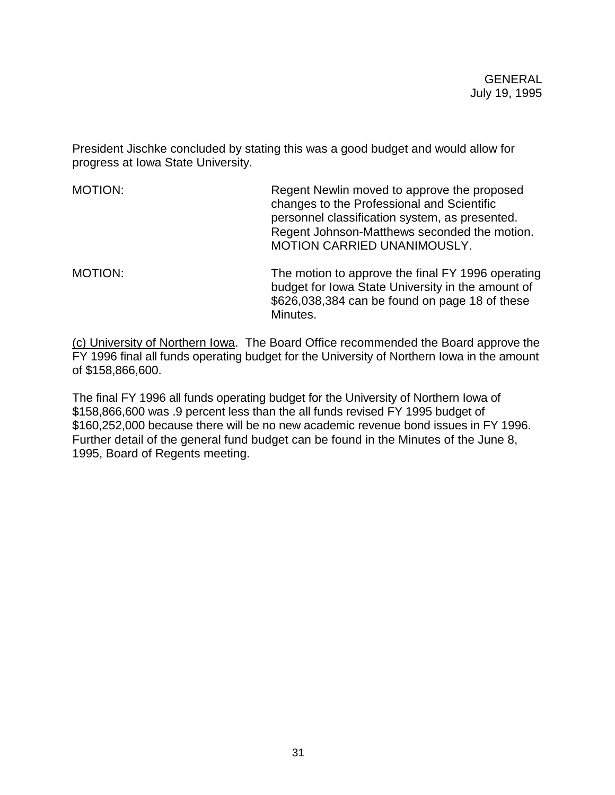President Jischke concluded by stating this was a good budget and would allow for progress at Iowa State University.

| MOTION: | Regent Newlin moved to approve the proposed<br>changes to the Professional and Scientific<br>personnel classification system, as presented.<br>Regent Johnson-Matthews seconded the motion.<br>MOTION CARRIED UNANIMOUSLY. |
|---------|----------------------------------------------------------------------------------------------------------------------------------------------------------------------------------------------------------------------------|
| MOTION: | The motion to approve the final FY 1996 operating<br>budget for Iowa State University in the amount of<br>\$626,038,384 can be found on page 18 of these<br>Minutes.                                                       |

(c) University of Northern Iowa. The Board Office recommended the Board approve the FY 1996 final all funds operating budget for the University of Northern Iowa in the amount of \$158,866,600.

The final FY 1996 all funds operating budget for the University of Northern Iowa of \$158,866,600 was .9 percent less than the all funds revised FY 1995 budget of \$160,252,000 because there will be no new academic revenue bond issues in FY 1996. Further detail of the general fund budget can be found in the Minutes of the June 8, 1995, Board of Regents meeting.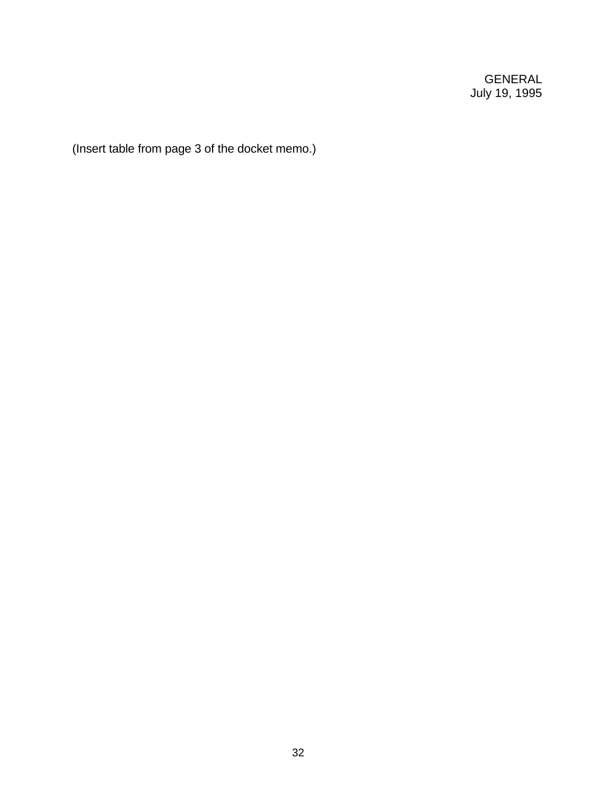(Insert table from page 3 of the docket memo.)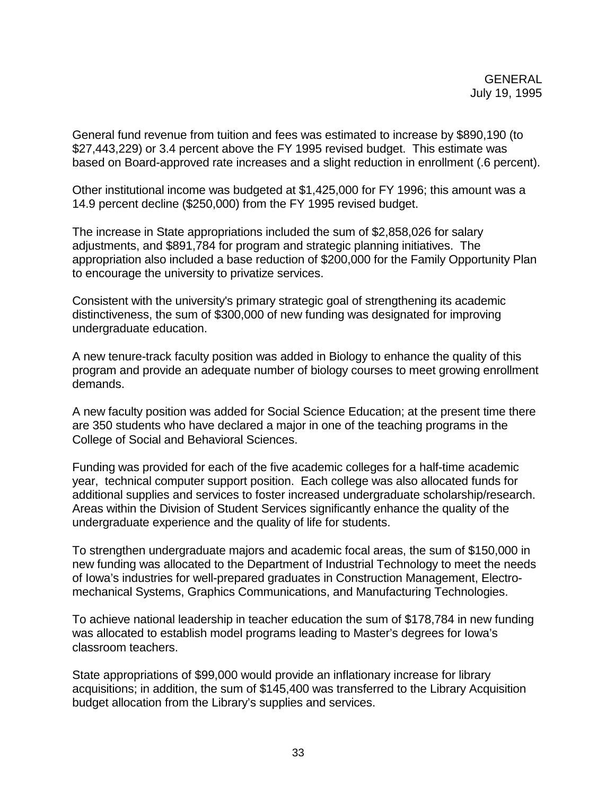General fund revenue from tuition and fees was estimated to increase by \$890,190 (to \$27,443,229) or 3.4 percent above the FY 1995 revised budget. This estimate was based on Board-approved rate increases and a slight reduction in enrollment (.6 percent).

Other institutional income was budgeted at \$1,425,000 for FY 1996; this amount was a 14.9 percent decline (\$250,000) from the FY 1995 revised budget.

The increase in State appropriations included the sum of \$2,858,026 for salary adjustments, and \$891,784 for program and strategic planning initiatives. The appropriation also included a base reduction of \$200,000 for the Family Opportunity Plan to encourage the university to privatize services.

Consistent with the university's primary strategic goal of strengthening its academic distinctiveness, the sum of \$300,000 of new funding was designated for improving undergraduate education.

A new tenure-track faculty position was added in Biology to enhance the quality of this program and provide an adequate number of biology courses to meet growing enrollment demands.

A new faculty position was added for Social Science Education; at the present time there are 350 students who have declared a major in one of the teaching programs in the College of Social and Behavioral Sciences.

Funding was provided for each of the five academic colleges for a half-time academic year, technical computer support position. Each college was also allocated funds for additional supplies and services to foster increased undergraduate scholarship/research. Areas within the Division of Student Services significantly enhance the quality of the undergraduate experience and the quality of life for students.

To strengthen undergraduate majors and academic focal areas, the sum of \$150,000 in new funding was allocated to the Department of Industrial Technology to meet the needs of Iowa's industries for well-prepared graduates in Construction Management, Electromechanical Systems, Graphics Communications, and Manufacturing Technologies.

To achieve national leadership in teacher education the sum of \$178,784 in new funding was allocated to establish model programs leading to Master's degrees for Iowa's classroom teachers.

State appropriations of \$99,000 would provide an inflationary increase for library acquisitions; in addition, the sum of \$145,400 was transferred to the Library Acquisition budget allocation from the Library's supplies and services.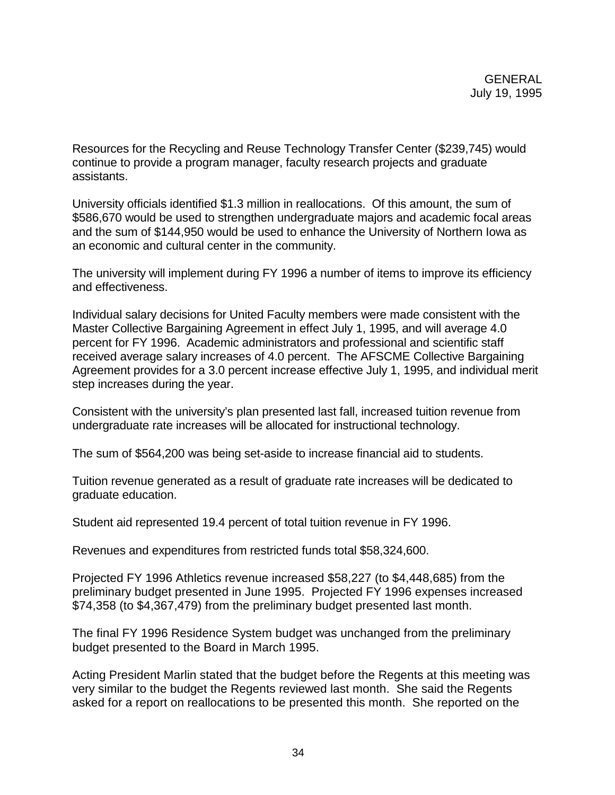Resources for the Recycling and Reuse Technology Transfer Center (\$239,745) would continue to provide a program manager, faculty research projects and graduate assistants.

University officials identified \$1.3 million in reallocations. Of this amount, the sum of \$586,670 would be used to strengthen undergraduate majors and academic focal areas and the sum of \$144,950 would be used to enhance the University of Northern Iowa as an economic and cultural center in the community.

The university will implement during FY 1996 a number of items to improve its efficiency and effectiveness.

Individual salary decisions for United Faculty members were made consistent with the Master Collective Bargaining Agreement in effect July 1, 1995, and will average 4.0 percent for FY 1996. Academic administrators and professional and scientific staff received average salary increases of 4.0 percent. The AFSCME Collective Bargaining Agreement provides for a 3.0 percent increase effective July 1, 1995, and individual merit step increases during the year.

Consistent with the university's plan presented last fall, increased tuition revenue from undergraduate rate increases will be allocated for instructional technology.

The sum of \$564,200 was being set-aside to increase financial aid to students.

Tuition revenue generated as a result of graduate rate increases will be dedicated to graduate education.

Student aid represented 19.4 percent of total tuition revenue in FY 1996.

Revenues and expenditures from restricted funds total \$58,324,600.

Projected FY 1996 Athletics revenue increased \$58,227 (to \$4,448,685) from the preliminary budget presented in June 1995. Projected FY 1996 expenses increased \$74,358 (to \$4,367,479) from the preliminary budget presented last month.

The final FY 1996 Residence System budget was unchanged from the preliminary budget presented to the Board in March 1995.

Acting President Marlin stated that the budget before the Regents at this meeting was very similar to the budget the Regents reviewed last month. She said the Regents asked for a report on reallocations to be presented this month. She reported on the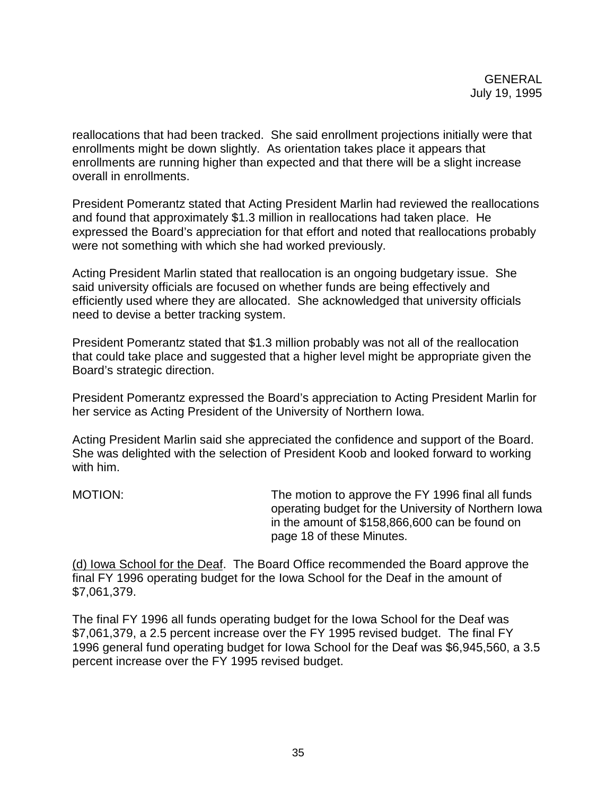reallocations that had been tracked. She said enrollment projections initially were that enrollments might be down slightly. As orientation takes place it appears that enrollments are running higher than expected and that there will be a slight increase overall in enrollments.

President Pomerantz stated that Acting President Marlin had reviewed the reallocations and found that approximately \$1.3 million in reallocations had taken place. He expressed the Board's appreciation for that effort and noted that reallocations probably were not something with which she had worked previously.

Acting President Marlin stated that reallocation is an ongoing budgetary issue. She said university officials are focused on whether funds are being effectively and efficiently used where they are allocated. She acknowledged that university officials need to devise a better tracking system.

President Pomerantz stated that \$1.3 million probably was not all of the reallocation that could take place and suggested that a higher level might be appropriate given the Board's strategic direction.

President Pomerantz expressed the Board's appreciation to Acting President Marlin for her service as Acting President of the University of Northern Iowa.

Acting President Marlin said she appreciated the confidence and support of the Board. She was delighted with the selection of President Koob and looked forward to working with him.

MOTION: The motion to approve the FY 1996 final all funds operating budget for the University of Northern Iowa in the amount of \$158,866,600 can be found on page 18 of these Minutes.

(d) Iowa School for the Deaf. The Board Office recommended the Board approve the final FY 1996 operating budget for the Iowa School for the Deaf in the amount of \$7,061,379.

The final FY 1996 all funds operating budget for the Iowa School for the Deaf was \$7,061,379, a 2.5 percent increase over the FY 1995 revised budget. The final FY 1996 general fund operating budget for Iowa School for the Deaf was \$6,945,560, a 3.5 percent increase over the FY 1995 revised budget.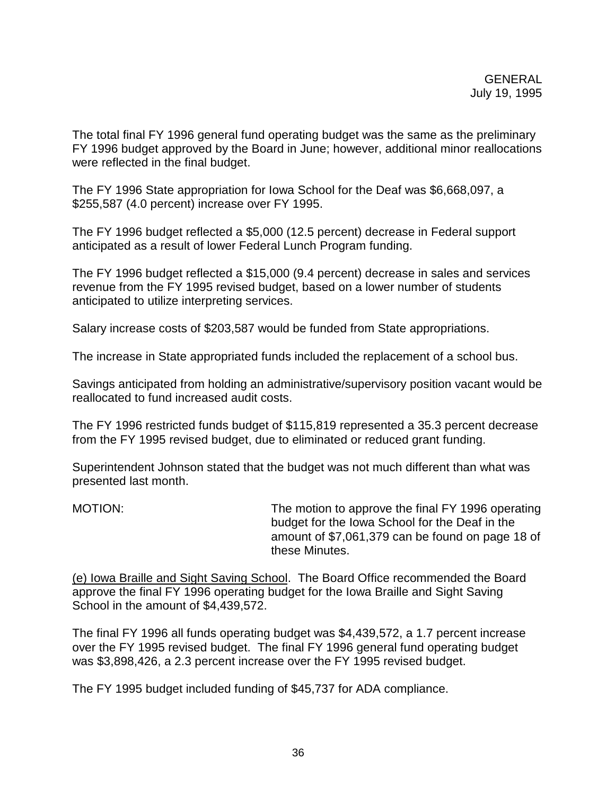The total final FY 1996 general fund operating budget was the same as the preliminary FY 1996 budget approved by the Board in June; however, additional minor reallocations were reflected in the final budget.

The FY 1996 State appropriation for Iowa School for the Deaf was \$6,668,097, a \$255,587 (4.0 percent) increase over FY 1995.

The FY 1996 budget reflected a \$5,000 (12.5 percent) decrease in Federal support anticipated as a result of lower Federal Lunch Program funding.

The FY 1996 budget reflected a \$15,000 (9.4 percent) decrease in sales and services revenue from the FY 1995 revised budget, based on a lower number of students anticipated to utilize interpreting services.

Salary increase costs of \$203,587 would be funded from State appropriations.

The increase in State appropriated funds included the replacement of a school bus.

Savings anticipated from holding an administrative/supervisory position vacant would be reallocated to fund increased audit costs.

The FY 1996 restricted funds budget of \$115,819 represented a 35.3 percent decrease from the FY 1995 revised budget, due to eliminated or reduced grant funding.

Superintendent Johnson stated that the budget was not much different than what was presented last month.

MOTION: MOTION: The motion to approve the final FY 1996 operating budget for the Iowa School for the Deaf in the amount of \$7,061,379 can be found on page 18 of these Minutes.

(e) Iowa Braille and Sight Saving School. The Board Office recommended the Board approve the final FY 1996 operating budget for the Iowa Braille and Sight Saving School in the amount of \$4,439,572.

The final FY 1996 all funds operating budget was \$4,439,572, a 1.7 percent increase over the FY 1995 revised budget. The final FY 1996 general fund operating budget was \$3,898,426, a 2.3 percent increase over the FY 1995 revised budget.

The FY 1995 budget included funding of \$45,737 for ADA compliance.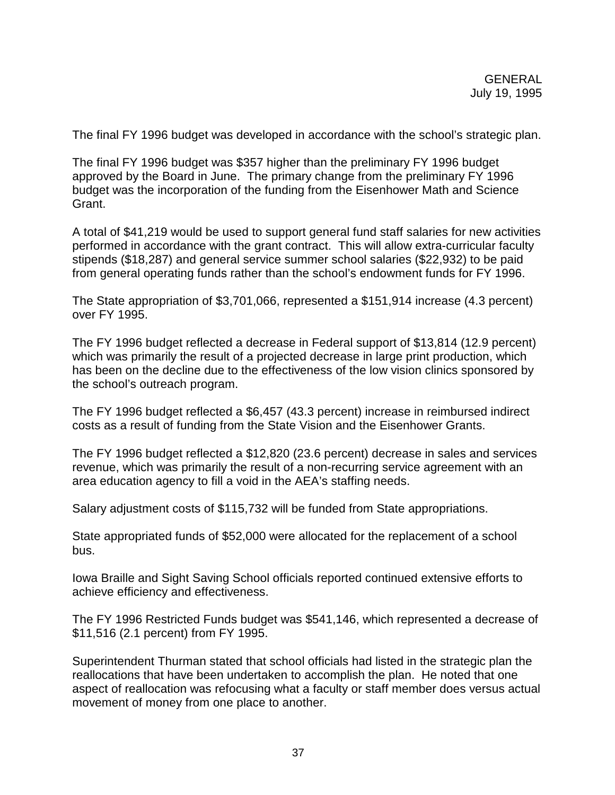The final FY 1996 budget was developed in accordance with the school's strategic plan.

The final FY 1996 budget was \$357 higher than the preliminary FY 1996 budget approved by the Board in June. The primary change from the preliminary FY 1996 budget was the incorporation of the funding from the Eisenhower Math and Science Grant.

A total of \$41,219 would be used to support general fund staff salaries for new activities performed in accordance with the grant contract. This will allow extra-curricular faculty stipends (\$18,287) and general service summer school salaries (\$22,932) to be paid from general operating funds rather than the school's endowment funds for FY 1996.

The State appropriation of \$3,701,066, represented a \$151,914 increase (4.3 percent) over FY 1995.

The FY 1996 budget reflected a decrease in Federal support of \$13,814 (12.9 percent) which was primarily the result of a projected decrease in large print production, which has been on the decline due to the effectiveness of the low vision clinics sponsored by the school's outreach program.

The FY 1996 budget reflected a \$6,457 (43.3 percent) increase in reimbursed indirect costs as a result of funding from the State Vision and the Eisenhower Grants.

The FY 1996 budget reflected a \$12,820 (23.6 percent) decrease in sales and services revenue, which was primarily the result of a non-recurring service agreement with an area education agency to fill a void in the AEA's staffing needs.

Salary adjustment costs of \$115,732 will be funded from State appropriations.

State appropriated funds of \$52,000 were allocated for the replacement of a school bus.

Iowa Braille and Sight Saving School officials reported continued extensive efforts to achieve efficiency and effectiveness.

The FY 1996 Restricted Funds budget was \$541,146, which represented a decrease of \$11,516 (2.1 percent) from FY 1995.

Superintendent Thurman stated that school officials had listed in the strategic plan the reallocations that have been undertaken to accomplish the plan. He noted that one aspect of reallocation was refocusing what a faculty or staff member does versus actual movement of money from one place to another.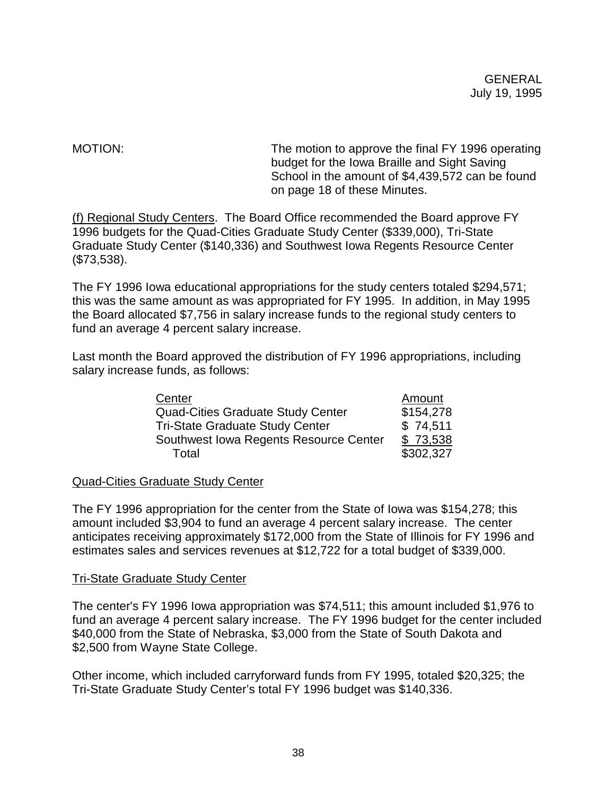MOTION: MOTION: The motion to approve the final FY 1996 operating budget for the Iowa Braille and Sight Saving School in the amount of \$4,439,572 can be found on page 18 of these Minutes.

(f) Regional Study Centers. The Board Office recommended the Board approve FY 1996 budgets for the Quad-Cities Graduate Study Center (\$339,000), Tri-State Graduate Study Center (\$140,336) and Southwest Iowa Regents Resource Center (\$73,538).

The FY 1996 Iowa educational appropriations for the study centers totaled \$294,571; this was the same amount as was appropriated for FY 1995. In addition, in May 1995 the Board allocated \$7,756 in salary increase funds to the regional study centers to fund an average 4 percent salary increase.

Last month the Board approved the distribution of FY 1996 appropriations, including salary increase funds, as follows:

| Center                                   | Amount    |
|------------------------------------------|-----------|
| <b>Quad-Cities Graduate Study Center</b> | \$154,278 |
| <b>Tri-State Graduate Study Center</b>   | \$74,511  |
| Southwest Iowa Regents Resource Center   | \$73,538  |
| Total                                    | \$302,327 |

### Quad-Cities Graduate Study Center

The FY 1996 appropriation for the center from the State of Iowa was \$154,278; this amount included \$3,904 to fund an average 4 percent salary increase. The center anticipates receiving approximately \$172,000 from the State of Illinois for FY 1996 and estimates sales and services revenues at \$12,722 for a total budget of \$339,000.

### Tri-State Graduate Study Center

The center's FY 1996 Iowa appropriation was \$74,511; this amount included \$1,976 to fund an average 4 percent salary increase. The FY 1996 budget for the center included \$40,000 from the State of Nebraska, \$3,000 from the State of South Dakota and \$2,500 from Wayne State College.

Other income, which included carryforward funds from FY 1995, totaled \$20,325; the Tri-State Graduate Study Center's total FY 1996 budget was \$140,336.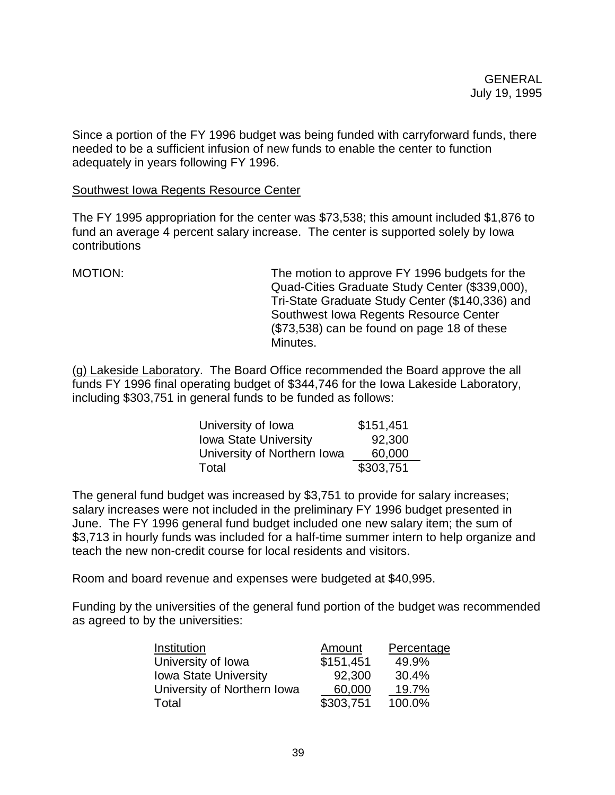Since a portion of the FY 1996 budget was being funded with carryforward funds, there needed to be a sufficient infusion of new funds to enable the center to function adequately in years following FY 1996.

#### Southwest Iowa Regents Resource Center

The FY 1995 appropriation for the center was \$73,538; this amount included \$1,876 to fund an average 4 percent salary increase. The center is supported solely by Iowa contributions

MOTION: The motion to approve FY 1996 budgets for the Quad-Cities Graduate Study Center (\$339,000), Tri-State Graduate Study Center (\$140,336) and Southwest Iowa Regents Resource Center (\$73,538) can be found on page 18 of these Minutes.

(g) Lakeside Laboratory. The Board Office recommended the Board approve the all funds FY 1996 final operating budget of \$344,746 for the Iowa Lakeside Laboratory, including \$303,751 in general funds to be funded as follows:

| University of Iowa           | \$151,451 |
|------------------------------|-----------|
| <b>Iowa State University</b> | 92,300    |
| University of Northern Iowa  | 60,000    |
| Total                        | \$303,751 |

The general fund budget was increased by \$3,751 to provide for salary increases; salary increases were not included in the preliminary FY 1996 budget presented in June. The FY 1996 general fund budget included one new salary item; the sum of \$3,713 in hourly funds was included for a half-time summer intern to help organize and teach the new non-credit course for local residents and visitors.

Room and board revenue and expenses were budgeted at \$40,995.

Funding by the universities of the general fund portion of the budget was recommended as agreed to by the universities:

| Institution                  | Amount    | Percentage |
|------------------------------|-----------|------------|
| University of Iowa           | \$151,451 | 49.9%      |
| <b>Iowa State University</b> | 92,300    | 30.4%      |
| University of Northern Iowa  | 60,000    | 19.7%      |
| Total                        | \$303,751 | 100.0%     |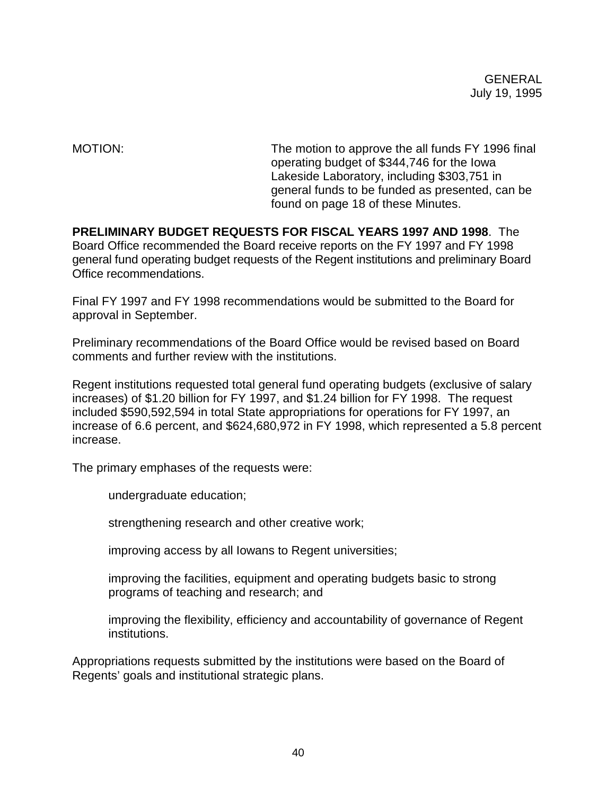MOTION: The motion to approve the all funds FY 1996 final operating budget of \$344,746 for the Iowa Lakeside Laboratory, including \$303,751 in general funds to be funded as presented, can be found on page 18 of these Minutes.

**PRELIMINARY BUDGET REQUESTS FOR FISCAL YEARS 1997 AND 1998**. The Board Office recommended the Board receive reports on the FY 1997 and FY 1998 general fund operating budget requests of the Regent institutions and preliminary Board Office recommendations.

Final FY 1997 and FY 1998 recommendations would be submitted to the Board for approval in September.

Preliminary recommendations of the Board Office would be revised based on Board comments and further review with the institutions.

Regent institutions requested total general fund operating budgets (exclusive of salary increases) of \$1.20 billion for FY 1997, and \$1.24 billion for FY 1998. The request included \$590,592,594 in total State appropriations for operations for FY 1997, an increase of 6.6 percent, and \$624,680,972 in FY 1998, which represented a 5.8 percent increase.

The primary emphases of the requests were:

undergraduate education;

strengthening research and other creative work;

improving access by all Iowans to Regent universities;

improving the facilities, equipment and operating budgets basic to strong programs of teaching and research; and

improving the flexibility, efficiency and accountability of governance of Regent institutions.

Appropriations requests submitted by the institutions were based on the Board of Regents' goals and institutional strategic plans.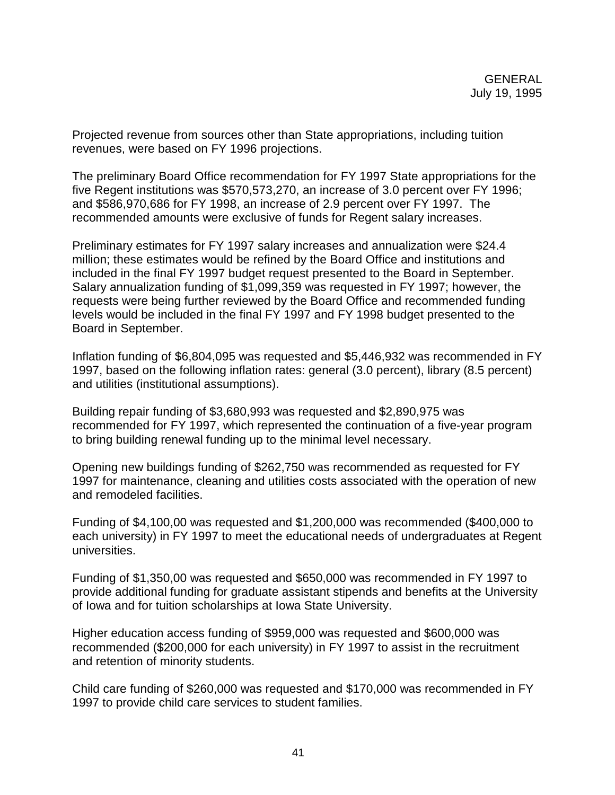Projected revenue from sources other than State appropriations, including tuition revenues, were based on FY 1996 projections.

The preliminary Board Office recommendation for FY 1997 State appropriations for the five Regent institutions was \$570,573,270, an increase of 3.0 percent over FY 1996; and \$586,970,686 for FY 1998, an increase of 2.9 percent over FY 1997. The recommended amounts were exclusive of funds for Regent salary increases.

Preliminary estimates for FY 1997 salary increases and annualization were \$24.4 million; these estimates would be refined by the Board Office and institutions and included in the final FY 1997 budget request presented to the Board in September. Salary annualization funding of \$1,099,359 was requested in FY 1997; however, the requests were being further reviewed by the Board Office and recommended funding levels would be included in the final FY 1997 and FY 1998 budget presented to the Board in September.

Inflation funding of \$6,804,095 was requested and \$5,446,932 was recommended in FY 1997, based on the following inflation rates: general (3.0 percent), library (8.5 percent) and utilities (institutional assumptions).

Building repair funding of \$3,680,993 was requested and \$2,890,975 was recommended for FY 1997, which represented the continuation of a five-year program to bring building renewal funding up to the minimal level necessary.

Opening new buildings funding of \$262,750 was recommended as requested for FY 1997 for maintenance, cleaning and utilities costs associated with the operation of new and remodeled facilities.

Funding of \$4,100,00 was requested and \$1,200,000 was recommended (\$400,000 to each university) in FY 1997 to meet the educational needs of undergraduates at Regent universities.

Funding of \$1,350,00 was requested and \$650,000 was recommended in FY 1997 to provide additional funding for graduate assistant stipends and benefits at the University of Iowa and for tuition scholarships at Iowa State University.

Higher education access funding of \$959,000 was requested and \$600,000 was recommended (\$200,000 for each university) in FY 1997 to assist in the recruitment and retention of minority students.

Child care funding of \$260,000 was requested and \$170,000 was recommended in FY 1997 to provide child care services to student families.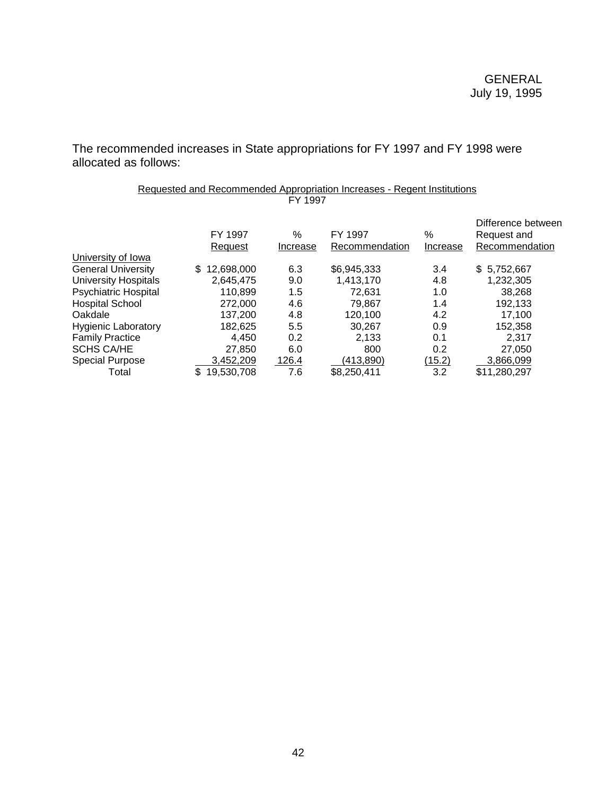The recommended increases in State appropriations for FY 1997 and FY 1998 were allocated as follows:

> Requested and Recommended Appropriation Increases - Regent Institutions FY 1997

|                             | FY 1997<br>Request | %<br>Increase | FY 1997<br>Recommendation | %<br>Increase | Difference between<br>Request and<br>Recommendation |
|-----------------------------|--------------------|---------------|---------------------------|---------------|-----------------------------------------------------|
| University of Iowa          |                    |               |                           |               |                                                     |
| <b>General University</b>   | 12,698,000<br>\$.  | 6.3           | \$6,945,333               | 3.4           | \$5,752,667                                         |
| <b>University Hospitals</b> | 2,645,475          | 9.0           | 1,413,170                 | 4.8           | 1,232,305                                           |
| <b>Psychiatric Hospital</b> | 110.899            | 1.5           | 72.631                    | 1.0           | 38,268                                              |
| <b>Hospital School</b>      | 272,000            | 4.6           | 79,867                    | 1.4           | 192,133                                             |
| Oakdale                     | 137.200            | 4.8           | 120,100                   | 4.2           | 17.100                                              |
| <b>Hygienic Laboratory</b>  | 182.625            | 5.5           | 30.267                    | 0.9           | 152,358                                             |
| <b>Family Practice</b>      | 4,450              | 0.2           | 2,133                     | 0.1           | 2,317                                               |
| <b>SCHS CA/HE</b>           | 27,850             | 6.0           | 800                       | 0.2           | 27,050                                              |
| <b>Special Purpose</b>      | 3,452,209          | 126.4         | (413,890)                 | (15.2)        | 3,866,099                                           |
| Total                       | 19,530,708         | 7.6           | \$8,250,411               | 3.2           | \$11,280,297                                        |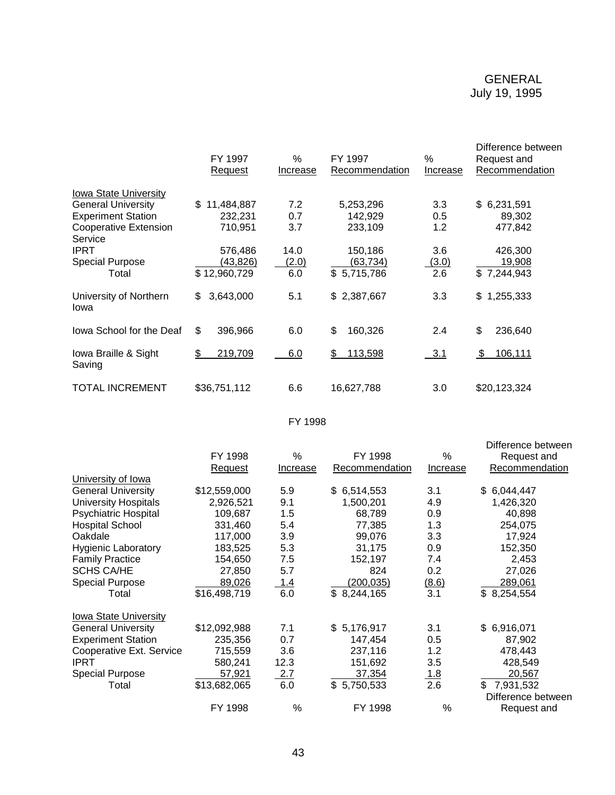|                                         | FY 1997<br>Request | $\%$<br><b>Increase</b> | FY 1997<br>Recommendation | $\%$<br>Increase | Difference between<br>Request and<br>Recommendation |
|-----------------------------------------|--------------------|-------------------------|---------------------------|------------------|-----------------------------------------------------|
| Iowa State University                   |                    |                         |                           |                  |                                                     |
| <b>General University</b>               | 11,484,887<br>\$   | 7.2                     | 5,253,296                 | 3.3              | \$6,231,591                                         |
| <b>Experiment Station</b>               | 232,231            | 0.7                     | 142,929                   | 0.5              | 89,302                                              |
| <b>Cooperative Extension</b><br>Service | 710,951            | 3.7                     | 233,109                   | 1.2              | 477,842                                             |
| <b>IPRT</b>                             | 576,486            | 14.0                    | 150,186                   | 3.6              | 426,300                                             |
| <b>Special Purpose</b>                  | (43,826)           | (2.0)                   | (63, 734)                 | (3.0)            | 19,908                                              |
| Total                                   | \$12,960,729       | 6.0                     | \$5,715,786               | 2.6              | \$7,244,943                                         |
| University of Northern<br>Iowa          | 3,643,000<br>\$    | 5.1                     | \$2,387,667               | 3.3              | 1,255,333<br>\$                                     |
| Iowa School for the Deaf                | \$<br>396,966      | 6.0                     | \$<br>160,326             | 2.4              | \$<br>236,640                                       |
| Iowa Braille & Sight<br>Saving          | 219,709<br>\$      | 6.0                     | 113,598<br>\$             | 3.1              | 106,111<br>\$                                       |
| TOTAL INCREMENT                         | \$36,751,112       | 6.6                     | 16,627,788                | 3.0              | \$20,123,324                                        |

FY 1998

|                              |                |               |                |                  | Difference between |
|------------------------------|----------------|---------------|----------------|------------------|--------------------|
|                              | FY 1998        | $\frac{0}{0}$ | FY 1998        | %                | Request and        |
|                              | <b>Request</b> | Increase      | Recommendation | Increase         | Recommendation     |
| University of Iowa           |                |               |                |                  |                    |
| <b>General University</b>    | \$12,559,000   | 5.9           | \$6,514,553    | 3.1              | 6,044,447<br>\$    |
| <b>University Hospitals</b>  | 2,926,521      | 9.1           | 1,500,201      | 4.9              | 1,426,320          |
| <b>Psychiatric Hospital</b>  | 109,687        | 1.5           | 68,789         | 0.9              | 40,898             |
| <b>Hospital School</b>       | 331,460        | 5.4           | 77,385         | 1.3              | 254,075            |
| Oakdale                      | 117,000        | 3.9           | 99,076         | 3.3              | 17,924             |
| <b>Hygienic Laboratory</b>   | 183,525        | 5.3           | 31,175         | 0.9              | 152,350            |
| <b>Family Practice</b>       | 154,650        | 7.5           | 152,197        | 7.4              | 2,453              |
| <b>SCHS CA/HE</b>            | 27,850         | 5.7           | 824            | 0.2              | 27,026             |
| <b>Special Purpose</b>       | 89,026         | 1.4           | (200,035)      | (8.6)            | 289,061            |
| Total                        | \$16,498,719   | 6.0           | \$8,244,165    | $\overline{3.1}$ | \$8,254,554        |
| <b>Iowa State University</b> |                |               |                |                  |                    |
| <b>General University</b>    | \$12,092,988   | 7.1           | \$5,176,917    | 3.1              | \$6,916,071        |
| <b>Experiment Station</b>    | 235,356        | 0.7           | 147,454        | 0.5              | 87,902             |
| Cooperative Ext. Service     | 715,559        | 3.6           | 237,116        | 1.2              | 478,443            |
| <b>IPRT</b>                  | 580,241        | 12.3          | 151,692        | 3.5              | 428,549            |
| <b>Special Purpose</b>       | 57,921         | 2.7           | 37,354         | <u>1.8</u>       | 20,567             |
| Total                        | \$13,682,065   | 6.0           | \$5,750,533    | 2.6              | 7,931,532<br>\$    |
|                              |                |               |                |                  | Difference between |
|                              | FY 1998        | %             | FY 1998        | %                | Request and        |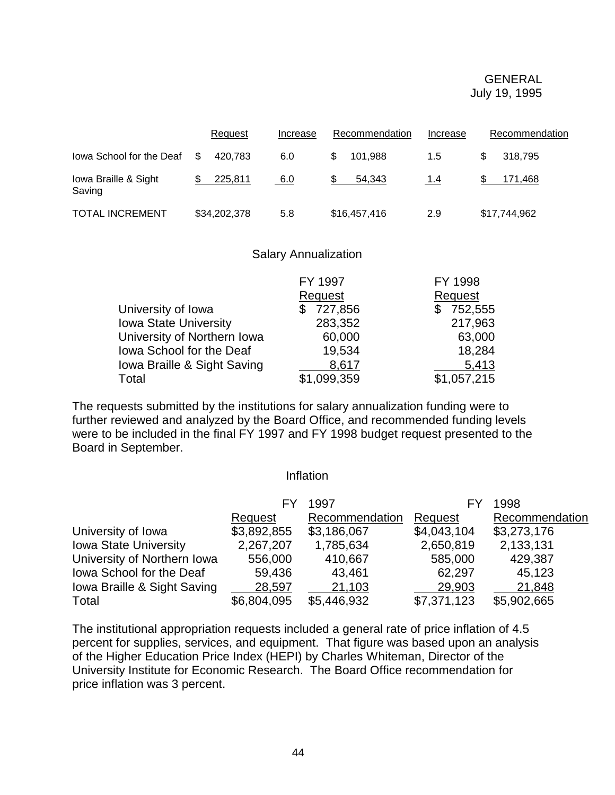|                                | Request       | Increase | Recommendation | Increase | Recommendation |
|--------------------------------|---------------|----------|----------------|----------|----------------|
| lowa School for the Deaf       | S.<br>420.783 | 6.0      | 101.988        | 1.5      | \$.<br>318.795 |
| lowa Braille & Sight<br>Saving | 225.811       | 6.0      | 54.343         | 1.4      | 171.468        |
| <b>TOTAL INCREMENT</b>         | \$34,202,378  | 5.8      | \$16,457,416   | 2.9      | \$17,744,962   |

#### Salary Annualization

|                              | FY 1997     | FY 1998      |
|------------------------------|-------------|--------------|
|                              | Request     | Request      |
| University of Iowa           | \$727,856   | 752,555<br>S |
| <b>Iowa State University</b> | 283,352     | 217,963      |
| University of Northern Iowa  | 60,000      | 63,000       |
| Iowa School for the Deaf     | 19,534      | 18,284       |
| Iowa Braille & Sight Saving  | 8,617       | 5,413        |
| Total                        | \$1,099,359 | \$1,057,215  |

The requests submitted by the institutions for salary annualization funding were to further reviewed and analyzed by the Board Office, and recommended funding levels were to be included in the final FY 1997 and FY 1998 budget request presented to the Board in September.

#### Inflation

|                              |             | 1997           |             | 1998           |
|------------------------------|-------------|----------------|-------------|----------------|
|                              | Request     | Recommendation | Request     | Recommendation |
| University of Iowa           | \$3,892,855 | \$3,186,067    | \$4,043,104 | \$3,273,176    |
| <b>Iowa State University</b> | 2,267,207   | 1,785,634      | 2,650,819   | 2,133,131      |
| University of Northern Iowa  | 556,000     | 410,667        | 585,000     | 429,387        |
| lowa School for the Deaf     | 59,436      | 43,461         | 62,297      | 45,123         |
| Iowa Braille & Sight Saving  | 28,597      | 21,103         | 29,903      | 21,848         |
| Total                        | \$6,804,095 | \$5,446,932    | \$7,371,123 | \$5,902,665    |

The institutional appropriation requests included a general rate of price inflation of 4.5 percent for supplies, services, and equipment. That figure was based upon an analysis of the Higher Education Price Index (HEPI) by Charles Whiteman, Director of the University Institute for Economic Research. The Board Office recommendation for price inflation was 3 percent.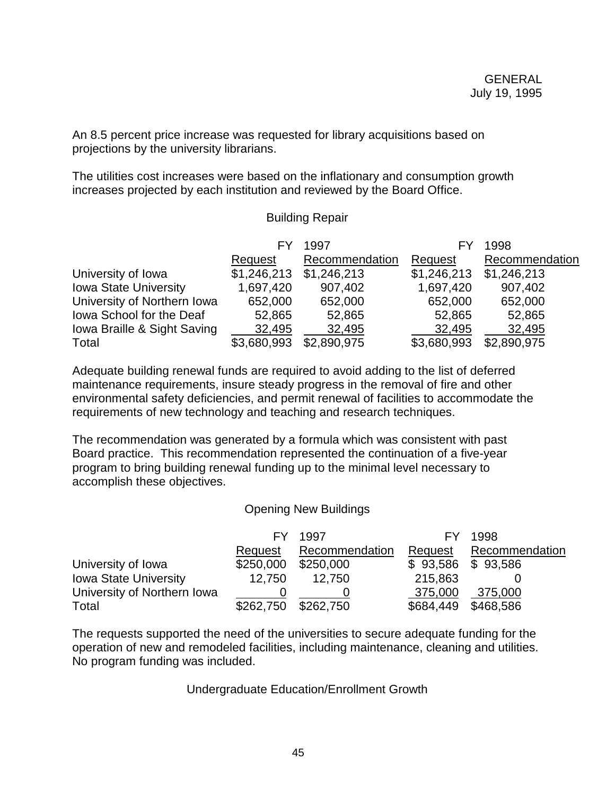An 8.5 percent price increase was requested for library acquisitions based on projections by the university librarians.

The utilities cost increases were based on the inflationary and consumption growth increases projected by each institution and reviewed by the Board Office.

### Building Repair

|                              |             | 1997           |             | 1998           |
|------------------------------|-------------|----------------|-------------|----------------|
|                              | Request     | Recommendation | Request     | Recommendation |
| University of Iowa           | \$1,246,213 | \$1,246,213    | \$1,246,213 | \$1,246,213    |
| <b>Iowa State University</b> | 1,697,420   | 907,402        | 1,697,420   | 907,402        |
| University of Northern Iowa  | 652,000     | 652,000        | 652,000     | 652,000        |
| lowa School for the Deaf     | 52,865      | 52,865         | 52,865      | 52,865         |
| Iowa Braille & Sight Saving  | 32,495      | 32,495         | 32,495      | 32,495         |
| Total                        | \$3,680,993 | \$2,890,975    | \$3,680,993 | \$2,890,975    |

Adequate building renewal funds are required to avoid adding to the list of deferred maintenance requirements, insure steady progress in the removal of fire and other environmental safety deficiencies, and permit renewal of facilities to accommodate the requirements of new technology and teaching and research techniques.

The recommendation was generated by a formula which was consistent with past Board practice. This recommendation represented the continuation of a five-year program to bring building renewal funding up to the minimal level necessary to accomplish these objectives.

### Opening New Buildings

|                              |           | 1997           |           | 1998                |
|------------------------------|-----------|----------------|-----------|---------------------|
|                              | Request   | Recommendation | Request   | Recommendation      |
| University of Iowa           | \$250,000 | \$250,000      |           | $$93,586$ $$93,586$ |
| <b>Iowa State University</b> | 12.750    | 12.750         | 215,863   |                     |
| University of Northern Iowa  |           |                | 375,000   | 375,000             |
| Total                        | \$262,750 | \$262,750      | \$684,449 | \$468,586           |

The requests supported the need of the universities to secure adequate funding for the operation of new and remodeled facilities, including maintenance, cleaning and utilities. No program funding was included.

Undergraduate Education/Enrollment Growth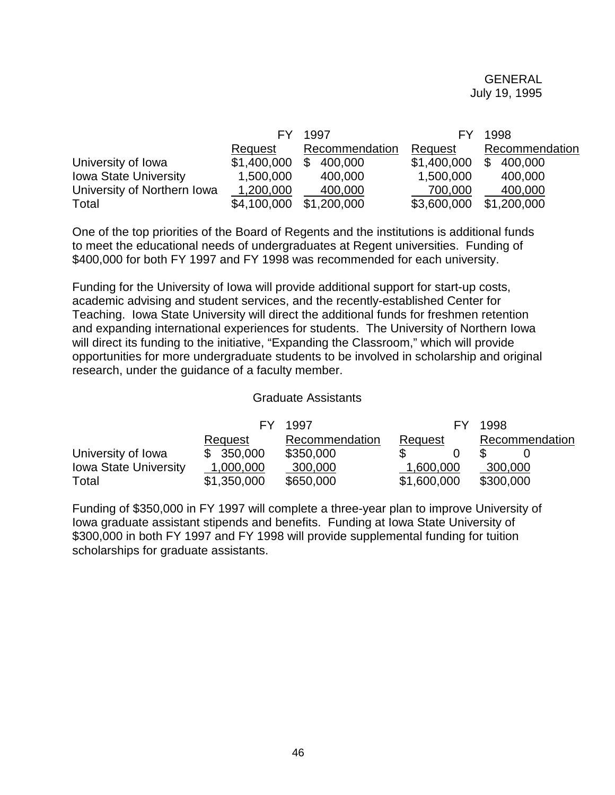|                              |             | 1997           |             | 1998           |
|------------------------------|-------------|----------------|-------------|----------------|
|                              | Request     | Recommendation | Request     | Recommendation |
| University of Iowa           | \$1,400,000 | \$<br>400,000  | \$1,400,000 | 400,000        |
| <b>Iowa State University</b> | 1,500,000   | 400,000        | 1,500,000   | 400,000        |
| University of Northern Iowa  | 1,200,000   | 400,000        | 700,000     | 400,000        |
| Total                        | \$4,100,000 | \$1,200,000    | \$3,600,000 | \$1,200,000    |

One of the top priorities of the Board of Regents and the institutions is additional funds to meet the educational needs of undergraduates at Regent universities. Funding of \$400,000 for both FY 1997 and FY 1998 was recommended for each university.

Funding for the University of Iowa will provide additional support for start-up costs, academic advising and student services, and the recently-established Center for Teaching. Iowa State University will direct the additional funds for freshmen retention and expanding international experiences for students. The University of Northern Iowa will direct its funding to the initiative, "Expanding the Classroom," which will provide opportunities for more undergraduate students to be involved in scholarship and original research, under the guidance of a faculty member.

#### Graduate Assistants

|                              |             | 1997           |             | 1998           |
|------------------------------|-------------|----------------|-------------|----------------|
|                              | Request     | Recommendation | Request     | Recommendation |
| University of Iowa           | \$350,000   | \$350,000      |             |                |
| <b>Iowa State University</b> | 1,000,000   | 300,000        | 1,600,000   | 300,000        |
| Total                        | \$1,350,000 | \$650,000      | \$1,600,000 | \$300,000      |

Funding of \$350,000 in FY 1997 will complete a three-year plan to improve University of Iowa graduate assistant stipends and benefits. Funding at Iowa State University of \$300,000 in both FY 1997 and FY 1998 will provide supplemental funding for tuition scholarships for graduate assistants.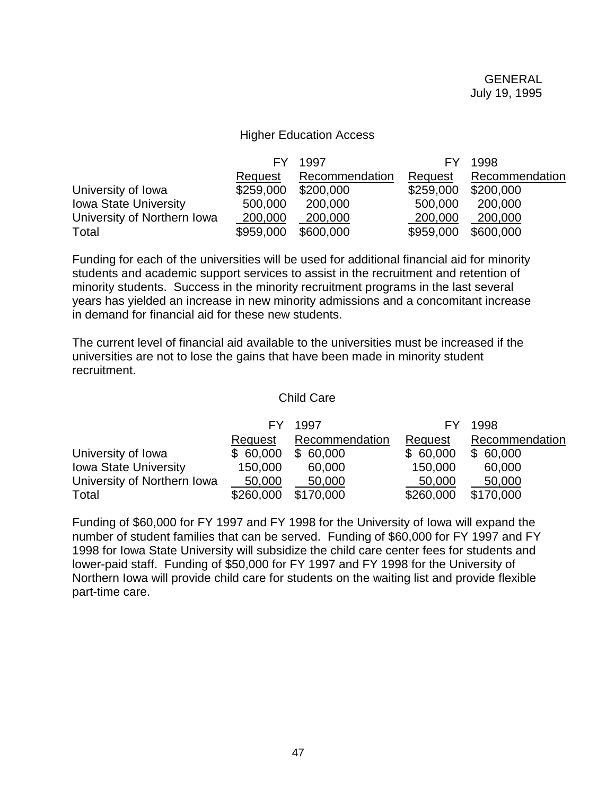#### Higher Education Access

|                              | FY        | 1997           |           | 1998           |
|------------------------------|-----------|----------------|-----------|----------------|
|                              | Request   | Recommendation | Request   | Recommendation |
| University of Iowa           | \$259,000 | \$200,000      | \$259,000 | \$200,000      |
| <b>Iowa State University</b> | 500,000   | 200,000        | 500,000   | 200,000        |
| University of Northern Iowa  | 200,000   | 200,000        | 200,000   | 200,000        |
| Total                        | \$959,000 | \$600,000      | \$959,000 | \$600,000      |

Funding for each of the universities will be used for additional financial aid for minority students and academic support services to assist in the recruitment and retention of minority students. Success in the minority recruitment programs in the last several years has yielded an increase in new minority admissions and a concomitant increase in demand for financial aid for these new students.

The current level of financial aid available to the universities must be increased if the universities are not to lose the gains that have been made in minority student recruitment.

#### Child Care

|                              | FΥ        | 1997           |           | 1998           |
|------------------------------|-----------|----------------|-----------|----------------|
|                              | Request   | Recommendation | Request   | Recommendation |
| University of Iowa           | \$60,000  | \$60,000       | \$60,000  | \$60,000       |
| <b>Iowa State University</b> | 150,000   | 60,000         | 150,000   | 60,000         |
| University of Northern Iowa  | 50,000    | 50,000         | 50,000    | 50,000         |
| Total                        | \$260,000 | \$170,000      | \$260,000 | \$170,000      |

Funding of \$60,000 for FY 1997 and FY 1998 for the University of Iowa will expand the number of student families that can be served. Funding of \$60,000 for FY 1997 and FY 1998 for Iowa State University will subsidize the child care center fees for students and lower-paid staff. Funding of \$50,000 for FY 1997 and FY 1998 for the University of Northern Iowa will provide child care for students on the waiting list and provide flexible part-time care.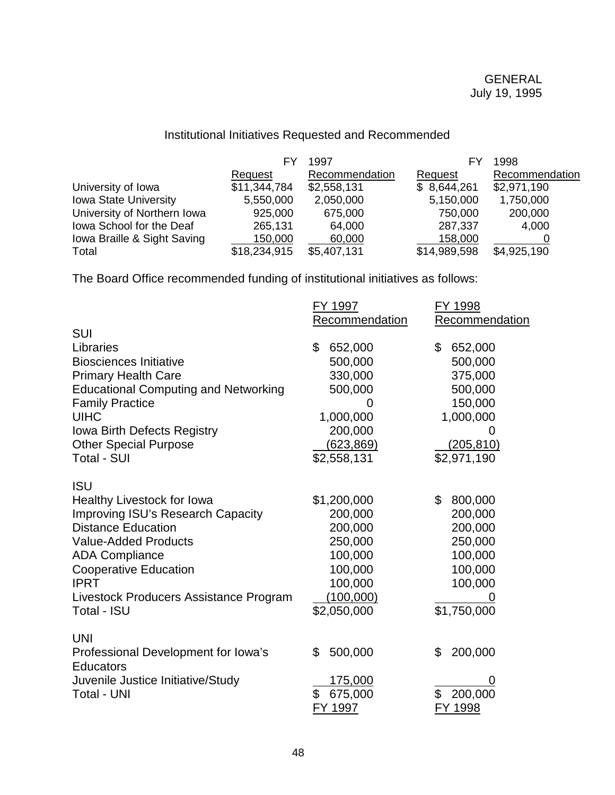# Institutional Initiatives Requested and Recommended

|                              |              | 1997           | F١           | 1998           |
|------------------------------|--------------|----------------|--------------|----------------|
|                              | Request      | Recommendation | Request      | Recommendation |
| University of Iowa           | \$11,344,784 | \$2,558,131    | \$8,644,261  | \$2,971,190    |
| <b>Iowa State University</b> | 5,550,000    | 2,050,000      | 5,150,000    | 1,750,000      |
| University of Northern Iowa  | 925,000      | 675,000        | 750,000      | 200,000        |
| Iowa School for the Deaf     | 265,131      | 64,000         | 287,337      | 4,000          |
| Iowa Braille & Sight Saving  | 150,000      | 60,000         | 158,000      |                |
| Total                        | \$18,234,915 | \$5,407,131    | \$14,989,598 | \$4,925,190    |

The Board Office recommended funding of institutional initiatives as follows:

|                                             | FY 1997        | FY 1998        |
|---------------------------------------------|----------------|----------------|
|                                             | Recommendation | Recommendation |
| <b>SUI</b>                                  |                |                |
| Libraries                                   | \$<br>652,000  | \$<br>652,000  |
| <b>Biosciences Initiative</b>               | 500,000        | 500,000        |
| <b>Primary Health Care</b>                  | 330,000        | 375,000        |
| <b>Educational Computing and Networking</b> | 500,000        | 500,000        |
| <b>Family Practice</b>                      | 0              | 150,000        |
| <b>UIHC</b>                                 | 1,000,000      | 1,000,000      |
| <b>Iowa Birth Defects Registry</b>          | 200,000        | 0              |
| <b>Other Special Purpose</b>                | (623, 869)     | (205, 810)     |
| <b>Total - SUI</b>                          | \$2,558,131    | \$2,971,190    |
|                                             |                |                |
| <b>ISU</b>                                  |                |                |
| Healthy Livestock for Iowa                  | \$1,200,000    | \$<br>800,000  |
| Improving ISU's Research Capacity           | 200,000        | 200,000        |
| <b>Distance Education</b>                   | 200,000        | 200,000        |
| <b>Value-Added Products</b>                 | 250,000        | 250,000        |
| <b>ADA Compliance</b>                       | 100,000        | 100,000        |
| <b>Cooperative Education</b>                | 100,000        | 100,000        |
| <b>IPRT</b>                                 | 100,000        | 100,000        |
| Livestock Producers Assistance Program      | (100,000)      |                |
| Total - ISU                                 | \$2,050,000    | \$1,750,000    |
|                                             |                |                |
| <b>UNI</b>                                  |                |                |
| Professional Development for Iowa's         | 500,000<br>\$  | 200,000<br>\$  |
| <b>Educators</b>                            |                |                |
| Juvenile Justice Initiative/Study           | 175,000        | O              |
| <b>Total - UNI</b>                          | \$<br>675,000  | \$<br>200,000  |
|                                             | FY 1997        | FY 1998        |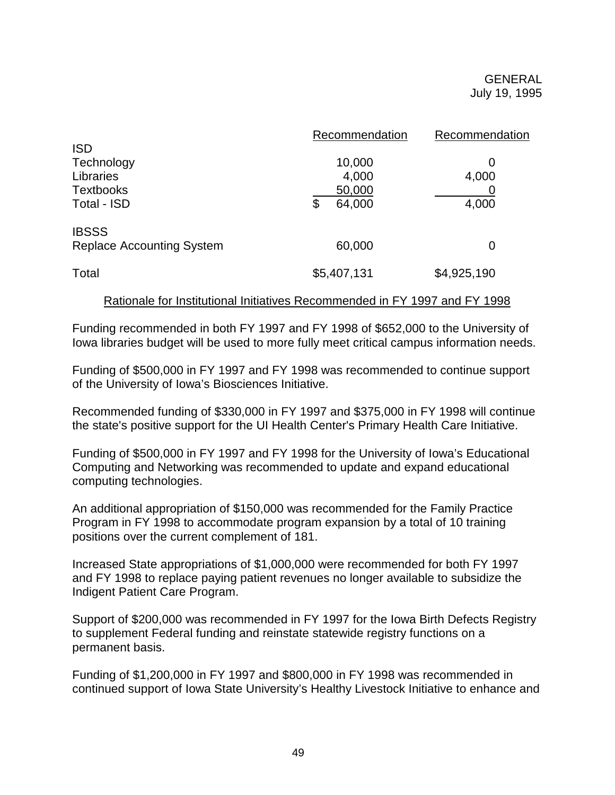|                                  | Recommendation | Recommendation |
|----------------------------------|----------------|----------------|
| <b>ISD</b>                       |                |                |
| Technology                       | 10,000         | 0              |
| Libraries                        | 4,000          | 4,000          |
| <b>Textbooks</b>                 | 50,000         |                |
| Total - ISD                      | 64,000<br>\$   | 4,000          |
| <b>IBSSS</b>                     |                |                |
| <b>Replace Accounting System</b> | 60,000         | 0              |
| Total                            | \$5,407,131    | \$4,925,190    |

### Rationale for Institutional Initiatives Recommended in FY 1997 and FY 1998

Funding recommended in both FY 1997 and FY 1998 of \$652,000 to the University of Iowa libraries budget will be used to more fully meet critical campus information needs.

Funding of \$500,000 in FY 1997 and FY 1998 was recommended to continue support of the University of Iowa's Biosciences Initiative.

Recommended funding of \$330,000 in FY 1997 and \$375,000 in FY 1998 will continue the state's positive support for the UI Health Center's Primary Health Care Initiative.

Funding of \$500,000 in FY 1997 and FY 1998 for the University of Iowa's Educational Computing and Networking was recommended to update and expand educational computing technologies.

An additional appropriation of \$150,000 was recommended for the Family Practice Program in FY 1998 to accommodate program expansion by a total of 10 training positions over the current complement of 181.

Increased State appropriations of \$1,000,000 were recommended for both FY 1997 and FY 1998 to replace paying patient revenues no longer available to subsidize the Indigent Patient Care Program.

Support of \$200,000 was recommended in FY 1997 for the Iowa Birth Defects Registry to supplement Federal funding and reinstate statewide registry functions on a permanent basis.

Funding of \$1,200,000 in FY 1997 and \$800,000 in FY 1998 was recommended in continued support of Iowa State University's Healthy Livestock Initiative to enhance and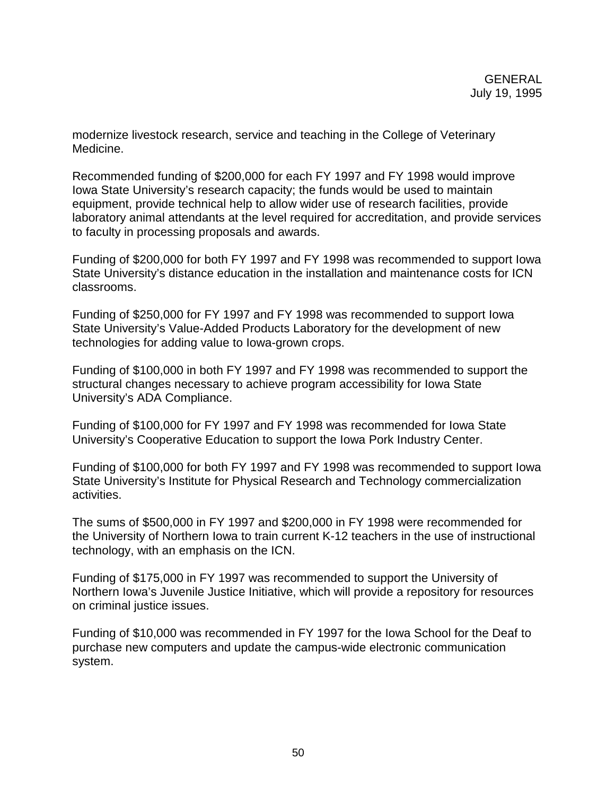modernize livestock research, service and teaching in the College of Veterinary Medicine.

Recommended funding of \$200,000 for each FY 1997 and FY 1998 would improve Iowa State University's research capacity; the funds would be used to maintain equipment, provide technical help to allow wider use of research facilities, provide laboratory animal attendants at the level required for accreditation, and provide services to faculty in processing proposals and awards.

Funding of \$200,000 for both FY 1997 and FY 1998 was recommended to support Iowa State University's distance education in the installation and maintenance costs for ICN classrooms.

Funding of \$250,000 for FY 1997 and FY 1998 was recommended to support Iowa State University's Value-Added Products Laboratory for the development of new technologies for adding value to Iowa-grown crops.

Funding of \$100,000 in both FY 1997 and FY 1998 was recommended to support the structural changes necessary to achieve program accessibility for Iowa State University's ADA Compliance.

Funding of \$100,000 for FY 1997 and FY 1998 was recommended for Iowa State University's Cooperative Education to support the Iowa Pork Industry Center.

Funding of \$100,000 for both FY 1997 and FY 1998 was recommended to support Iowa State University's Institute for Physical Research and Technology commercialization activities.

The sums of \$500,000 in FY 1997 and \$200,000 in FY 1998 were recommended for the University of Northern Iowa to train current K-12 teachers in the use of instructional technology, with an emphasis on the ICN.

Funding of \$175,000 in FY 1997 was recommended to support the University of Northern Iowa's Juvenile Justice Initiative, which will provide a repository for resources on criminal justice issues.

Funding of \$10,000 was recommended in FY 1997 for the Iowa School for the Deaf to purchase new computers and update the campus-wide electronic communication system.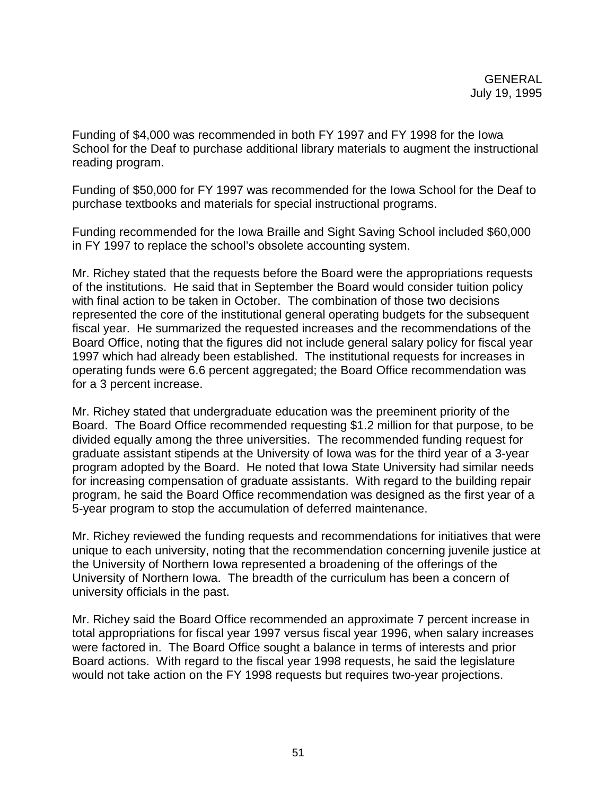Funding of \$4,000 was recommended in both FY 1997 and FY 1998 for the Iowa School for the Deaf to purchase additional library materials to augment the instructional reading program.

Funding of \$50,000 for FY 1997 was recommended for the Iowa School for the Deaf to purchase textbooks and materials for special instructional programs.

Funding recommended for the Iowa Braille and Sight Saving School included \$60,000 in FY 1997 to replace the school's obsolete accounting system.

Mr. Richey stated that the requests before the Board were the appropriations requests of the institutions. He said that in September the Board would consider tuition policy with final action to be taken in October. The combination of those two decisions represented the core of the institutional general operating budgets for the subsequent fiscal year. He summarized the requested increases and the recommendations of the Board Office, noting that the figures did not include general salary policy for fiscal year 1997 which had already been established. The institutional requests for increases in operating funds were 6.6 percent aggregated; the Board Office recommendation was for a 3 percent increase.

Mr. Richey stated that undergraduate education was the preeminent priority of the Board. The Board Office recommended requesting \$1.2 million for that purpose, to be divided equally among the three universities. The recommended funding request for graduate assistant stipends at the University of Iowa was for the third year of a 3-year program adopted by the Board. He noted that Iowa State University had similar needs for increasing compensation of graduate assistants. With regard to the building repair program, he said the Board Office recommendation was designed as the first year of a 5-year program to stop the accumulation of deferred maintenance.

Mr. Richey reviewed the funding requests and recommendations for initiatives that were unique to each university, noting that the recommendation concerning juvenile justice at the University of Northern Iowa represented a broadening of the offerings of the University of Northern Iowa. The breadth of the curriculum has been a concern of university officials in the past.

Mr. Richey said the Board Office recommended an approximate 7 percent increase in total appropriations for fiscal year 1997 versus fiscal year 1996, when salary increases were factored in. The Board Office sought a balance in terms of interests and prior Board actions. With regard to the fiscal year 1998 requests, he said the legislature would not take action on the FY 1998 requests but requires two-year projections.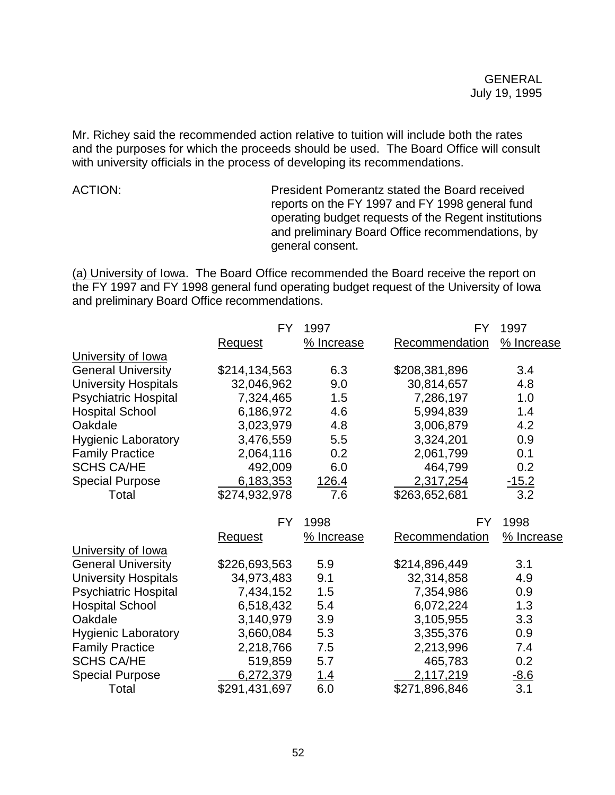Mr. Richey said the recommended action relative to tuition will include both the rates and the purposes for which the proceeds should be used. The Board Office will consult with university officials in the process of developing its recommendations.

ACTION: President Pomerantz stated the Board received reports on the FY 1997 and FY 1998 general fund operating budget requests of the Regent institutions and preliminary Board Office recommendations, by general consent.

(a) University of Iowa. The Board Office recommended the Board receive the report on the FY 1997 and FY 1998 general fund operating budget request of the University of Iowa and preliminary Board Office recommendations.

|                             | <b>FY</b>      | 1997        | FY.                   | 1997       |
|-----------------------------|----------------|-------------|-----------------------|------------|
|                             | <b>Request</b> | % Increase  | Recommendation        | % Increase |
| University of Iowa          |                |             |                       |            |
| <b>General University</b>   | \$214,134,563  | 6.3         | \$208,381,896         | 3.4        |
| <b>University Hospitals</b> | 32,046,962     | 9.0         | 30,814,657            | 4.8        |
| <b>Psychiatric Hospital</b> | 7,324,465      | 1.5         | 7,286,197             | 1.0        |
| <b>Hospital School</b>      | 6,186,972      | 4.6         | 5,994,839             | 1.4        |
| Oakdale                     | 3,023,979      | 4.8         | 3,006,879             | 4.2        |
| <b>Hygienic Laboratory</b>  | 3,476,559      | 5.5         | 3,324,201             | 0.9        |
| <b>Family Practice</b>      | 2,064,116      | 0.2         | 2,061,799             | 0.1        |
| <b>SCHS CA/HE</b>           | 492,009        | 6.0         | 464,799               | 0.2        |
| <b>Special Purpose</b>      | 6,183,353      | 126.4       | 2,317,254             | $-15.2$    |
| Total                       | \$274,932,978  | 7.6         | \$263,652,681         | 3.2        |
|                             | <b>FY</b>      | 1998        | FY.                   | 1998       |
|                             | <u>Request</u> | % Increase  | <b>Recommendation</b> | % Increase |
| University of lowa          |                |             |                       |            |
| <b>General University</b>   | \$226,693,563  | 5.9         | \$214,896,449         | 3.1        |
| <b>University Hospitals</b> | 34,973,483     | 9.1         | 32,314,858            | 4.9        |
| <b>Psychiatric Hospital</b> | 7,434,152      | 1.5         | 7,354,986             | 0.9        |
| <b>Hospital School</b>      | 6,518,432      | 5.4         | 6,072,224             | 1.3        |
| Oakdale                     | 3,140,979      | 3.9         | 3,105,955             | 3.3        |
| <b>Hygienic Laboratory</b>  | 3,660,084      | 5.3         | 3,355,376             | 0.9        |
| <b>Family Practice</b>      |                |             | 2,213,996             | 7.4        |
|                             | 2,218,766      | 7.5         |                       |            |
| <b>SCHS CA/HE</b>           | 519,859        | 5.7         | 465,783               | 0.2        |
| <b>Special Purpose</b>      | 6,272,379      | <u> 1.4</u> | 2,117,219             | $-8.6$     |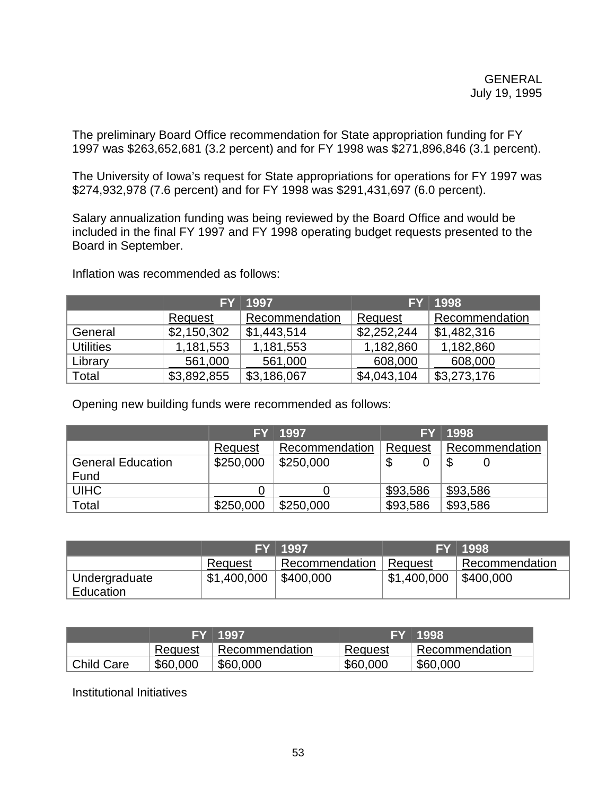The preliminary Board Office recommendation for State appropriation funding for FY 1997 was \$263,652,681 (3.2 percent) and for FY 1998 was \$271,896,846 (3.1 percent).

The University of Iowa's request for State appropriations for operations for FY 1997 was \$274,932,978 (7.6 percent) and for FY 1998 was \$291,431,697 (6.0 percent).

Salary annualization funding was being reviewed by the Board Office and would be included in the final FY 1997 and FY 1998 operating budget requests presented to the Board in September.

|                  | FY          | 1997           | <b>FY</b>   | 1998           |
|------------------|-------------|----------------|-------------|----------------|
|                  | Request     | Recommendation | Request     | Recommendation |
| General          | \$2,150,302 | \$1,443,514    | \$2,252,244 | \$1,482,316    |
| <b>Utilities</b> | 1,181,553   | 1,181,553      | 1,182,860   | 1,182,860      |
| Library          | 561,000     | 561,000        | 608,000     | 608,000        |
| Total            | \$3,892,855 | \$3,186,067    | \$4,043,104 | \$3,273,176    |

Inflation was recommended as follows:

Opening new building funds were recommended as follows:

|                          |           | FY 1997        |          | FY 1998        |
|--------------------------|-----------|----------------|----------|----------------|
|                          | Request   | Recommendation | Request  | Recommendation |
| <b>General Education</b> | \$250,000 | \$250,000      | D        | D              |
| Fund                     |           |                |          |                |
| <b>UIHC</b>              |           |                | \$93,586 | \$93,586       |
| Total                    | \$250,000 | \$250,000      | \$93,586 | \$93,586       |

|                            |             | FY 1997                     |             | FY 1998        |
|----------------------------|-------------|-----------------------------|-------------|----------------|
|                            | Request     | <sup>1</sup> Recommendation | ∣ Request   | Recommendation |
| Undergraduate<br>Education | \$1,400,000 | \$400,000                   | \$1,400,000 | \$400,000      |

|                   | 7FY ∃1997. |                |          | 'FY 1998.      |
|-------------------|------------|----------------|----------|----------------|
|                   | Request    | Recommendation | Request  | Recommendation |
| <b>Child Care</b> | \$60,000   | \$60,000       | \$60,000 | \$60,000       |

Institutional Initiatives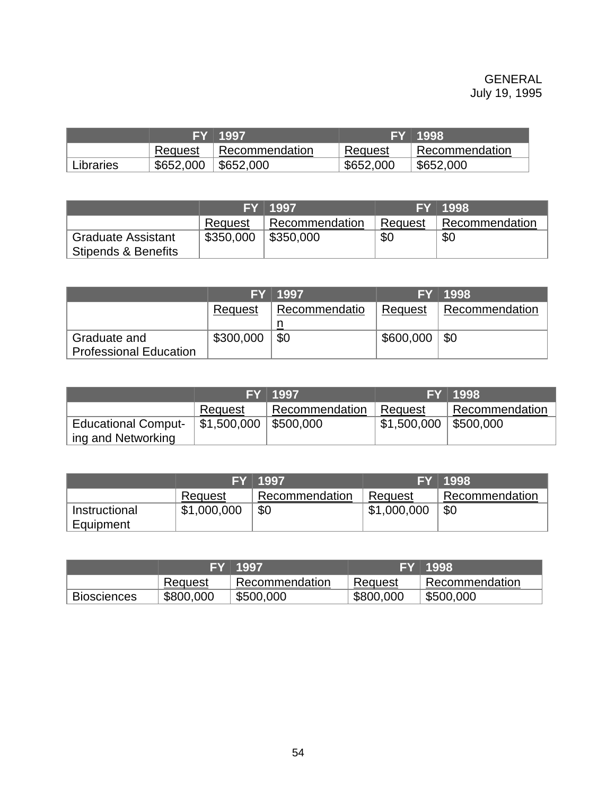|           |           | 7FY 1997.      |           | FY 1998        |
|-----------|-----------|----------------|-----------|----------------|
|           | Request   | Recommendation | Request   | Recommendation |
| Libraries | \$652,000 | \$652,000      | \$652,000 | \$652,000      |

|                                |           | FY 1997        |         | FY 1998        |
|--------------------------------|-----------|----------------|---------|----------------|
|                                | Request   | Recommendation | Request | Recommendation |
| <b>Graduate Assistant</b>      | \$350,000 | \$350,000      | \$0     | \$0            |
| <b>Stipends &amp; Benefits</b> |           |                |         |                |

|                                               | FΥ        | 1997          | <b>FY</b> | 1998           |
|-----------------------------------------------|-----------|---------------|-----------|----------------|
|                                               | Request   | Recommendatio | Request   | Recommendation |
|                                               |           |               |           |                |
| Graduate and<br><b>Professional Education</b> | \$300,000 | \$0           | \$600,000 | \$0            |

|                                                  |                                       | FY 1997                     |                          | FY 1998        |
|--------------------------------------------------|---------------------------------------|-----------------------------|--------------------------|----------------|
|                                                  | Request                               | <sup>1</sup> Recommendation | ∣ Request                | Recommendation |
| <b>Educational Comput-</b><br>ing and Networking | $\vert$ \$1,500,000 $\vert$ \$500,000 |                             | $$1,500,000$   \$500,000 |                |

|                            |             | FY 1997        |             | FY 1998        |
|----------------------------|-------------|----------------|-------------|----------------|
|                            | Request     | Recommendation | Request     | Recommendation |
| Instructional<br>Equipment | \$1,000,000 | \$0            | \$1,000,000 | \$0            |

|                    |           | FY 1997        |           | FY 1998        |
|--------------------|-----------|----------------|-----------|----------------|
|                    | Request   | Recommendation | Request   | Recommendation |
| <b>Biosciences</b> | \$800,000 | \$500,000      | \$800,000 | \$500,000      |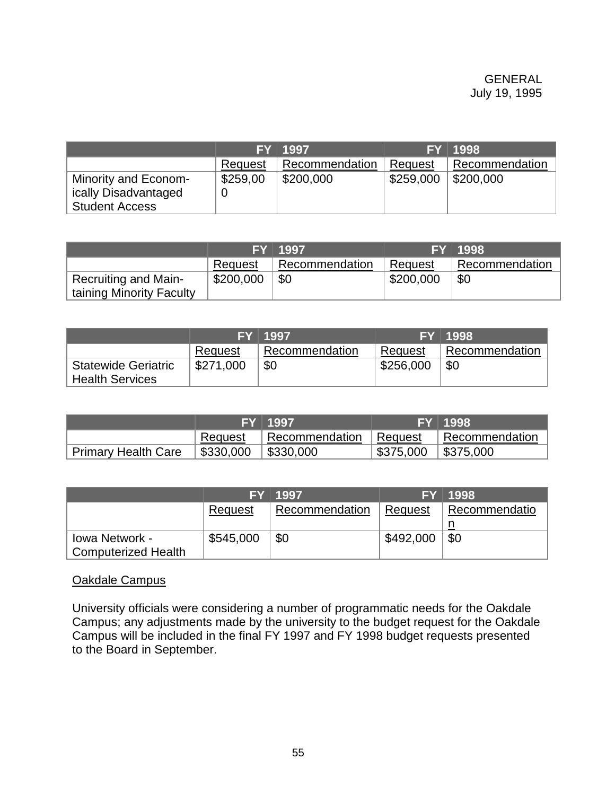|                                                                       |          | FY 1997        |           | FY 1998        |
|-----------------------------------------------------------------------|----------|----------------|-----------|----------------|
|                                                                       | Request  | Recommendation | Request   | Recommendation |
| Minority and Econom-<br>ically Disadvantaged<br><b>Student Access</b> | \$259,00 | \$200,000      | \$259,000 | \$200,000      |

|                             |           | FY 1997        |           | FY 1998        |
|-----------------------------|-----------|----------------|-----------|----------------|
|                             | Request   | Recommendation | Request   | Recommendation |
| <b>Recruiting and Main-</b> | \$200,000 | \$0            | \$200,000 | \$0            |
| taining Minority Faculty    |           |                |           |                |

|                                                      |           | FY 1997        |           | FY 1998        |
|------------------------------------------------------|-----------|----------------|-----------|----------------|
|                                                      | Request   | Recommendation | Request   | Recommendation |
| <b>Statewide Geriatric</b><br><b>Health Services</b> | \$271,000 | \$0            | \$256,000 | \$0            |

|                     |           | FY 1997                               |                                     | FY 1998 |
|---------------------|-----------|---------------------------------------|-------------------------------------|---------|
|                     | Request   | Recommendation Request Recommendation |                                     |         |
| Primary Health Care | \$330,000 | $\frac{1}{2}$ \$330,000               | $\vert$ \$375,000 $\vert$ \$375,000 |         |

|                            |           | FY 1997        |           | FY 1998       |
|----------------------------|-----------|----------------|-----------|---------------|
|                            | Request   | Recommendation | ∣ Request | Recommendatio |
|                            |           |                |           |               |
| Iowa Network -             | \$545,000 | \$0            | \$492,000 | <b>\$0</b>    |
| <b>Computerized Health</b> |           |                |           |               |

### Oakdale Campus

University officials were considering a number of programmatic needs for the Oakdale Campus; any adjustments made by the university to the budget request for the Oakdale Campus will be included in the final FY 1997 and FY 1998 budget requests presented to the Board in September.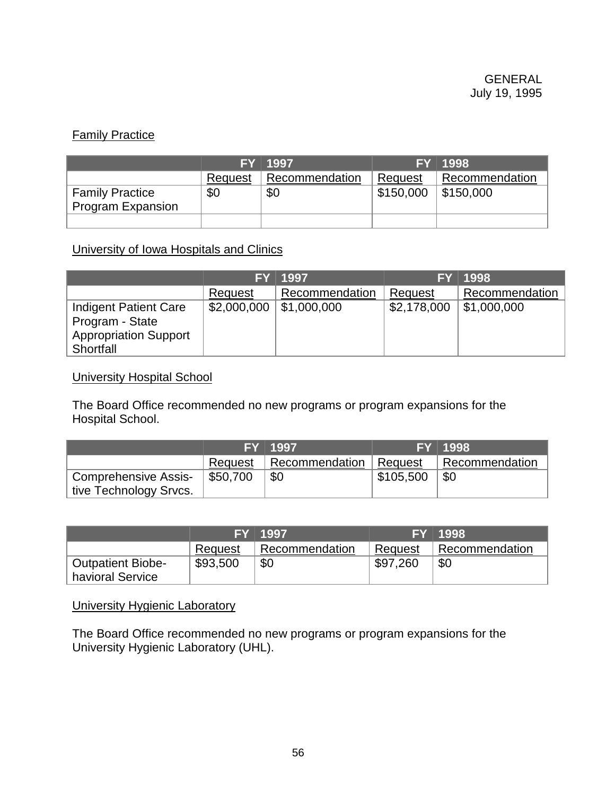# **Family Practice**

|                          |         | $FY$ 1997      |                        | <b>FY 1998</b> |
|--------------------------|---------|----------------|------------------------|----------------|
|                          | Request | Recommendation | Request                | Recommendation |
| <b>Family Practice</b>   | \$0     | \$0            | $$150,000$   \$150,000 |                |
| <b>Program Expansion</b> |         |                |                        |                |
|                          |         |                |                        |                |

University of Iowa Hospitals and Clinics

|                                                                                       | <b>FY</b>                  | 1997           |             | <b>FY 1998</b>      |
|---------------------------------------------------------------------------------------|----------------------------|----------------|-------------|---------------------|
|                                                                                       | Request                    | Recommendation | Request     | Recommendation      |
| Indigent Patient Care<br>Program - State<br><b>Appropriation Support</b><br>Shortfall | $$2,000,000$   \$1,000,000 |                | \$2,178,000 | $\vert$ \$1,000,000 |

### University Hospital School

The Board Office recommended no new programs or program expansions for the Hospital School.

|                        |          | FY 1997        |           | <b>FY 1998</b> |
|------------------------|----------|----------------|-----------|----------------|
|                        | Request  | Recommendation | ⊦ Request | Recommendation |
| Comprehensive Assis-   | \$50,700 | \$0            | \$105,500 | \$0            |
| tive Technology Srvcs. |          |                |           |                |

|                                              |          | FY 1997        |          | FY 1998        |
|----------------------------------------------|----------|----------------|----------|----------------|
|                                              | Request  | Recommendation | Request  | Recommendation |
| <b>Outpatient Biobe-</b><br>havioral Service | \$93,500 | \$0            | \$97,260 | \$0            |

### University Hygienic Laboratory

The Board Office recommended no new programs or program expansions for the University Hygienic Laboratory (UHL).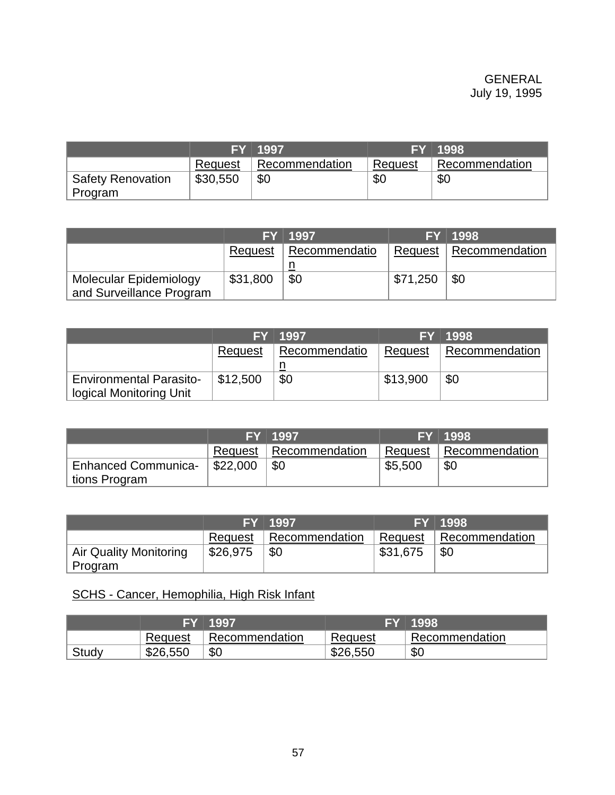|                                     |          | <b>FY</b> 1997 |         | FY 1998        |
|-------------------------------------|----------|----------------|---------|----------------|
|                                     | Request  | Recommendation | Request | Recommendation |
| <b>Safety Renovation</b><br>Program | \$30,550 | \$0            | \$С     | \$0            |

|                          |          | FY 1997                 |                      | FY 1998                         |
|--------------------------|----------|-------------------------|----------------------|---------------------------------|
|                          |          | Request   Recommendatio |                      | <b>Request   Recommendation</b> |
|                          |          |                         |                      |                                 |
| Molecular Epidemiology   | \$31,800 | \$0                     | $\frac{1571,250}{ }$ | \$0                             |
| and Surveillance Program |          |                         |                      |                                 |

|                                                           |          | FY 1997       |          | FY 1998        |
|-----------------------------------------------------------|----------|---------------|----------|----------------|
|                                                           | Request  | Recommendatio | Request  | Recommendation |
| <b>Environmental Parasito-</b><br>logical Monitoring Unit | \$12,500 | \$0           | \$13,900 | \$0            |

|                            |          | FY 1997                  |         | FY 1998                  |
|----------------------------|----------|--------------------------|---------|--------------------------|
|                            |          | Request   Recommendation |         | Request   Recommendation |
| <b>Enhanced Communica-</b> | \$22,000 | \$0                      | \$5,500 | \$0                      |
| tions Program              |          |                          |         |                          |

|                        |          | FY 1997        |          | <b>FY 1998</b> |
|------------------------|----------|----------------|----------|----------------|
|                        | Request  | Recommendation | Request  | Recommendation |
| Air Quality Monitoring | \$26,975 | \$0            | \$31,675 | -\$0           |
| Program                |          |                |          |                |

# SCHS - Cancer, Hemophilia, High Risk Infant

|       | ıЕV      | 1997           |          | 1998           |
|-------|----------|----------------|----------|----------------|
|       | Request  | Recommendation | Request  | Recommendation |
| Study | \$26,550 | \$0            | \$26,550 | \$0            |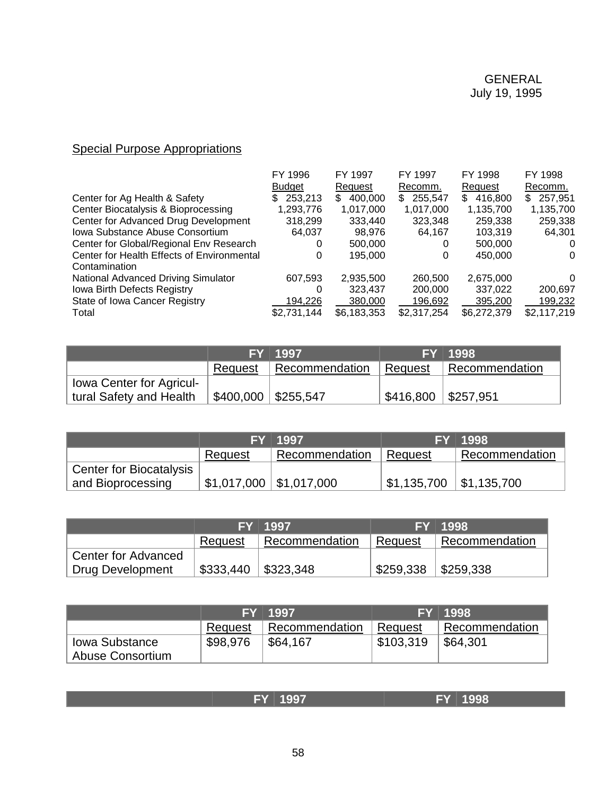# **Special Purpose Appropriations**

| FY 1996       | FY 1997       | FY 1997        | FY 1998       | FY 1998       |
|---------------|---------------|----------------|---------------|---------------|
| <b>Budget</b> | Request       | Recomm.        | Request       | Recomm.       |
| 253,213<br>S. | 400.000<br>S. | 255,547<br>SS. | 416,800<br>S. | 257,951<br>S. |
| 1,293,776     | 1,017,000     | 1,017,000      | 1,135,700     | 1,135,700     |
| 318,299       | 333,440       | 323,348        | 259,338       | 259,338       |
| 64,037        | 98.976        | 64,167         | 103,319       | 64,301        |
| 0             | 500,000       |                | 500,000       | 0             |
| 0             | 195,000       |                | 450,000       | 0             |
|               |               |                |               |               |
| 607,593       | 2,935,500     | 260,500        | 2,675,000     | 0             |
| 0             | 323.437       | 200,000        | 337.022       | 200,697       |
| 194,226       | 380,000       | 196.692        | 395,200       | 199,232       |
| \$2,731,144   | \$6,183,353   | \$2,317,254    | \$6,272,379   | \$2,117,219   |
|               |               |                |               |               |

|                          |                                     | FY 1997                  |                                     | FY 1998        |
|--------------------------|-------------------------------------|--------------------------|-------------------------------------|----------------|
|                          |                                     | Request   Recommendation | ∣ Request                           | Recommendation |
| lowa Center for Agricul- |                                     |                          |                                     |                |
| tural Safety and Health  | $\vert$ \$400,000 $\vert$ \$255,547 |                          | $\upbeta$ 416,800 $\upbeta$ 257,951 |                |

|                                |         | FY 1997                            |                                         | FY 1998        |
|--------------------------------|---------|------------------------------------|-----------------------------------------|----------------|
|                                | Request | Recommendation                     | Request                                 | Recommendation |
| <b>Center for Biocatalysis</b> |         |                                    |                                         |                |
| and Bioprocessing              |         | $,$ \$1,017,000 $\mid$ \$1,017,000 | $\vert$ \$1,135,700 $\vert$ \$1,135,700 |                |

|                     |           | FY 1997                 |                       | <b>FY 1998</b> |
|---------------------|-----------|-------------------------|-----------------------|----------------|
|                     | Request   | Recommendation          | ∣ Request             | Recommendation |
| Center for Advanced |           |                         |                       |                |
| Drug Development    | \$333,440 | $\frac{1}{2}$ \$323,348 | \$259,338   \$259,338 |                |

|                                    |          | FY 1997        |           | FY 1998        |
|------------------------------------|----------|----------------|-----------|----------------|
|                                    | Request  | Recommendation | Request   | Recommendation |
| lowa Substance<br>Abuse Consortium | \$98,976 | \$64,167       | \$103,319 | \$64,301       |

|  |  | <b>1999</b> | $\sim$ $\sim$ | ___<br>Ξ<br>__ | 000 |
|--|--|-------------|---------------|----------------|-----|
|--|--|-------------|---------------|----------------|-----|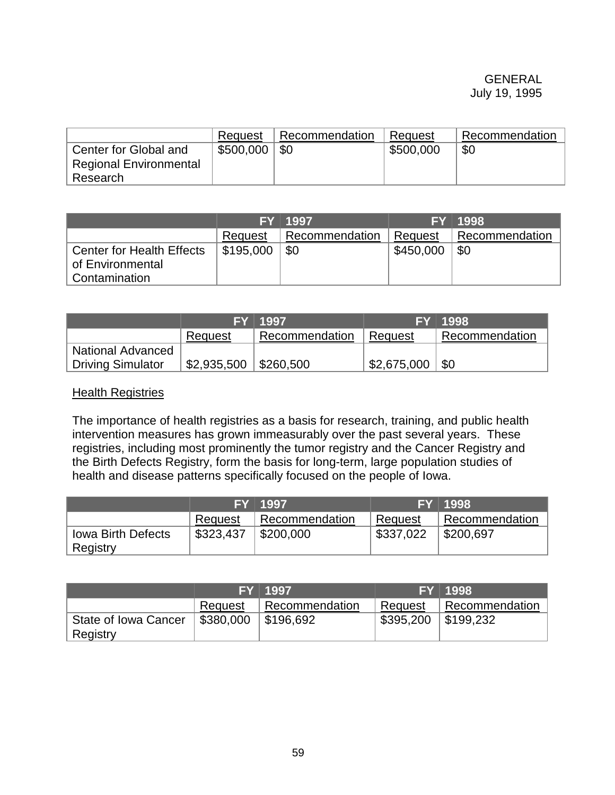### GENERAL July 19, 1995

|                                                        | Request   | Recommendation | Request   | Recommendation |
|--------------------------------------------------------|-----------|----------------|-----------|----------------|
| Center for Global and<br><b>Regional Environmental</b> | \$500,000 | -\$0           | \$500,000 | \$0            |
| Research                                               |           |                |           |                |

|                                                      |           | FY 1997        |           | FY 1998        |
|------------------------------------------------------|-----------|----------------|-----------|----------------|
|                                                      | Request   | Recommendation | Request   | Recommendation |
| <b>Center for Health Effects</b><br>of Environmental | \$195,000 | \$0            | \$450,000 | \$0            |
| Contamination                                        |           |                |           |                |

|                          |             | FY 1997                 |             | FY 1998          |
|--------------------------|-------------|-------------------------|-------------|------------------|
|                          | Request     | Recommendation          | Reguest     | I Recommendation |
| <b>National Advanced</b> |             |                         |             |                  |
| Driving Simulator        | \$2,935,500 | $\frac{1}{2}$ \$260,500 | \$2,675,000 | " \$0            |

### Health Registries

The importance of health registries as a basis for research, training, and public health intervention measures has grown immeasurably over the past several years. These registries, including most prominently the tumor registry and the Cancer Registry and the Birth Defects Registry, form the basis for long-term, large population studies of health and disease patterns specifically focused on the people of Iowa.

|                                       |           | FY 1997              |           | FY 1998        |
|---------------------------------------|-----------|----------------------|-----------|----------------|
|                                       | Request   | Recommendation       | Request   | Recommendation |
| <b>Iowa Birth Defects</b><br>Registry | \$323,437 | $\frac{1}{2}200,000$ | \$337,022 | \$200,697      |

|                                  |           | FY 1997        |           | FY 1998        |
|----------------------------------|-----------|----------------|-----------|----------------|
|                                  | Request   | Recommendation | Request   | Recommendation |
| State of Iowa Cancer<br>Registry | \$380,000 | \$196,692      | \$395,200 | \$199,232      |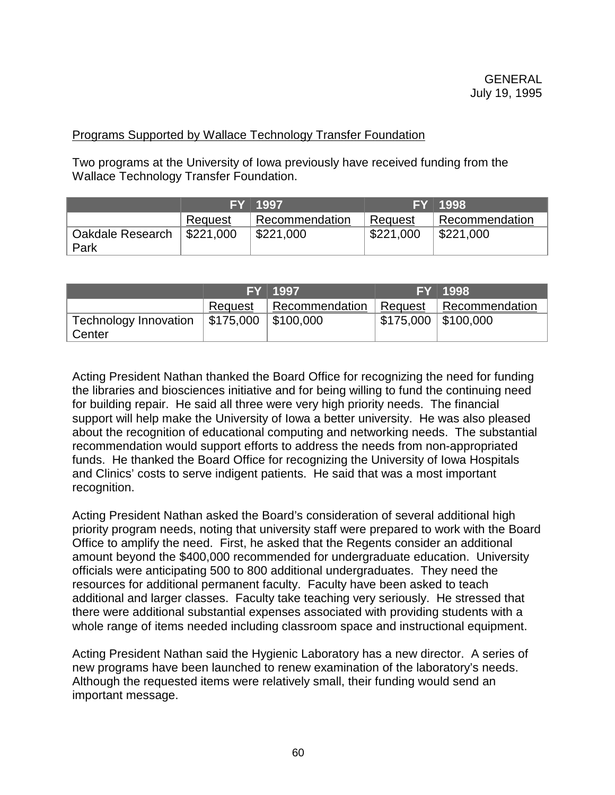## Programs Supported by Wallace Technology Transfer Foundation

Two programs at the University of Iowa previously have received funding from the Wallace Technology Transfer Foundation.

|                          |                         | FY 1997        |           | FY 1998        |
|--------------------------|-------------------------|----------------|-----------|----------------|
|                          | Request                 | Recommendation | Request   | Recommendation |
| Oakdale Research<br>Park | $\frac{1}{2}$ \$221,000 | \$221,000      | \$221,000 | \$221,000      |

|                                        |                                     | FY 1997        |                        | FY 1998                |
|----------------------------------------|-------------------------------------|----------------|------------------------|------------------------|
|                                        | Request                             | Recommendation |                        | Request Recommendation |
| Technology Innovation<br><b>Center</b> | $\vert$ \$175,000 $\vert$ \$100,000 |                | ,\$175,000   \$100,000 |                        |

Acting President Nathan thanked the Board Office for recognizing the need for funding the libraries and biosciences initiative and for being willing to fund the continuing need for building repair. He said all three were very high priority needs. The financial support will help make the University of Iowa a better university. He was also pleased about the recognition of educational computing and networking needs. The substantial recommendation would support efforts to address the needs from non-appropriated funds. He thanked the Board Office for recognizing the University of Iowa Hospitals and Clinics' costs to serve indigent patients. He said that was a most important recognition.

Acting President Nathan asked the Board's consideration of several additional high priority program needs, noting that university staff were prepared to work with the Board Office to amplify the need. First, he asked that the Regents consider an additional amount beyond the \$400,000 recommended for undergraduate education. University officials were anticipating 500 to 800 additional undergraduates. They need the resources for additional permanent faculty. Faculty have been asked to teach additional and larger classes. Faculty take teaching very seriously. He stressed that there were additional substantial expenses associated with providing students with a whole range of items needed including classroom space and instructional equipment.

Acting President Nathan said the Hygienic Laboratory has a new director. A series of new programs have been launched to renew examination of the laboratory's needs. Although the requested items were relatively small, their funding would send an important message.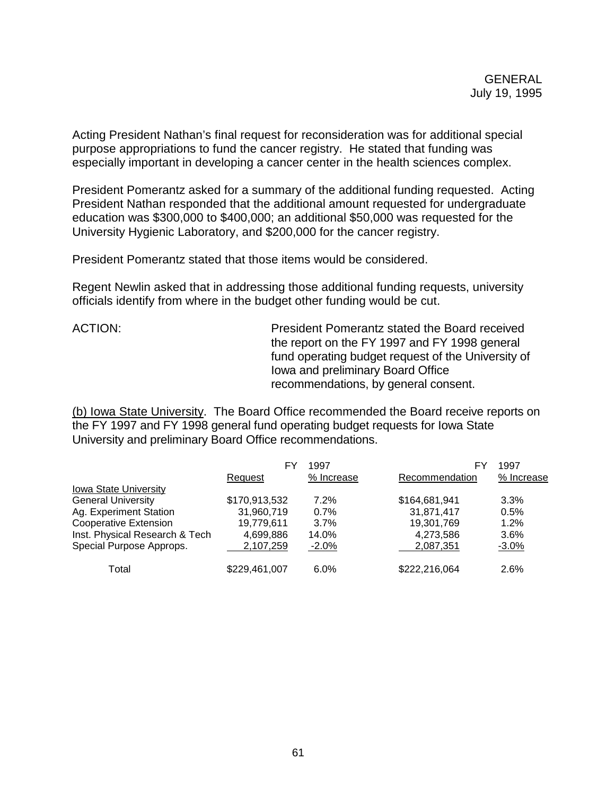Acting President Nathan's final request for reconsideration was for additional special purpose appropriations to fund the cancer registry. He stated that funding was especially important in developing a cancer center in the health sciences complex.

President Pomerantz asked for a summary of the additional funding requested. Acting President Nathan responded that the additional amount requested for undergraduate education was \$300,000 to \$400,000; an additional \$50,000 was requested for the University Hygienic Laboratory, and \$200,000 for the cancer registry.

President Pomerantz stated that those items would be considered.

Regent Newlin asked that in addressing those additional funding requests, university officials identify from where in the budget other funding would be cut.

ACTION: President Pomerantz stated the Board received the report on the FY 1997 and FY 1998 general fund operating budget request of the University of Iowa and preliminary Board Office recommendations, by general consent.

(b) Iowa State University. The Board Office recommended the Board receive reports on the FY 1997 and FY 1998 general fund operating budget requests for Iowa State University and preliminary Board Office recommendations.

|                                | FY            | 1997       | FY             | 1997       |
|--------------------------------|---------------|------------|----------------|------------|
|                                | Request       | % Increase | Recommendation | % Increase |
| Iowa State University          |               |            |                |            |
| <b>General University</b>      | \$170,913,532 | 7.2%       | \$164,681,941  | $3.3\%$    |
| Ag. Experiment Station         | 31,960,719    | 0.7%       | 31,871,417     | 0.5%       |
| <b>Cooperative Extension</b>   | 19.779.611    | 3.7%       | 19,301,769     | 1.2%       |
| Inst. Physical Research & Tech | 4,699,886     | 14.0%      | 4,273,586      | 3.6%       |
| Special Purpose Approps.       | 2,107,259     | $-2.0\%$   | 2,087,351      | $-3.0%$    |
| Total                          | \$229,461,007 | 6.0%       | \$222,216,064  | 2.6%       |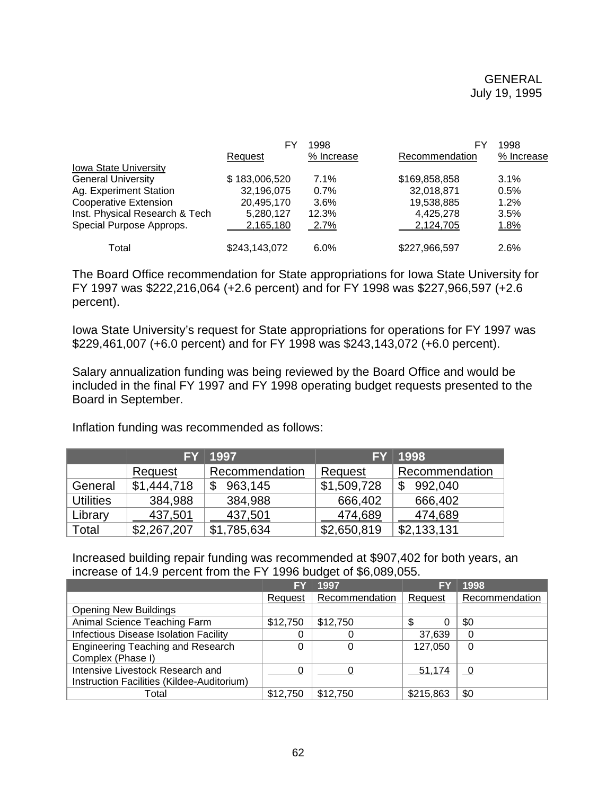|                                | FY            | 1998       | FY             | 1998       |  |
|--------------------------------|---------------|------------|----------------|------------|--|
|                                | Request       | % Increase | Recommendation | % Increase |  |
| Iowa State University          |               |            |                |            |  |
| <b>General University</b>      | \$183,006,520 | 7.1%       | \$169,858,858  | 3.1%       |  |
| Ag. Experiment Station         | 32,196,075    | 0.7%       | 32,018,871     | 0.5%       |  |
| <b>Cooperative Extension</b>   | 20,495,170    | 3.6%       | 19,538,885     | 1.2%       |  |
| Inst. Physical Research & Tech | 5,280,127     | 12.3%      | 4,425,278      | 3.5%       |  |
| Special Purpose Approps.       | 2,165,180     | 2.7%       | 2,124,705      | 1.8%       |  |
| Total                          | \$243,143,072 | 6.0%       | \$227,966,597  | 2.6%       |  |

The Board Office recommendation for State appropriations for Iowa State University for FY 1997 was \$222,216,064 (+2.6 percent) and for FY 1998 was \$227,966,597 (+2.6 percent).

Iowa State University's request for State appropriations for operations for FY 1997 was \$229,461,007 (+6.0 percent) and for FY 1998 was \$243,143,072 (+6.0 percent).

Salary annualization funding was being reviewed by the Board Office and would be included in the final FY 1997 and FY 1998 operating budget requests presented to the Board in September.

Inflation funding was recommended as follows:

|                  | <b>FY</b>   | 1997           | <b>FY</b>   | 1998           |
|------------------|-------------|----------------|-------------|----------------|
|                  | Request     | Recommendation | Request     | Recommendation |
| General          | \$1,444,718 | 963,145        | \$1,509,728 | 992,040        |
| <b>Utilities</b> | 384,988     | 384,988        | 666,402     | 666,402        |
| Library          | 437,501     | 437,501        | 474,689     | 474,689        |
| Total            | \$2,267,207 | \$1,785,634    | \$2,650,819 | \$2,133,131    |

Increased building repair funding was recommended at \$907,402 for both years, an increase of 14.9 percent from the FY 1996 budget of \$6,089,055.

|                                            | FΥ       | 1997           | EY        | 1998           |
|--------------------------------------------|----------|----------------|-----------|----------------|
|                                            | Request  | Recommendation | Request   | Recommendation |
| <b>Opening New Buildings</b>               |          |                |           |                |
| Animal Science Teaching Farm               | \$12,750 | \$12,750       |           | \$0            |
| Infectious Disease Isolation Facility      |          |                | 37,639    | 0              |
| <b>Engineering Teaching and Research</b>   | 0        | 0              | 127,050   | 0              |
| Complex (Phase I)                          |          |                |           |                |
| Intensive Livestock Research and           |          |                | 51,174    |                |
| Instruction Facilities (Kildee-Auditorium) |          |                |           |                |
| Total                                      | \$12,750 | \$12,750       | \$215,863 | \$0            |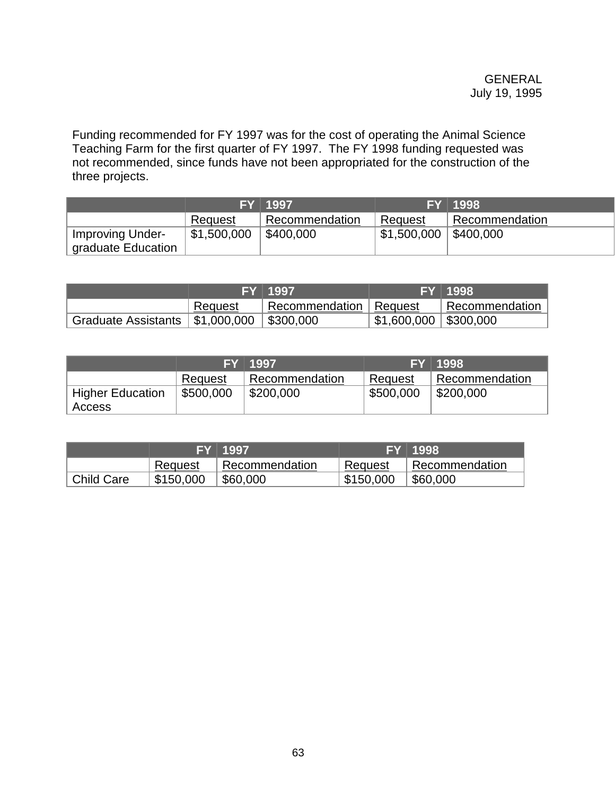Funding recommended for FY 1997 was for the cost of operating the Animal Science Teaching Farm for the first quarter of FY 1997. The FY 1998 funding requested was not recommended, since funds have not been appropriated for the construction of the three projects.

|                    |             | FY 1997        |                          | FY 1998                     |
|--------------------|-------------|----------------|--------------------------|-----------------------------|
|                    | Request     | Recommendation | Request                  | <sup>'</sup> Recommendation |
| Improving Under-   | \$1,500,000 | \$400,000      | $$1,500,000$   \$400,000 |                             |
| graduate Education |             |                |                          |                             |

|                                         |         | FY 1997                  |                                                   | FY 1998                     |
|-----------------------------------------|---------|--------------------------|---------------------------------------------------|-----------------------------|
|                                         | Request | Recommendation   Request |                                                   | <sup>1</sup> Recommendation |
| Graduate Assistants $\vert$ \$1,000,000 |         | $ $ \$300,000            | $\frac{1}{2}$ \$1,600,000 $\frac{1}{2}$ \$300,000 |                             |

|                         |           | FY 1997        |           | FY 1998                     |
|-------------------------|-----------|----------------|-----------|-----------------------------|
|                         | Request   | Recommendation | Request   | <sup>1</sup> Recommendation |
| <b>Higher Education</b> | \$500,000 | \$200,000      | \$500,000 | \$200,000                   |
| Access                  |           |                |           |                             |

|                   |           | FY 1997        | EY        | 1998           |
|-------------------|-----------|----------------|-----------|----------------|
|                   | Request   | Recommendation | Request   | Recommendation |
| <b>Child Care</b> | \$150,000 | \$60,000       | \$150,000 | \$60,000       |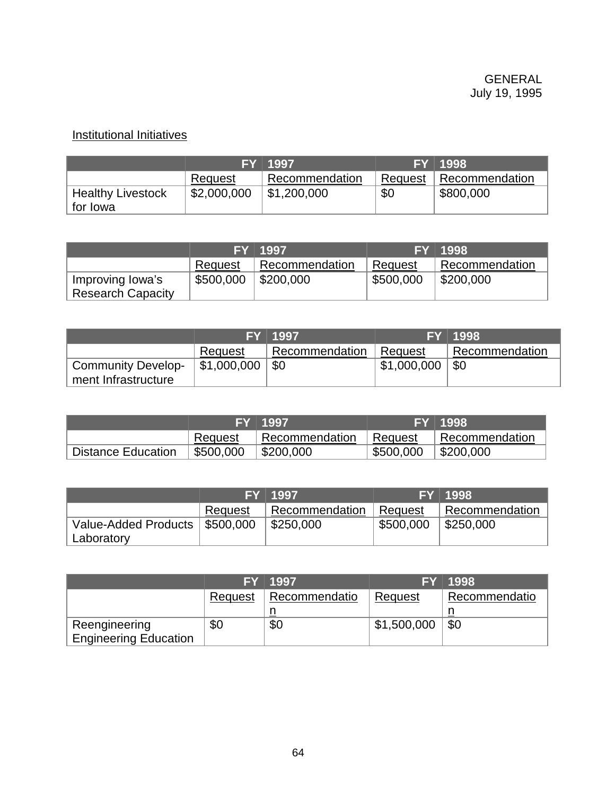# Institutional Initiatives

|                          |             | FY 1997        |         | FY 1998        |
|--------------------------|-------------|----------------|---------|----------------|
|                          | Request     | Recommendation | Request | Recommendation |
| <b>Healthy Livestock</b> | \$2,000,000 | \$1,200,000    | \$0     | \$800,000      |
| ∣ for Iowa               |             |                |         |                |

|                          |           | FY 1997        |           | FY 1998              |
|--------------------------|-----------|----------------|-----------|----------------------|
|                          | Request   | Recommendation | Request   | Recommendation       |
| Improving Iowa's         | \$500,000 | \$200,000      | \$500,000 | $\frac{1}{2}200,000$ |
| <b>Research Capacity</b> |           |                |           |                      |

|               |                |             | FY 1998        |
|---------------|----------------|-------------|----------------|
| Request       | Recommendation | ∣ Request   | Recommendation |
| ∫ \$1,000,000 | \$0            | \$1,000,000 | \$0            |
|               |                | FY 1997     |                |

|                           |           | <b>FY 1997</b> |           | FY 1998        |
|---------------------------|-----------|----------------|-----------|----------------|
|                           | Request   | Recommendation | ∣ Request | Recommendation |
| <b>Distance Education</b> | \$500,000 | \$200,000      | \$500,000 | \$200,000      |

|                                                |         | FY 1997                     |           | FY 1998                 |
|------------------------------------------------|---------|-----------------------------|-----------|-------------------------|
|                                                | Request | <sup>1</sup> Recommendation | Request   | Recommendation          |
| Value-Added Products   \$500,000<br>Laboratory |         | \$250,000                   | \$500,000 | $\frac{1}{2}$ \$250,000 |

|                              |         | FY 1997       |             | FY 1998       |
|------------------------------|---------|---------------|-------------|---------------|
|                              | Request | Recommendatio | Request     | Recommendatio |
|                              |         |               |             |               |
| Reengineering                | \$0     | \$0           | \$1,500,000 | \$0           |
| <b>Engineering Education</b> |         |               |             |               |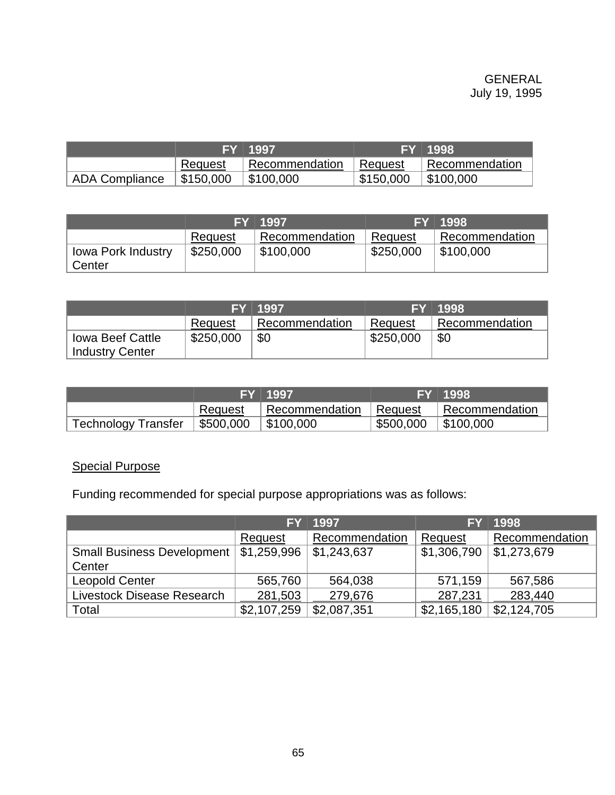|                       |           | <b>FY 1997</b>          |           | FY 1998           |
|-----------------------|-----------|-------------------------|-----------|-------------------|
|                       | Request   | Recommendation          | Request   | I Recommendation  |
| <b>ADA Compliance</b> | \$150,000 | $\frac{1}{2}$ \$100,000 | \$150,000 | $\vert$ \$100,000 |

|                              |           | FY 1997        |           | FY 1998                 |
|------------------------------|-----------|----------------|-----------|-------------------------|
|                              | Request   | Recommendation | Request   | Recommendation          |
| lowa Pork Industry<br>Center | \$250,000 | \$100,000      | \$250,000 | $\frac{1}{2}$ \$100,000 |

|                                                   |           | FY 1997        |           | FY 1998        |
|---------------------------------------------------|-----------|----------------|-----------|----------------|
|                                                   | Request   | Recommendation | Request   | Recommendation |
| <b>Iowa Beef Cattle</b><br><b>Industry Center</b> | \$250,000 | \$0            | \$250,000 | <b>\$C</b>     |

|                                 |         | FY 1997                |           | FY 1998                 |
|---------------------------------|---------|------------------------|-----------|-------------------------|
|                                 | Request | Recommendation Request |           | Recommendation          |
| Technology Transfer   \$500,000 |         | \$100,000              | \$500,000 | $\frac{1}{2}$ \$100,000 |

# Special Purpose

Funding recommended for special purpose appropriations was as follows:

|                            | FY          | 1997           | EY          | 1998                |
|----------------------------|-------------|----------------|-------------|---------------------|
|                            | Request     | Recommendation | Request     | Recommendation      |
| Small Business Development | \$1,259,996 | \$1,243,637    | \$1,306,790 | $\vert$ \$1,273,679 |
| Center                     |             |                |             |                     |
| <b>Leopold Center</b>      | 565,760     | 564,038        | 571,159     | 567,586             |
| Livestock Disease Research | 281,503     | 279,676        | 287,231     | 283,440             |
| Total                      | \$2,107,259 | \$2,087,351    | \$2,165,180 | \$2,124,705         |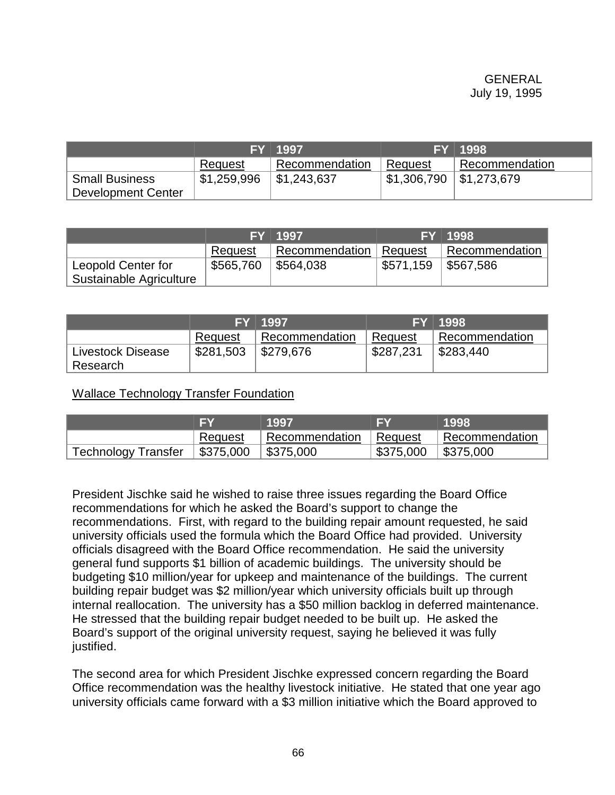|                       |             | 7FY I 1997.    |             | FY 1998                   |
|-----------------------|-------------|----------------|-------------|---------------------------|
|                       | Request     | Recommendation | Request     | Recommendation            |
| <b>Small Business</b> | \$1,259,996 | \$1,243,637    | \$1,306,790 | $\frac{1}{2}$ \$1,273,679 |
| Development Center    |             |                |             |                           |

|                         |           | FY 1997        |           | FY 1998        |
|-------------------------|-----------|----------------|-----------|----------------|
|                         | Request   | Recommendation | Request   | Recommendation |
| Leopold Center for      | \$565,760 | \$564,038      | \$571,159 | \$567,586      |
| Sustainable Agriculture |           |                |           |                |

|                   |           | FY 1997        |           | <b>FY 1998</b> |
|-------------------|-----------|----------------|-----------|----------------|
|                   | Request   | Recommendation | Reauest   | Recommendation |
| Livestock Disease | \$281,503 | \$279,676      | \$287,231 | \$283,440      |
| Research          |           |                |           |                |

Wallace Technology Transfer Foundation

|                            |                                             | 1997                     |           | 1998                    |
|----------------------------|---------------------------------------------|--------------------------|-----------|-------------------------|
|                            | ' Request                                   | Recommendation   Request |           | Recommendation          |
| <b>Technology Transfer</b> | $\parallel$ \$375,000 $\parallel$ \$375,000 |                          | \$375,000 | $\frac{1}{2}$ \$375,000 |

President Jischke said he wished to raise three issues regarding the Board Office recommendations for which he asked the Board's support to change the recommendations. First, with regard to the building repair amount requested, he said university officials used the formula which the Board Office had provided. University officials disagreed with the Board Office recommendation. He said the university general fund supports \$1 billion of academic buildings. The university should be budgeting \$10 million/year for upkeep and maintenance of the buildings. The current building repair budget was \$2 million/year which university officials built up through internal reallocation. The university has a \$50 million backlog in deferred maintenance. He stressed that the building repair budget needed to be built up. He asked the Board's support of the original university request, saying he believed it was fully justified.

The second area for which President Jischke expressed concern regarding the Board Office recommendation was the healthy livestock initiative. He stated that one year ago university officials came forward with a \$3 million initiative which the Board approved to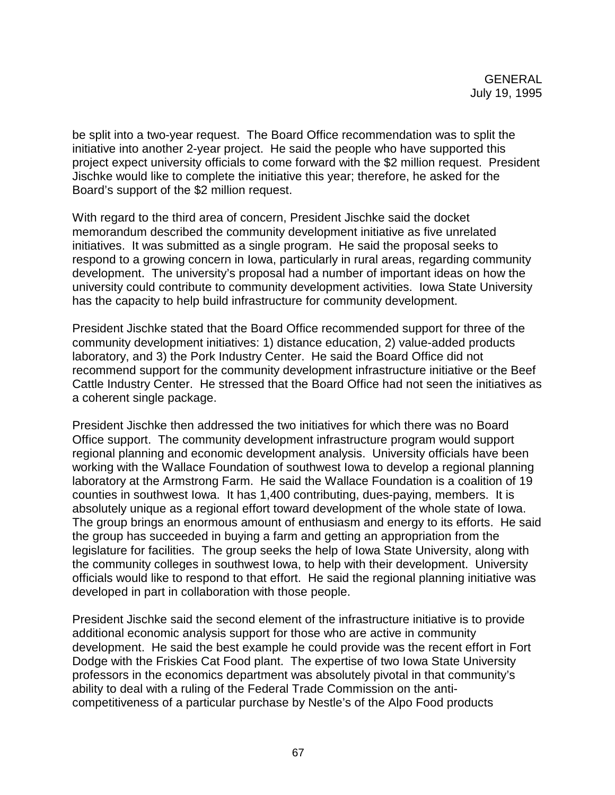be split into a two-year request. The Board Office recommendation was to split the initiative into another 2-year project. He said the people who have supported this project expect university officials to come forward with the \$2 million request. President Jischke would like to complete the initiative this year; therefore, he asked for the Board's support of the \$2 million request.

With regard to the third area of concern, President Jischke said the docket memorandum described the community development initiative as five unrelated initiatives. It was submitted as a single program. He said the proposal seeks to respond to a growing concern in Iowa, particularly in rural areas, regarding community development. The university's proposal had a number of important ideas on how the university could contribute to community development activities. Iowa State University has the capacity to help build infrastructure for community development.

President Jischke stated that the Board Office recommended support for three of the community development initiatives: 1) distance education, 2) value-added products laboratory, and 3) the Pork Industry Center. He said the Board Office did not recommend support for the community development infrastructure initiative or the Beef Cattle Industry Center. He stressed that the Board Office had not seen the initiatives as a coherent single package.

President Jischke then addressed the two initiatives for which there was no Board Office support. The community development infrastructure program would support regional planning and economic development analysis. University officials have been working with the Wallace Foundation of southwest Iowa to develop a regional planning laboratory at the Armstrong Farm. He said the Wallace Foundation is a coalition of 19 counties in southwest Iowa. It has 1,400 contributing, dues-paying, members. It is absolutely unique as a regional effort toward development of the whole state of Iowa. The group brings an enormous amount of enthusiasm and energy to its efforts. He said the group has succeeded in buying a farm and getting an appropriation from the legislature for facilities. The group seeks the help of Iowa State University, along with the community colleges in southwest Iowa, to help with their development. University officials would like to respond to that effort. He said the regional planning initiative was developed in part in collaboration with those people.

President Jischke said the second element of the infrastructure initiative is to provide additional economic analysis support for those who are active in community development. He said the best example he could provide was the recent effort in Fort Dodge with the Friskies Cat Food plant. The expertise of two Iowa State University professors in the economics department was absolutely pivotal in that community's ability to deal with a ruling of the Federal Trade Commission on the anticompetitiveness of a particular purchase by Nestle's of the Alpo Food products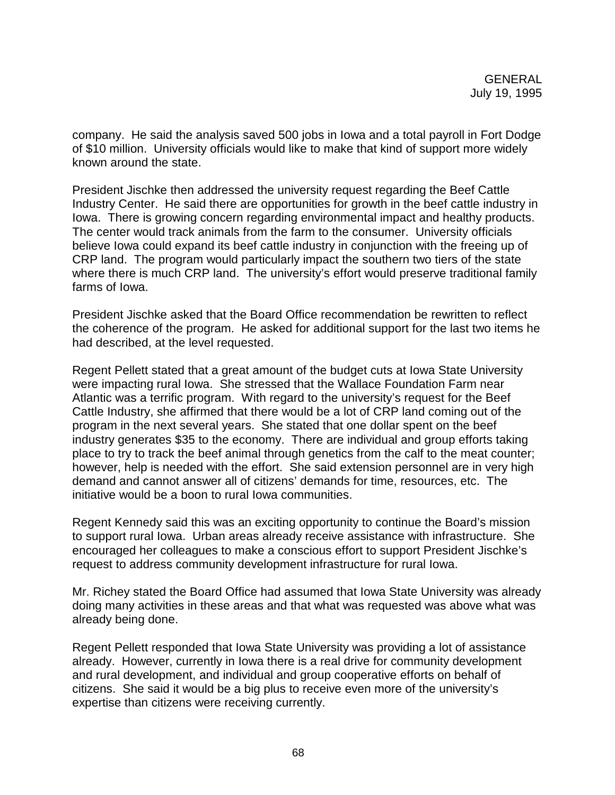company. He said the analysis saved 500 jobs in Iowa and a total payroll in Fort Dodge of \$10 million. University officials would like to make that kind of support more widely known around the state.

President Jischke then addressed the university request regarding the Beef Cattle Industry Center. He said there are opportunities for growth in the beef cattle industry in Iowa. There is growing concern regarding environmental impact and healthy products. The center would track animals from the farm to the consumer. University officials believe Iowa could expand its beef cattle industry in conjunction with the freeing up of CRP land. The program would particularly impact the southern two tiers of the state where there is much CRP land. The university's effort would preserve traditional family farms of Iowa.

President Jischke asked that the Board Office recommendation be rewritten to reflect the coherence of the program. He asked for additional support for the last two items he had described, at the level requested.

Regent Pellett stated that a great amount of the budget cuts at Iowa State University were impacting rural Iowa. She stressed that the Wallace Foundation Farm near Atlantic was a terrific program. With regard to the university's request for the Beef Cattle Industry, she affirmed that there would be a lot of CRP land coming out of the program in the next several years. She stated that one dollar spent on the beef industry generates \$35 to the economy. There are individual and group efforts taking place to try to track the beef animal through genetics from the calf to the meat counter; however, help is needed with the effort. She said extension personnel are in very high demand and cannot answer all of citizens' demands for time, resources, etc. The initiative would be a boon to rural Iowa communities.

Regent Kennedy said this was an exciting opportunity to continue the Board's mission to support rural Iowa. Urban areas already receive assistance with infrastructure. She encouraged her colleagues to make a conscious effort to support President Jischke's request to address community development infrastructure for rural Iowa.

Mr. Richey stated the Board Office had assumed that Iowa State University was already doing many activities in these areas and that what was requested was above what was already being done.

Regent Pellett responded that Iowa State University was providing a lot of assistance already. However, currently in Iowa there is a real drive for community development and rural development, and individual and group cooperative efforts on behalf of citizens. She said it would be a big plus to receive even more of the university's expertise than citizens were receiving currently.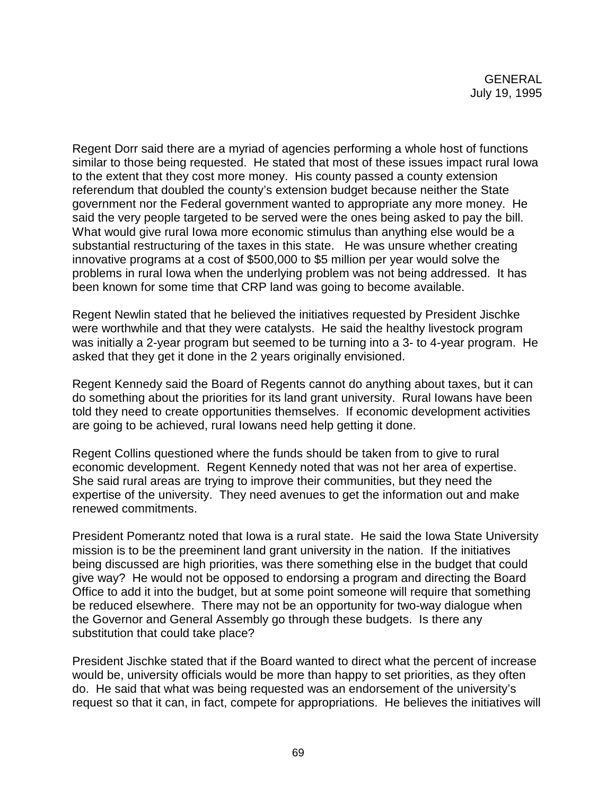Regent Dorr said there are a myriad of agencies performing a whole host of functions similar to those being requested. He stated that most of these issues impact rural Iowa to the extent that they cost more money. His county passed a county extension referendum that doubled the county's extension budget because neither the State government nor the Federal government wanted to appropriate any more money. He said the very people targeted to be served were the ones being asked to pay the bill. What would give rural Iowa more economic stimulus than anything else would be a substantial restructuring of the taxes in this state. He was unsure whether creating innovative programs at a cost of \$500,000 to \$5 million per year would solve the problems in rural Iowa when the underlying problem was not being addressed. It has been known for some time that CRP land was going to become available.

Regent Newlin stated that he believed the initiatives requested by President Jischke were worthwhile and that they were catalysts. He said the healthy livestock program was initially a 2-year program but seemed to be turning into a 3- to 4-year program. He asked that they get it done in the 2 years originally envisioned.

Regent Kennedy said the Board of Regents cannot do anything about taxes, but it can do something about the priorities for its land grant university. Rural Iowans have been told they need to create opportunities themselves. If economic development activities are going to be achieved, rural Iowans need help getting it done.

Regent Collins questioned where the funds should be taken from to give to rural economic development. Regent Kennedy noted that was not her area of expertise. She said rural areas are trying to improve their communities, but they need the expertise of the university. They need avenues to get the information out and make renewed commitments.

President Pomerantz noted that Iowa is a rural state. He said the Iowa State University mission is to be the preeminent land grant university in the nation. If the initiatives being discussed are high priorities, was there something else in the budget that could give way? He would not be opposed to endorsing a program and directing the Board Office to add it into the budget, but at some point someone will require that something be reduced elsewhere. There may not be an opportunity for two-way dialogue when the Governor and General Assembly go through these budgets. Is there any substitution that could take place?

President Jischke stated that if the Board wanted to direct what the percent of increase would be, university officials would be more than happy to set priorities, as they often do. He said that what was being requested was an endorsement of the university's request so that it can, in fact, compete for appropriations. He believes the initiatives will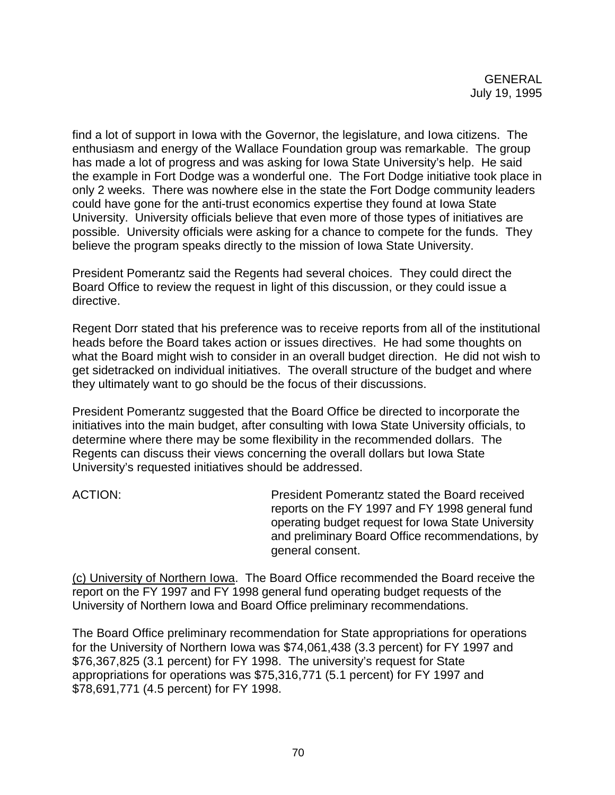find a lot of support in Iowa with the Governor, the legislature, and Iowa citizens. The enthusiasm and energy of the Wallace Foundation group was remarkable. The group has made a lot of progress and was asking for Iowa State University's help. He said the example in Fort Dodge was a wonderful one. The Fort Dodge initiative took place in only 2 weeks. There was nowhere else in the state the Fort Dodge community leaders could have gone for the anti-trust economics expertise they found at Iowa State University. University officials believe that even more of those types of initiatives are possible. University officials were asking for a chance to compete for the funds. They believe the program speaks directly to the mission of Iowa State University.

President Pomerantz said the Regents had several choices. They could direct the Board Office to review the request in light of this discussion, or they could issue a directive.

Regent Dorr stated that his preference was to receive reports from all of the institutional heads before the Board takes action or issues directives. He had some thoughts on what the Board might wish to consider in an overall budget direction. He did not wish to get sidetracked on individual initiatives. The overall structure of the budget and where they ultimately want to go should be the focus of their discussions.

President Pomerantz suggested that the Board Office be directed to incorporate the initiatives into the main budget, after consulting with Iowa State University officials, to determine where there may be some flexibility in the recommended dollars. The Regents can discuss their views concerning the overall dollars but Iowa State University's requested initiatives should be addressed.

ACTION: President Pomerantz stated the Board received reports on the FY 1997 and FY 1998 general fund operating budget request for Iowa State University and preliminary Board Office recommendations, by general consent.

(c) University of Northern Iowa. The Board Office recommended the Board receive the report on the FY 1997 and FY 1998 general fund operating budget requests of the University of Northern Iowa and Board Office preliminary recommendations.

The Board Office preliminary recommendation for State appropriations for operations for the University of Northern Iowa was \$74,061,438 (3.3 percent) for FY 1997 and \$76,367,825 (3.1 percent) for FY 1998. The university's request for State appropriations for operations was \$75,316,771 (5.1 percent) for FY 1997 and \$78,691,771 (4.5 percent) for FY 1998.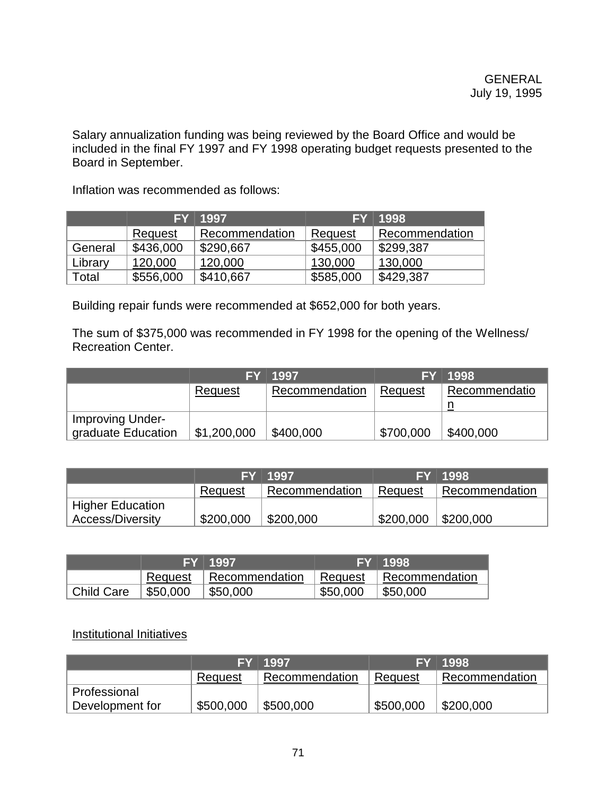Salary annualization funding was being reviewed by the Board Office and would be included in the final FY 1997 and FY 1998 operating budget requests presented to the Board in September.

Inflation was recommended as follows:

|         | FY.            | 1997           | FY             | 1998           |
|---------|----------------|----------------|----------------|----------------|
|         | <b>Request</b> | Recommendation | <b>Request</b> | Recommendation |
| General | \$436,000      | \$290,667      | \$455,000      | \$299,387      |
| Library | 120,000        | 120,000        | 130,000        | 130,000        |
| Total   | \$556,000      | \$410,667      | \$585,000      | \$429,387      |

Building repair funds were recommended at \$652,000 for both years.

The sum of \$375,000 was recommended in FY 1998 for the opening of the Wellness/ Recreation Center.

|                                        |                     | FY 1997        |           | FY 1998       |
|----------------------------------------|---------------------|----------------|-----------|---------------|
|                                        | Request             | Recommendation | Request   | Recommendatio |
|                                        |                     |                |           |               |
| Improving Under-<br>graduate Education | $\vert$ \$1,200,000 | \$400,000      | \$700,000 | \$400,000     |

|                         |           | FY 1997        |                       | FY 1998        |
|-------------------------|-----------|----------------|-----------------------|----------------|
|                         | Request   | Recommendation | Request               | Recommendation |
| <b>Higher Education</b> |           |                |                       |                |
| <b>Access/Diversity</b> | \$200,000 | \$200,000      | \$200,000   \$200,000 |                |

|                         |          | <b>FY 1997</b>                     |          | FY 1998.                   |
|-------------------------|----------|------------------------------------|----------|----------------------------|
|                         |          | Request   Recommendation   Request |          | $\parallel$ Recommendation |
| <sup>t</sup> Child Care | \$50,000 | \$50,000                           | \$50,000 | \$50,000                   |

## Institutional Initiatives

|                 |           | FY 1997        |           | FY 1998        |
|-----------------|-----------|----------------|-----------|----------------|
|                 | Request   | Recommendation | Request   | Recommendation |
| Professional    |           |                |           |                |
| Development for | \$500,000 | \$500,000      | \$500,000 | \$200,000      |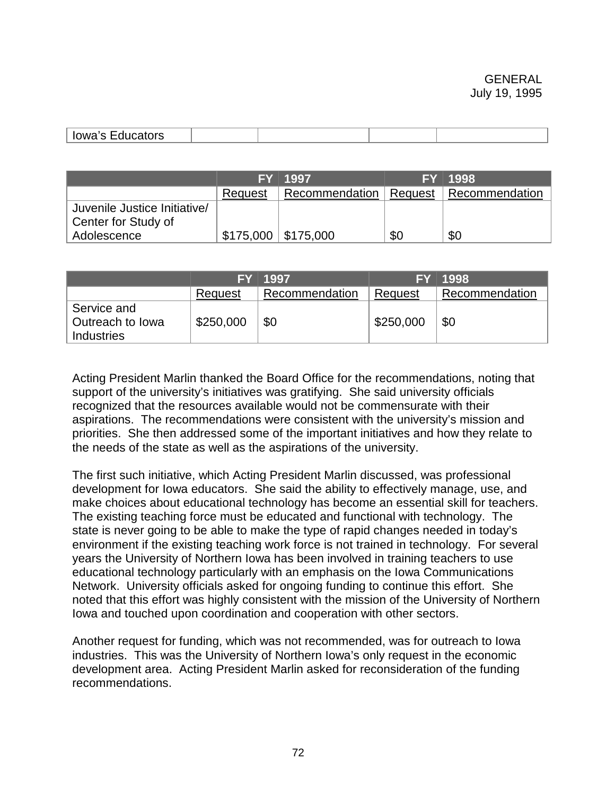| -----<br>lowa's<br>υαιυιδ<br>.<br>$-$ - $        -$ |  |  |
|-----------------------------------------------------|--|--|
|                                                     |  |  |

|                              |                                                 | FY 1997                                   |     | FY 1998 |
|------------------------------|-------------------------------------------------|-------------------------------------------|-----|---------|
|                              | Request                                         | Recommendation   Request   Recommendation |     |         |
| Juvenile Justice Initiative/ |                                                 |                                           |     |         |
| Center for Study of          |                                                 |                                           |     |         |
| Adolescence                  | $\frac{1}{2}$ \$175,000 $\frac{1}{2}$ \$175,000 |                                           | \$0 | \$0     |

|                                                      | FY L      | 1997           | EY        | 1998           |
|------------------------------------------------------|-----------|----------------|-----------|----------------|
|                                                      | Request   | Recommendation | Request   | Recommendation |
| Service and<br>Outreach to Iowa<br><b>Industries</b> | \$250,000 | \$0            | \$250,000 | \$0            |

Acting President Marlin thanked the Board Office for the recommendations, noting that support of the university's initiatives was gratifying. She said university officials recognized that the resources available would not be commensurate with their aspirations. The recommendations were consistent with the university's mission and priorities. She then addressed some of the important initiatives and how they relate to the needs of the state as well as the aspirations of the university.

The first such initiative, which Acting President Marlin discussed, was professional development for Iowa educators. She said the ability to effectively manage, use, and make choices about educational technology has become an essential skill for teachers. The existing teaching force must be educated and functional with technology. The state is never going to be able to make the type of rapid changes needed in today's environment if the existing teaching work force is not trained in technology. For several years the University of Northern Iowa has been involved in training teachers to use educational technology particularly with an emphasis on the Iowa Communications Network. University officials asked for ongoing funding to continue this effort. She noted that this effort was highly consistent with the mission of the University of Northern Iowa and touched upon coordination and cooperation with other sectors.

Another request for funding, which was not recommended, was for outreach to Iowa industries. This was the University of Northern Iowa's only request in the economic development area. Acting President Marlin asked for reconsideration of the funding recommendations.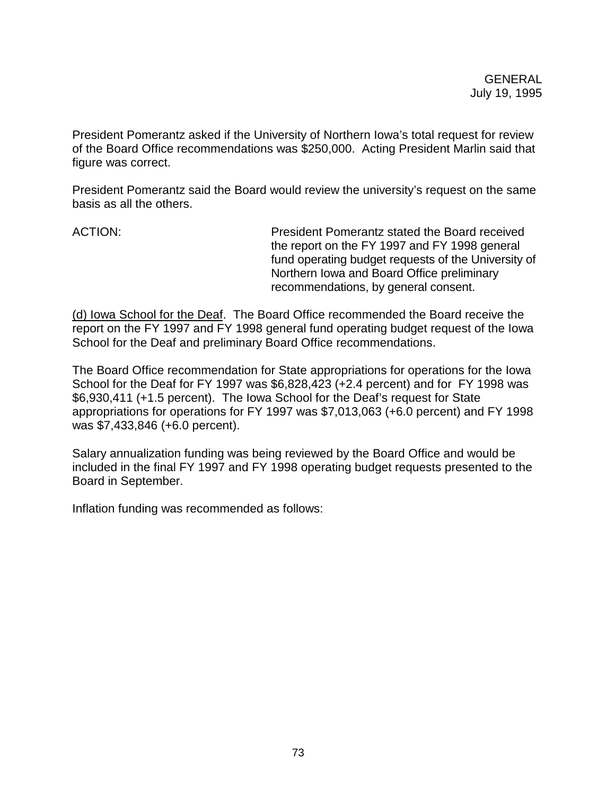President Pomerantz asked if the University of Northern Iowa's total request for review of the Board Office recommendations was \$250,000. Acting President Marlin said that figure was correct.

President Pomerantz said the Board would review the university's request on the same basis as all the others.

ACTION: President Pomerantz stated the Board received the report on the FY 1997 and FY 1998 general fund operating budget requests of the University of Northern Iowa and Board Office preliminary recommendations, by general consent.

(d) Iowa School for the Deaf. The Board Office recommended the Board receive the report on the FY 1997 and FY 1998 general fund operating budget request of the Iowa School for the Deaf and preliminary Board Office recommendations.

The Board Office recommendation for State appropriations for operations for the Iowa School for the Deaf for FY 1997 was \$6,828,423 (+2.4 percent) and for FY 1998 was \$6,930,411 (+1.5 percent). The Iowa School for the Deaf's request for State appropriations for operations for FY 1997 was \$7,013,063 (+6.0 percent) and FY 1998 was \$7,433,846 (+6.0 percent).

Salary annualization funding was being reviewed by the Board Office and would be included in the final FY 1997 and FY 1998 operating budget requests presented to the Board in September.

Inflation funding was recommended as follows: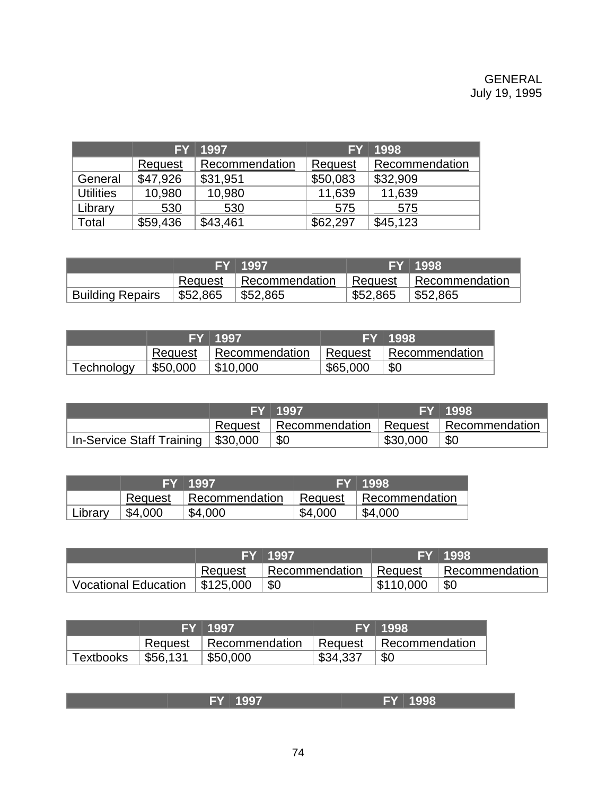# GENERAL July 19, 1995

|                  | <b>FY</b> | 1997           | <b>FY</b> | 1998           |
|------------------|-----------|----------------|-----------|----------------|
|                  | Request   | Recommendation | Request   | Recommendation |
| General          | \$47,926  | \$31,951       | \$50,083  | \$32,909       |
| <b>Utilities</b> | 10,980    | 10,980         | 11,639    | 11,639         |
| Library          | 530       | 530            | 575       | 575            |
| Total            | \$59,436  | \$43,461       | \$62,297  | \$45,123       |

|                         |             | FY 1997                                       |          | FY 1998          |
|-------------------------|-------------|-----------------------------------------------|----------|------------------|
|                         |             | Request Recommendation Request Recommendation |          |                  |
| <b>Building Repairs</b> | \$52,865 \$ | \$52,865                                      | \$52,865 | $\vert$ \$52,865 |

|            |          | FY 1997        |          | 7 FY ⊺1998.            |
|------------|----------|----------------|----------|------------------------|
|            | Request  | Recommendation |          | Request Recommendation |
| Technology | \$50,000 | \$10,000       | \$65,000 | \$0                    |

|                                            | FY 1997                                             |          | FY 1998 |
|--------------------------------------------|-----------------------------------------------------|----------|---------|
|                                            | Request   Recommendation   Request   Recommendation |          |         |
| In-Service Staff Training   \$30,000   \$0 |                                                     | \$30,000 | \$0     |

|         |         | FY 1997        |         | FY 1998        |
|---------|---------|----------------|---------|----------------|
|         | Request | Recommendation | Request | Recommendation |
| Library | \$4,000 | \$4,000        | \$4,000 | \$4,000        |

|                             |           | <b>FY 1997</b>           |           | <b>FY 1998.</b> |
|-----------------------------|-----------|--------------------------|-----------|-----------------|
|                             | Request   | Recommendation   Request |           | Recommendation  |
| <b>Vocational Education</b> | \$125,000 | \$0                      | \$110,000 | \$0             |

|           |          | <b>/FY</b> 1997        |          | FY 1998        |
|-----------|----------|------------------------|----------|----------------|
|           | Request  | Recommendation Request |          | Recommendation |
| Textbooks | \$56,131 | \$50,000               | \$34,337 | \$0            |

| $\mathbf{v}$<br>$-1$ | 70 O |
|----------------------|------|
| - 1                  |      |
|                      |      |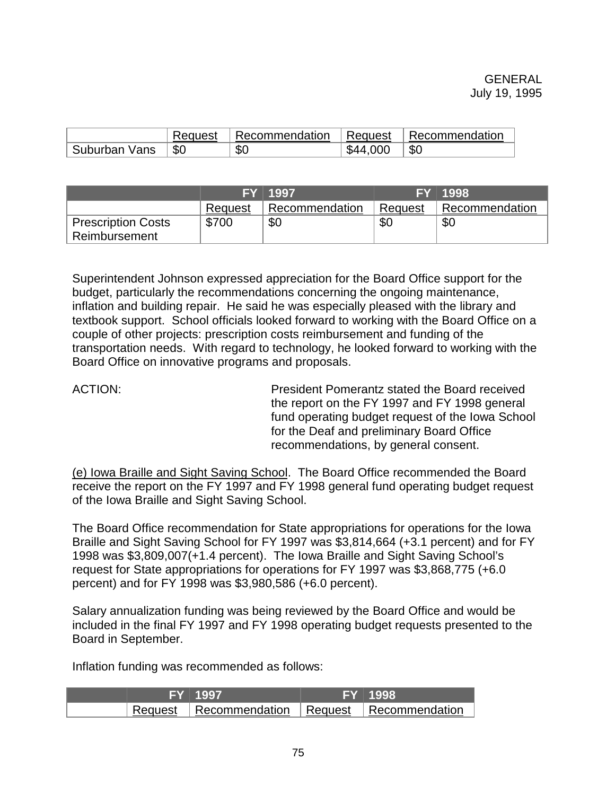|               | Request   | Recommendation | ∣ Request | Recommendation |
|---------------|-----------|----------------|-----------|----------------|
| Suburban Vans | <b>SC</b> | \$0            | \$44,000  | \$0            |

|                           |         | FY 1997        |         | FY 1998        |
|---------------------------|---------|----------------|---------|----------------|
|                           | Request | Recommendation | Request | Recommendation |
| <b>Prescription Costs</b> | \$700   | \$0            | SC.     | \$0            |
| Reimbursement             |         |                |         |                |

Superintendent Johnson expressed appreciation for the Board Office support for the budget, particularly the recommendations concerning the ongoing maintenance, inflation and building repair. He said he was especially pleased with the library and textbook support. School officials looked forward to working with the Board Office on a couple of other projects: prescription costs reimbursement and funding of the transportation needs. With regard to technology, he looked forward to working with the Board Office on innovative programs and proposals.

ACTION: President Pomerantz stated the Board received the report on the FY 1997 and FY 1998 general fund operating budget request of the Iowa School for the Deaf and preliminary Board Office recommendations, by general consent.

(e) Iowa Braille and Sight Saving School. The Board Office recommended the Board receive the report on the FY 1997 and FY 1998 general fund operating budget request of the Iowa Braille and Sight Saving School.

The Board Office recommendation for State appropriations for operations for the Iowa Braille and Sight Saving School for FY 1997 was \$3,814,664 (+3.1 percent) and for FY 1998 was \$3,809,007(+1.4 percent). The Iowa Braille and Sight Saving School's request for State appropriations for operations for FY 1997 was \$3,868,775 (+6.0 percent) and for FY 1998 was \$3,980,586 (+6.0 percent).

Salary annualization funding was being reviewed by the Board Office and would be included in the final FY 1997 and FY 1998 operating budget requests presented to the Board in September.

Inflation funding was recommended as follows:

|  | FY 1997                                             | FY 1998 |
|--|-----------------------------------------------------|---------|
|  | Request   Recommendation   Request   Recommendation |         |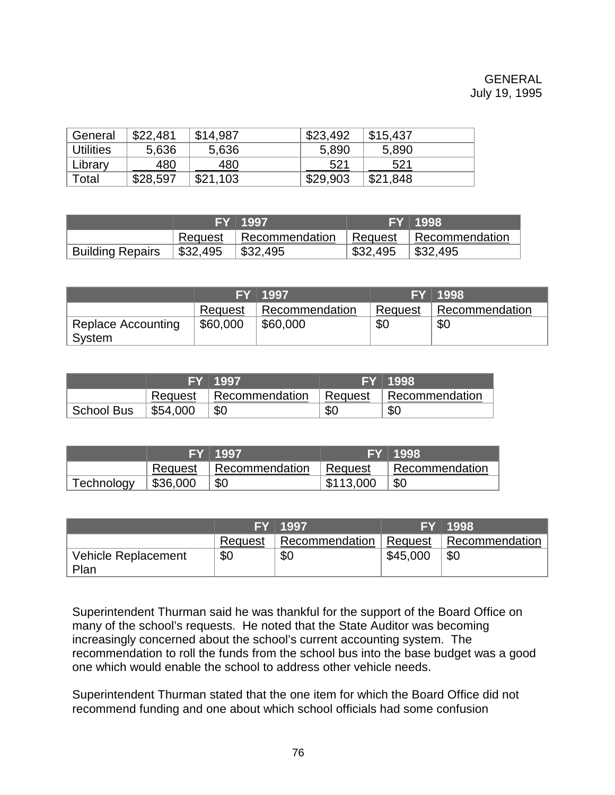# GENERAL July 19, 1995

| General   | \$22,481 | \$14,987 | \$23,492 | \$15,437 |  |
|-----------|----------|----------|----------|----------|--|
| Utilities | 5,636    | 5,636    | 5,890    | 5,890    |  |
| Library   | 480      | 480      | 521      | 521      |  |
| Total     | \$28,597 | \$21,103 | \$29,903 | \$21,848 |  |

|                         |            | ′ FY ⊺1997.              |          | FY 1998                  |
|-------------------------|------------|--------------------------|----------|--------------------------|
|                         |            | Request   Recommendation |          | Request   Recommendation |
| <b>Building Repairs</b> | ∣ \$32,495 | $\frac{1}{2}$ \$32,495   | \$32,495 | $\frac{1}{2}$ \$32,495   |

|                    |          | FY 1997        |         | FY 1998        |
|--------------------|----------|----------------|---------|----------------|
|                    | Request  | Recommendation | Request | Recommendation |
| Replace Accounting | \$60,000 | \$60,000       | \$0     | <b>\$0</b>     |
| System             |          |                |         |                |

|                   |          | FY 1997        |           | FY 1998        |
|-------------------|----------|----------------|-----------|----------------|
|                   | Request  | Recommendation | ∣ Request | Recommendation |
| <b>School Bus</b> | \$54,000 | \$0            | \$0       | \$0            |

|            |                        | FY 1997        |           | ′ FY ⊺1998.    |
|------------|------------------------|----------------|-----------|----------------|
|            | Request                | Recommendation | ∣ Request | Recommendation |
| Technology | $\frac{1}{2}$ \$36,000 | \$0            | \$113,000 | \$0            |

|                             |         | FY 1997        |          | FY 1998        |
|-----------------------------|---------|----------------|----------|----------------|
|                             | Request | Recommendation | Request  | Recommendation |
| Vehicle Replacement<br>Plan | \$0     | \$0            | \$45,000 | \$0            |

Superintendent Thurman said he was thankful for the support of the Board Office on many of the school's requests. He noted that the State Auditor was becoming increasingly concerned about the school's current accounting system. The recommendation to roll the funds from the school bus into the base budget was a good one which would enable the school to address other vehicle needs.

Superintendent Thurman stated that the one item for which the Board Office did not recommend funding and one about which school officials had some confusion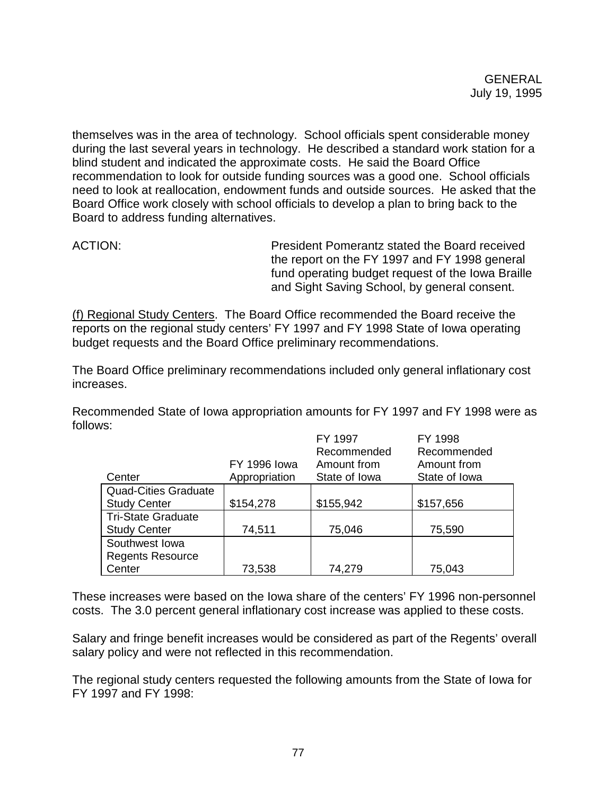themselves was in the area of technology. School officials spent considerable money during the last several years in technology. He described a standard work station for a blind student and indicated the approximate costs. He said the Board Office recommendation to look for outside funding sources was a good one. School officials need to look at reallocation, endowment funds and outside sources. He asked that the Board Office work closely with school officials to develop a plan to bring back to the Board to address funding alternatives.

ACTION: President Pomerantz stated the Board received the report on the FY 1997 and FY 1998 general fund operating budget request of the Iowa Braille and Sight Saving School, by general consent.

(f) Regional Study Centers. The Board Office recommended the Board receive the reports on the regional study centers' FY 1997 and FY 1998 State of Iowa operating budget requests and the Board Office preliminary recommendations.

The Board Office preliminary recommendations included only general inflationary cost increases.

Recommended State of Iowa appropriation amounts for FY 1997 and FY 1998 were as follows:

|                             |                     | FY 1997       | FY 1998       |
|-----------------------------|---------------------|---------------|---------------|
|                             |                     | Recommended   | Recommended   |
|                             | <b>FY 1996 lowa</b> | Amount from   | Amount from   |
| Center                      | Appropriation       | State of Iowa | State of Iowa |
| <b>Quad-Cities Graduate</b> |                     |               |               |
| <b>Study Center</b>         | \$154,278           | \$155,942     | \$157,656     |
| <b>Tri-State Graduate</b>   |                     |               |               |
| <b>Study Center</b>         | 74,511              | 75,046        | 75,590        |
| Southwest Iowa              |                     |               |               |
| <b>Regents Resource</b>     |                     |               |               |
| Center                      | 73,538              | 74,279        | 75,043        |

These increases were based on the Iowa share of the centers' FY 1996 non-personnel costs. The 3.0 percent general inflationary cost increase was applied to these costs.

Salary and fringe benefit increases would be considered as part of the Regents' overall salary policy and were not reflected in this recommendation.

The regional study centers requested the following amounts from the State of Iowa for FY 1997 and FY 1998: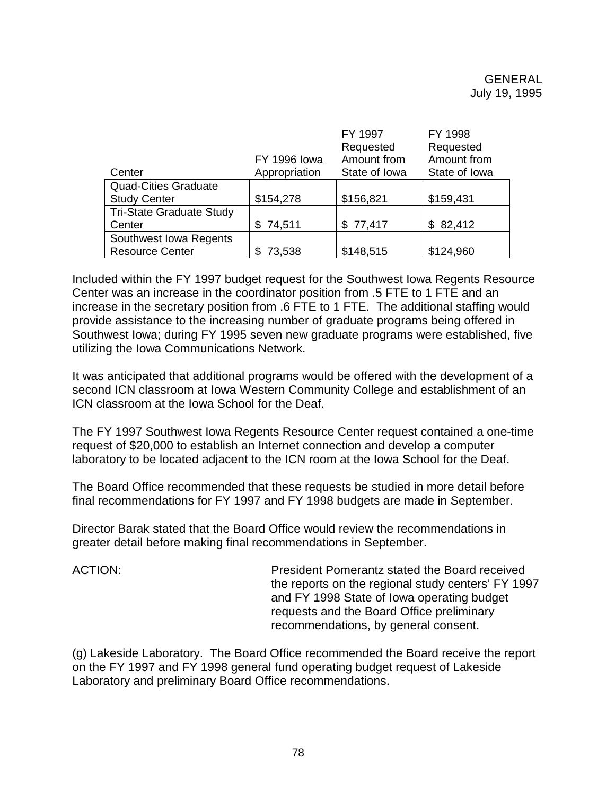|                             |                     | FY 1997       | FY 1998       |
|-----------------------------|---------------------|---------------|---------------|
|                             |                     | Requested     | Requested     |
|                             | <b>FY 1996 lowa</b> | Amount from   | Amount from   |
| Center                      | Appropriation       | State of Iowa | State of Iowa |
| <b>Quad-Cities Graduate</b> |                     |               |               |
| <b>Study Center</b>         | \$154,278           | \$156,821     | \$159,431     |
| Tri-State Graduate Study    |                     |               |               |
| Center                      | \$74,511            | \$77,417      | \$82,412      |
| Southwest Iowa Regents      |                     |               |               |
| <b>Resource Center</b>      | 73,538              | \$148,515     | \$124,960     |

Included within the FY 1997 budget request for the Southwest Iowa Regents Resource Center was an increase in the coordinator position from .5 FTE to 1 FTE and an increase in the secretary position from .6 FTE to 1 FTE. The additional staffing would provide assistance to the increasing number of graduate programs being offered in Southwest Iowa; during FY 1995 seven new graduate programs were established, five utilizing the Iowa Communications Network.

It was anticipated that additional programs would be offered with the development of a second ICN classroom at Iowa Western Community College and establishment of an ICN classroom at the Iowa School for the Deaf.

The FY 1997 Southwest Iowa Regents Resource Center request contained a one-time request of \$20,000 to establish an Internet connection and develop a computer laboratory to be located adjacent to the ICN room at the Iowa School for the Deaf.

The Board Office recommended that these requests be studied in more detail before final recommendations for FY 1997 and FY 1998 budgets are made in September.

Director Barak stated that the Board Office would review the recommendations in greater detail before making final recommendations in September.

ACTION: President Pomerantz stated the Board received the reports on the regional study centers' FY 1997 and FY 1998 State of Iowa operating budget requests and the Board Office preliminary recommendations, by general consent.

(g) Lakeside Laboratory. The Board Office recommended the Board receive the report on the FY 1997 and FY 1998 general fund operating budget request of Lakeside Laboratory and preliminary Board Office recommendations.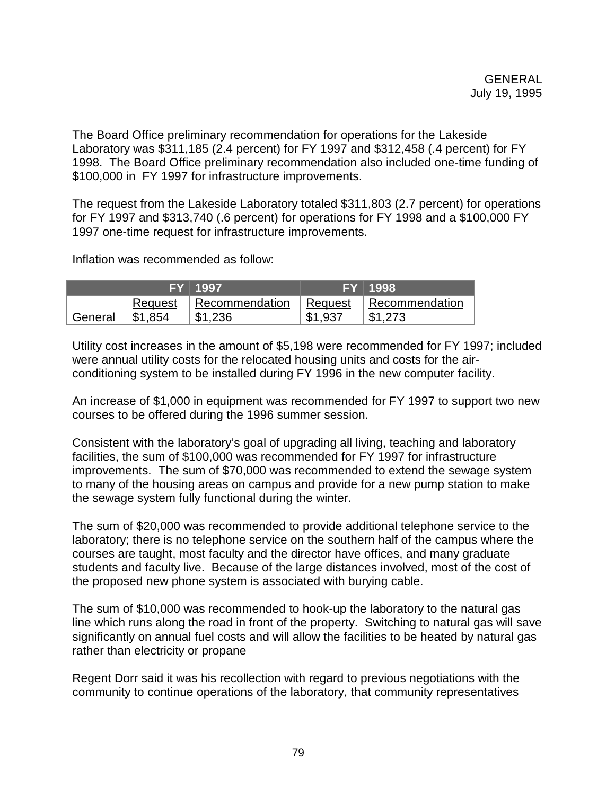The Board Office preliminary recommendation for operations for the Lakeside Laboratory was \$311,185 (2.4 percent) for FY 1997 and \$312,458 (.4 percent) for FY 1998. The Board Office preliminary recommendation also included one-time funding of \$100,000 in FY 1997 for infrastructure improvements.

The request from the Lakeside Laboratory totaled \$311,803 (2.7 percent) for operations for FY 1997 and \$313,740 (.6 percent) for operations for FY 1998 and a \$100,000 FY 1997 one-time request for infrastructure improvements.

Inflation was recommended as follow:

|         |         | FY 1997        |         | FY 1998        |
|---------|---------|----------------|---------|----------------|
|         | Request | Recommendation | Request | Recommendation |
| General | \$1,854 | \$1,236        | \$1,937 | \$1,273        |

Utility cost increases in the amount of \$5,198 were recommended for FY 1997; included were annual utility costs for the relocated housing units and costs for the airconditioning system to be installed during FY 1996 in the new computer facility.

An increase of \$1,000 in equipment was recommended for FY 1997 to support two new courses to be offered during the 1996 summer session.

Consistent with the laboratory's goal of upgrading all living, teaching and laboratory facilities, the sum of \$100,000 was recommended for FY 1997 for infrastructure improvements. The sum of \$70,000 was recommended to extend the sewage system to many of the housing areas on campus and provide for a new pump station to make the sewage system fully functional during the winter.

The sum of \$20,000 was recommended to provide additional telephone service to the laboratory; there is no telephone service on the southern half of the campus where the courses are taught, most faculty and the director have offices, and many graduate students and faculty live. Because of the large distances involved, most of the cost of the proposed new phone system is associated with burying cable.

The sum of \$10,000 was recommended to hook-up the laboratory to the natural gas line which runs along the road in front of the property. Switching to natural gas will save significantly on annual fuel costs and will allow the facilities to be heated by natural gas rather than electricity or propane

Regent Dorr said it was his recollection with regard to previous negotiations with the community to continue operations of the laboratory, that community representatives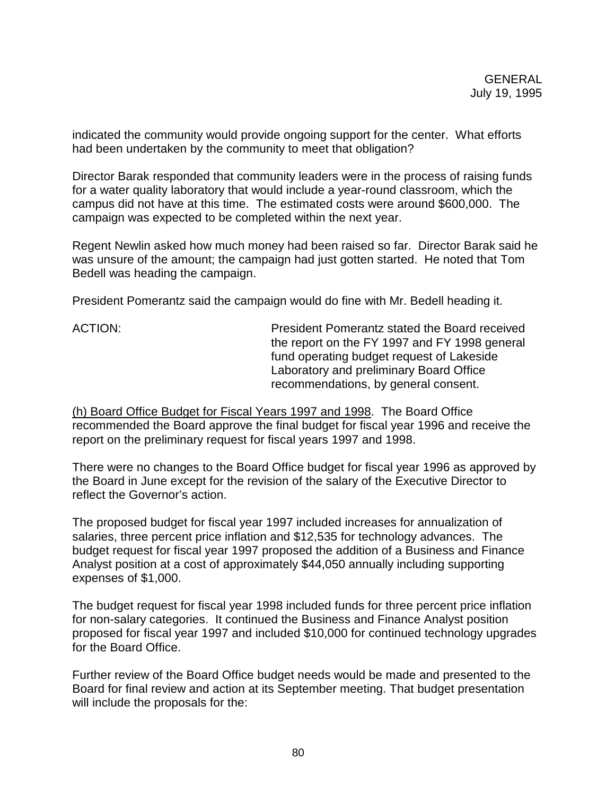indicated the community would provide ongoing support for the center. What efforts had been undertaken by the community to meet that obligation?

Director Barak responded that community leaders were in the process of raising funds for a water quality laboratory that would include a year-round classroom, which the campus did not have at this time. The estimated costs were around \$600,000. The campaign was expected to be completed within the next year.

Regent Newlin asked how much money had been raised so far. Director Barak said he was unsure of the amount; the campaign had just gotten started. He noted that Tom Bedell was heading the campaign.

President Pomerantz said the campaign would do fine with Mr. Bedell heading it.

ACTION: President Pomerantz stated the Board received the report on the FY 1997 and FY 1998 general fund operating budget request of Lakeside Laboratory and preliminary Board Office recommendations, by general consent.

(h) Board Office Budget for Fiscal Years 1997 and 1998. The Board Office recommended the Board approve the final budget for fiscal year 1996 and receive the report on the preliminary request for fiscal years 1997 and 1998.

There were no changes to the Board Office budget for fiscal year 1996 as approved by the Board in June except for the revision of the salary of the Executive Director to reflect the Governor's action.

The proposed budget for fiscal year 1997 included increases for annualization of salaries, three percent price inflation and \$12,535 for technology advances. The budget request for fiscal year 1997 proposed the addition of a Business and Finance Analyst position at a cost of approximately \$44,050 annually including supporting expenses of \$1,000.

The budget request for fiscal year 1998 included funds for three percent price inflation for non-salary categories. It continued the Business and Finance Analyst position proposed for fiscal year 1997 and included \$10,000 for continued technology upgrades for the Board Office.

Further review of the Board Office budget needs would be made and presented to the Board for final review and action at its September meeting. That budget presentation will include the proposals for the: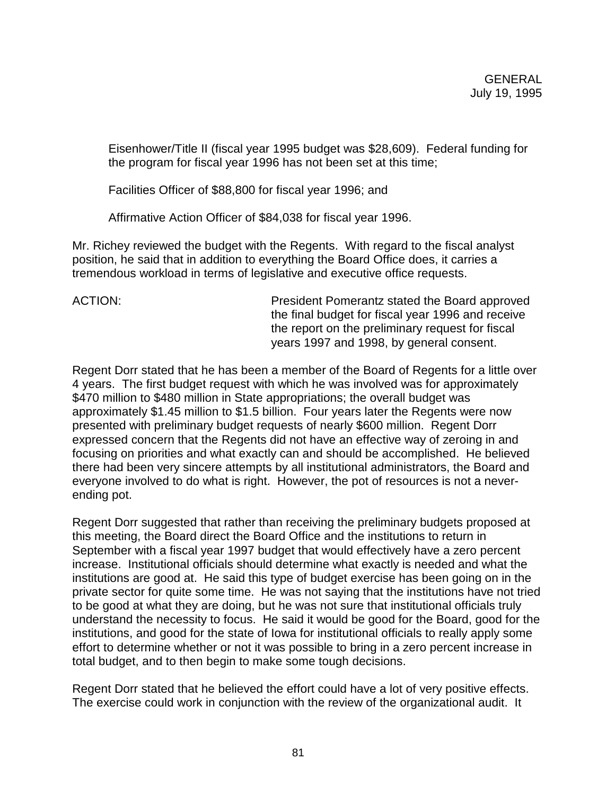Eisenhower/Title II (fiscal year 1995 budget was \$28,609). Federal funding for the program for fiscal year 1996 has not been set at this time;

Facilities Officer of \$88,800 for fiscal year 1996; and

Affirmative Action Officer of \$84,038 for fiscal year 1996.

Mr. Richey reviewed the budget with the Regents. With regard to the fiscal analyst position, he said that in addition to everything the Board Office does, it carries a tremendous workload in terms of legislative and executive office requests.

ACTION: President Pomerantz stated the Board approved the final budget for fiscal year 1996 and receive the report on the preliminary request for fiscal years 1997 and 1998, by general consent.

Regent Dorr stated that he has been a member of the Board of Regents for a little over 4 years. The first budget request with which he was involved was for approximately \$470 million to \$480 million in State appropriations; the overall budget was approximately \$1.45 million to \$1.5 billion. Four years later the Regents were now presented with preliminary budget requests of nearly \$600 million. Regent Dorr expressed concern that the Regents did not have an effective way of zeroing in and focusing on priorities and what exactly can and should be accomplished. He believed there had been very sincere attempts by all institutional administrators, the Board and everyone involved to do what is right. However, the pot of resources is not a neverending pot.

Regent Dorr suggested that rather than receiving the preliminary budgets proposed at this meeting, the Board direct the Board Office and the institutions to return in September with a fiscal year 1997 budget that would effectively have a zero percent increase. Institutional officials should determine what exactly is needed and what the institutions are good at. He said this type of budget exercise has been going on in the private sector for quite some time. He was not saying that the institutions have not tried to be good at what they are doing, but he was not sure that institutional officials truly understand the necessity to focus. He said it would be good for the Board, good for the institutions, and good for the state of Iowa for institutional officials to really apply some effort to determine whether or not it was possible to bring in a zero percent increase in total budget, and to then begin to make some tough decisions.

Regent Dorr stated that he believed the effort could have a lot of very positive effects. The exercise could work in conjunction with the review of the organizational audit. It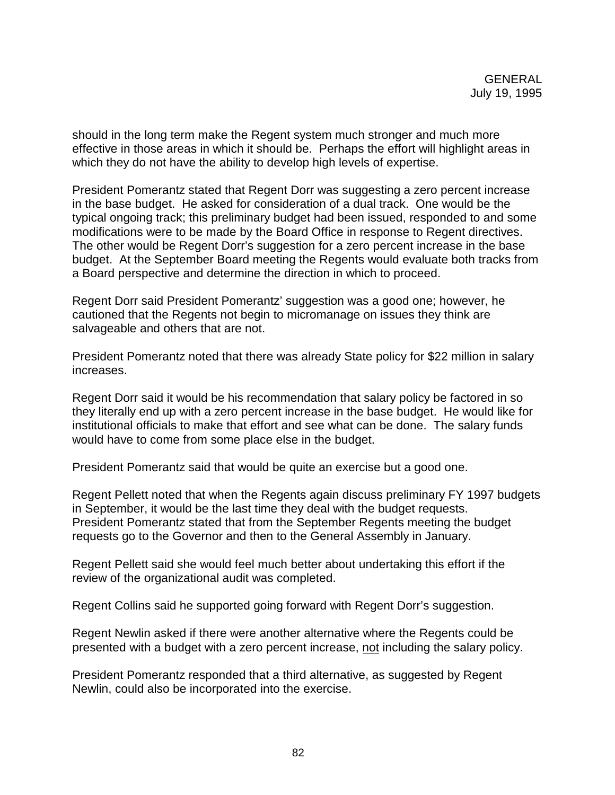should in the long term make the Regent system much stronger and much more effective in those areas in which it should be. Perhaps the effort will highlight areas in which they do not have the ability to develop high levels of expertise.

President Pomerantz stated that Regent Dorr was suggesting a zero percent increase in the base budget. He asked for consideration of a dual track. One would be the typical ongoing track; this preliminary budget had been issued, responded to and some modifications were to be made by the Board Office in response to Regent directives. The other would be Regent Dorr's suggestion for a zero percent increase in the base budget. At the September Board meeting the Regents would evaluate both tracks from a Board perspective and determine the direction in which to proceed.

Regent Dorr said President Pomerantz' suggestion was a good one; however, he cautioned that the Regents not begin to micromanage on issues they think are salvageable and others that are not.

President Pomerantz noted that there was already State policy for \$22 million in salary increases.

Regent Dorr said it would be his recommendation that salary policy be factored in so they literally end up with a zero percent increase in the base budget. He would like for institutional officials to make that effort and see what can be done. The salary funds would have to come from some place else in the budget.

President Pomerantz said that would be quite an exercise but a good one.

Regent Pellett noted that when the Regents again discuss preliminary FY 1997 budgets in September, it would be the last time they deal with the budget requests. President Pomerantz stated that from the September Regents meeting the budget requests go to the Governor and then to the General Assembly in January.

Regent Pellett said she would feel much better about undertaking this effort if the review of the organizational audit was completed.

Regent Collins said he supported going forward with Regent Dorr's suggestion.

Regent Newlin asked if there were another alternative where the Regents could be presented with a budget with a zero percent increase, not including the salary policy.

President Pomerantz responded that a third alternative, as suggested by Regent Newlin, could also be incorporated into the exercise.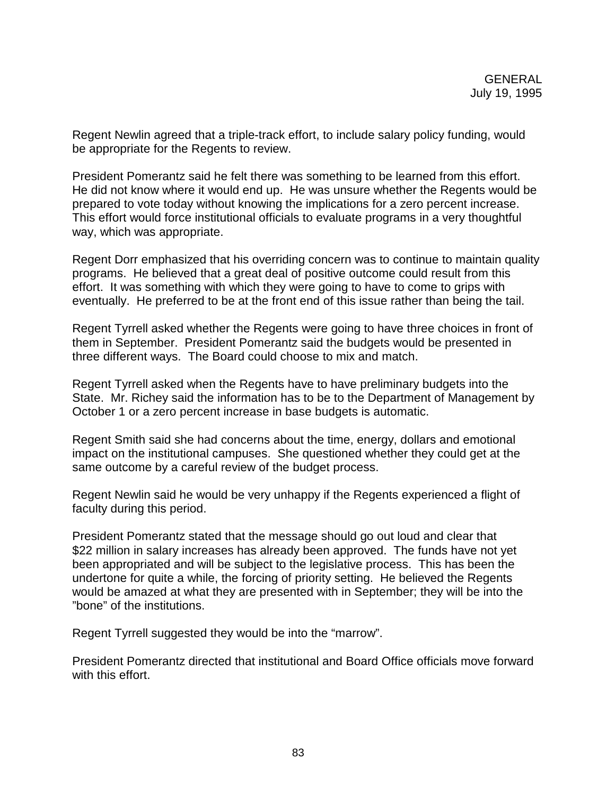Regent Newlin agreed that a triple-track effort, to include salary policy funding, would be appropriate for the Regents to review.

President Pomerantz said he felt there was something to be learned from this effort. He did not know where it would end up. He was unsure whether the Regents would be prepared to vote today without knowing the implications for a zero percent increase. This effort would force institutional officials to evaluate programs in a very thoughtful way, which was appropriate.

Regent Dorr emphasized that his overriding concern was to continue to maintain quality programs. He believed that a great deal of positive outcome could result from this effort. It was something with which they were going to have to come to grips with eventually. He preferred to be at the front end of this issue rather than being the tail.

Regent Tyrrell asked whether the Regents were going to have three choices in front of them in September. President Pomerantz said the budgets would be presented in three different ways. The Board could choose to mix and match.

Regent Tyrrell asked when the Regents have to have preliminary budgets into the State. Mr. Richey said the information has to be to the Department of Management by October 1 or a zero percent increase in base budgets is automatic.

Regent Smith said she had concerns about the time, energy, dollars and emotional impact on the institutional campuses. She questioned whether they could get at the same outcome by a careful review of the budget process.

Regent Newlin said he would be very unhappy if the Regents experienced a flight of faculty during this period.

President Pomerantz stated that the message should go out loud and clear that \$22 million in salary increases has already been approved. The funds have not yet been appropriated and will be subject to the legislative process. This has been the undertone for quite a while, the forcing of priority setting. He believed the Regents would be amazed at what they are presented with in September; they will be into the "bone" of the institutions.

Regent Tyrrell suggested they would be into the "marrow".

President Pomerantz directed that institutional and Board Office officials move forward with this effort.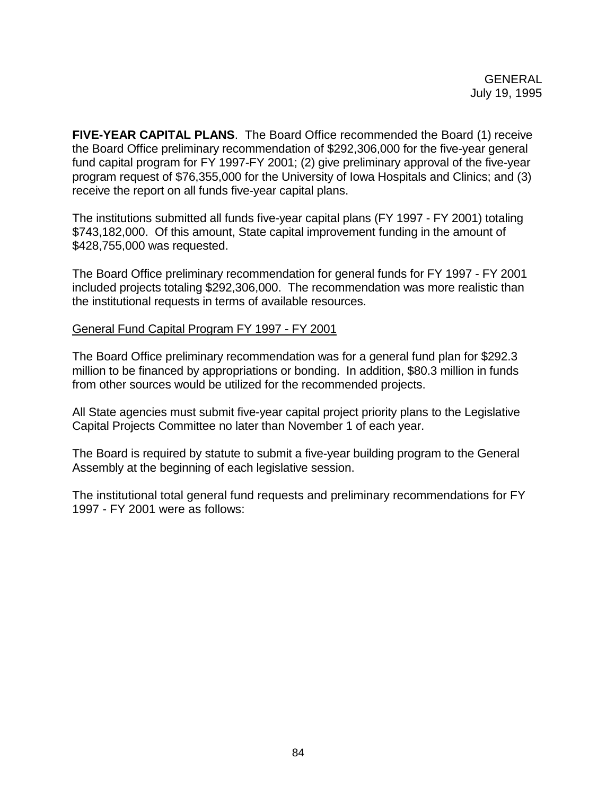**FIVE-YEAR CAPITAL PLANS**. The Board Office recommended the Board (1) receive the Board Office preliminary recommendation of \$292,306,000 for the five-year general fund capital program for FY 1997-FY 2001; (2) give preliminary approval of the five-year program request of \$76,355,000 for the University of Iowa Hospitals and Clinics; and (3) receive the report on all funds five-year capital plans.

The institutions submitted all funds five-year capital plans (FY 1997 - FY 2001) totaling \$743,182,000. Of this amount, State capital improvement funding in the amount of \$428,755,000 was requested.

The Board Office preliminary recommendation for general funds for FY 1997 - FY 2001 included projects totaling \$292,306,000. The recommendation was more realistic than the institutional requests in terms of available resources.

#### General Fund Capital Program FY 1997 - FY 2001

The Board Office preliminary recommendation was for a general fund plan for \$292.3 million to be financed by appropriations or bonding. In addition, \$80.3 million in funds from other sources would be utilized for the recommended projects.

All State agencies must submit five-year capital project priority plans to the Legislative Capital Projects Committee no later than November 1 of each year.

The Board is required by statute to submit a five-year building program to the General Assembly at the beginning of each legislative session.

The institutional total general fund requests and preliminary recommendations for FY 1997 - FY 2001 were as follows: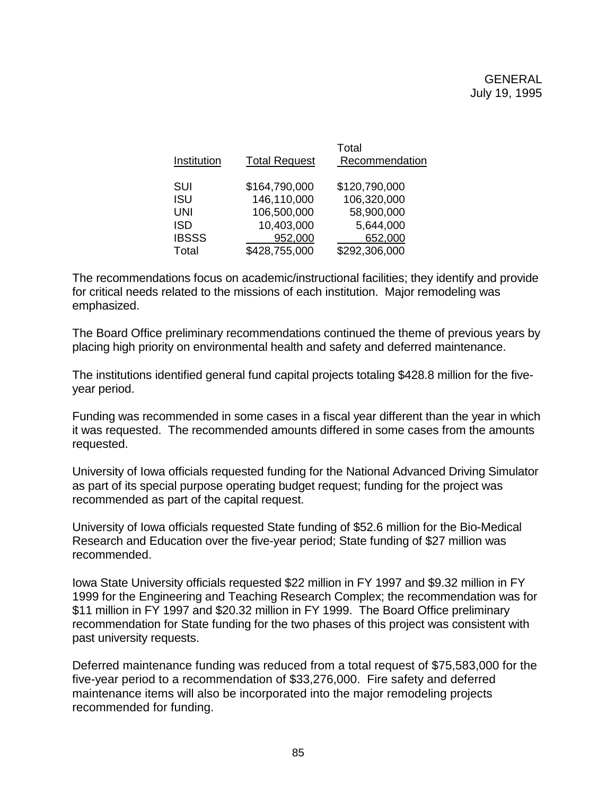| Institution  | <b>Total Request</b> | Total<br>Recommendation |
|--------------|----------------------|-------------------------|
| SUI          | \$164,790,000        | \$120,790,000           |
| <b>ISU</b>   | 146,110,000          | 106,320,000             |
| <b>UNI</b>   | 106,500,000          | 58,900,000              |
| <b>ISD</b>   | 10,403,000           | 5,644,000               |
| <b>IBSSS</b> | 952,000              | 652,000                 |
| Total        | \$428,755,000        | \$292,306,000           |

The recommendations focus on academic/instructional facilities; they identify and provide for critical needs related to the missions of each institution. Major remodeling was emphasized.

The Board Office preliminary recommendations continued the theme of previous years by placing high priority on environmental health and safety and deferred maintenance.

The institutions identified general fund capital projects totaling \$428.8 million for the fiveyear period.

Funding was recommended in some cases in a fiscal year different than the year in which it was requested. The recommended amounts differed in some cases from the amounts requested.

University of Iowa officials requested funding for the National Advanced Driving Simulator as part of its special purpose operating budget request; funding for the project was recommended as part of the capital request.

University of Iowa officials requested State funding of \$52.6 million for the Bio-Medical Research and Education over the five-year period; State funding of \$27 million was recommended.

Iowa State University officials requested \$22 million in FY 1997 and \$9.32 million in FY 1999 for the Engineering and Teaching Research Complex; the recommendation was for \$11 million in FY 1997 and \$20.32 million in FY 1999. The Board Office preliminary recommendation for State funding for the two phases of this project was consistent with past university requests.

Deferred maintenance funding was reduced from a total request of \$75,583,000 for the five-year period to a recommendation of \$33,276,000. Fire safety and deferred maintenance items will also be incorporated into the major remodeling projects recommended for funding.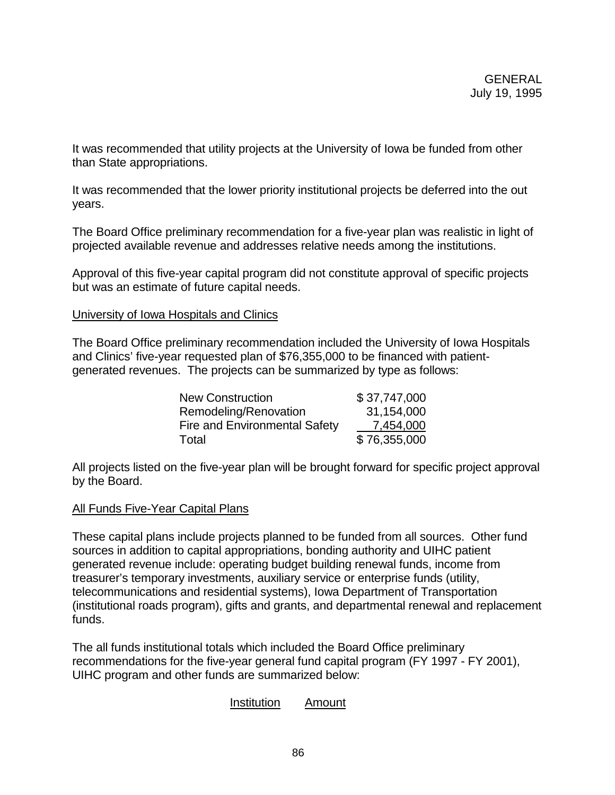It was recommended that utility projects at the University of Iowa be funded from other than State appropriations.

It was recommended that the lower priority institutional projects be deferred into the out years.

The Board Office preliminary recommendation for a five-year plan was realistic in light of projected available revenue and addresses relative needs among the institutions.

Approval of this five-year capital program did not constitute approval of specific projects but was an estimate of future capital needs.

#### University of Iowa Hospitals and Clinics

The Board Office preliminary recommendation included the University of Iowa Hospitals and Clinics' five-year requested plan of \$76,355,000 to be financed with patientgenerated revenues. The projects can be summarized by type as follows:

| <b>New Construction</b>       | \$37,747,000 |
|-------------------------------|--------------|
| Remodeling/Renovation         | 31,154,000   |
| Fire and Environmental Safety | 7,454,000    |
| Total                         | \$76,355,000 |

All projects listed on the five-year plan will be brought forward for specific project approval by the Board.

## All Funds Five-Year Capital Plans

These capital plans include projects planned to be funded from all sources. Other fund sources in addition to capital appropriations, bonding authority and UIHC patient generated revenue include: operating budget building renewal funds, income from treasurer's temporary investments, auxiliary service or enterprise funds (utility, telecommunications and residential systems), Iowa Department of Transportation (institutional roads program), gifts and grants, and departmental renewal and replacement funds.

The all funds institutional totals which included the Board Office preliminary recommendations for the five-year general fund capital program (FY 1997 - FY 2001), UIHC program and other funds are summarized below:

## Institution Amount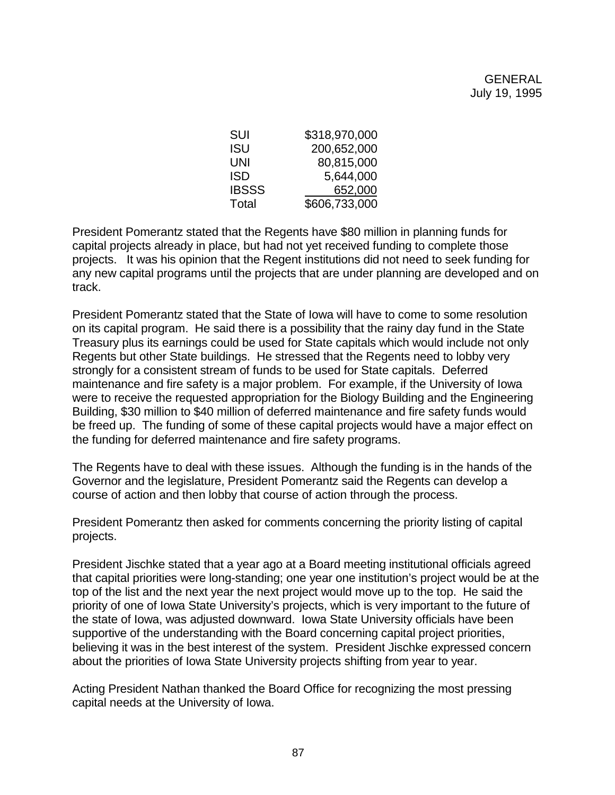| SUI          | \$318,970,000 |
|--------------|---------------|
| ISU          | 200,652,000   |
| UNI          | 80,815,000    |
| ISD          | 5,644,000     |
| <b>IBSSS</b> | 652,000       |
| Total        | \$606,733,000 |

President Pomerantz stated that the Regents have \$80 million in planning funds for capital projects already in place, but had not yet received funding to complete those projects. It was his opinion that the Regent institutions did not need to seek funding for any new capital programs until the projects that are under planning are developed and on track.

President Pomerantz stated that the State of Iowa will have to come to some resolution on its capital program. He said there is a possibility that the rainy day fund in the State Treasury plus its earnings could be used for State capitals which would include not only Regents but other State buildings. He stressed that the Regents need to lobby very strongly for a consistent stream of funds to be used for State capitals. Deferred maintenance and fire safety is a major problem. For example, if the University of Iowa were to receive the requested appropriation for the Biology Building and the Engineering Building, \$30 million to \$40 million of deferred maintenance and fire safety funds would be freed up. The funding of some of these capital projects would have a major effect on the funding for deferred maintenance and fire safety programs.

The Regents have to deal with these issues. Although the funding is in the hands of the Governor and the legislature, President Pomerantz said the Regents can develop a course of action and then lobby that course of action through the process.

President Pomerantz then asked for comments concerning the priority listing of capital projects.

President Jischke stated that a year ago at a Board meeting institutional officials agreed that capital priorities were long-standing; one year one institution's project would be at the top of the list and the next year the next project would move up to the top. He said the priority of one of Iowa State University's projects, which is very important to the future of the state of Iowa, was adjusted downward. Iowa State University officials have been supportive of the understanding with the Board concerning capital project priorities, believing it was in the best interest of the system. President Jischke expressed concern about the priorities of Iowa State University projects shifting from year to year.

Acting President Nathan thanked the Board Office for recognizing the most pressing capital needs at the University of Iowa.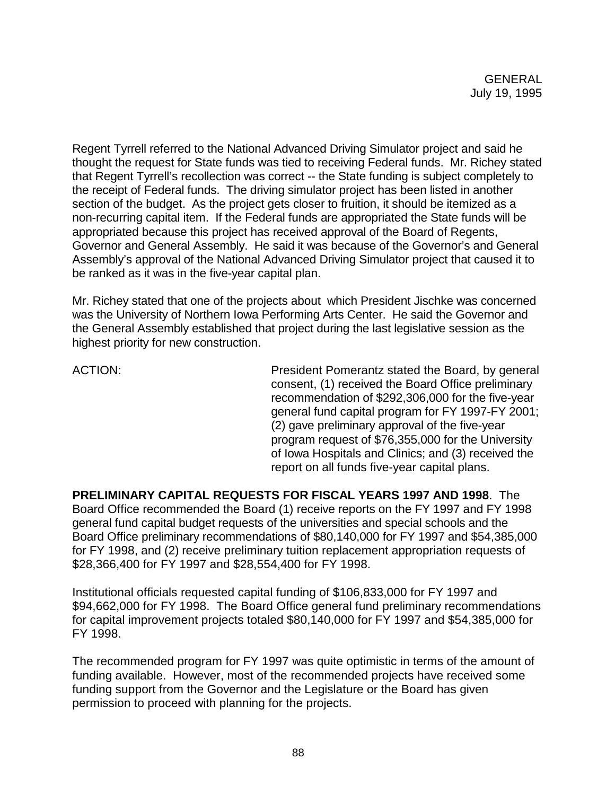Regent Tyrrell referred to the National Advanced Driving Simulator project and said he thought the request for State funds was tied to receiving Federal funds. Mr. Richey stated that Regent Tyrrell's recollection was correct -- the State funding is subject completely to the receipt of Federal funds. The driving simulator project has been listed in another section of the budget. As the project gets closer to fruition, it should be itemized as a non-recurring capital item. If the Federal funds are appropriated the State funds will be appropriated because this project has received approval of the Board of Regents, Governor and General Assembly. He said it was because of the Governor's and General Assembly's approval of the National Advanced Driving Simulator project that caused it to be ranked as it was in the five-year capital plan.

Mr. Richey stated that one of the projects about which President Jischke was concerned was the University of Northern Iowa Performing Arts Center. He said the Governor and the General Assembly established that project during the last legislative session as the highest priority for new construction.

ACTION: President Pomerantz stated the Board, by general consent, (1) received the Board Office preliminary recommendation of \$292,306,000 for the five-year general fund capital program for FY 1997-FY 2001; (2) gave preliminary approval of the five-year program request of \$76,355,000 for the University of Iowa Hospitals and Clinics; and (3) received the report on all funds five-year capital plans.

**PRELIMINARY CAPITAL REQUESTS FOR FISCAL YEARS 1997 AND 1998**. The Board Office recommended the Board (1) receive reports on the FY 1997 and FY 1998 general fund capital budget requests of the universities and special schools and the Board Office preliminary recommendations of \$80,140,000 for FY 1997 and \$54,385,000 for FY 1998, and (2) receive preliminary tuition replacement appropriation requests of \$28,366,400 for FY 1997 and \$28,554,400 for FY 1998.

Institutional officials requested capital funding of \$106,833,000 for FY 1997 and \$94,662,000 for FY 1998. The Board Office general fund preliminary recommendations for capital improvement projects totaled \$80,140,000 for FY 1997 and \$54,385,000 for FY 1998.

The recommended program for FY 1997 was quite optimistic in terms of the amount of funding available. However, most of the recommended projects have received some funding support from the Governor and the Legislature or the Board has given permission to proceed with planning for the projects.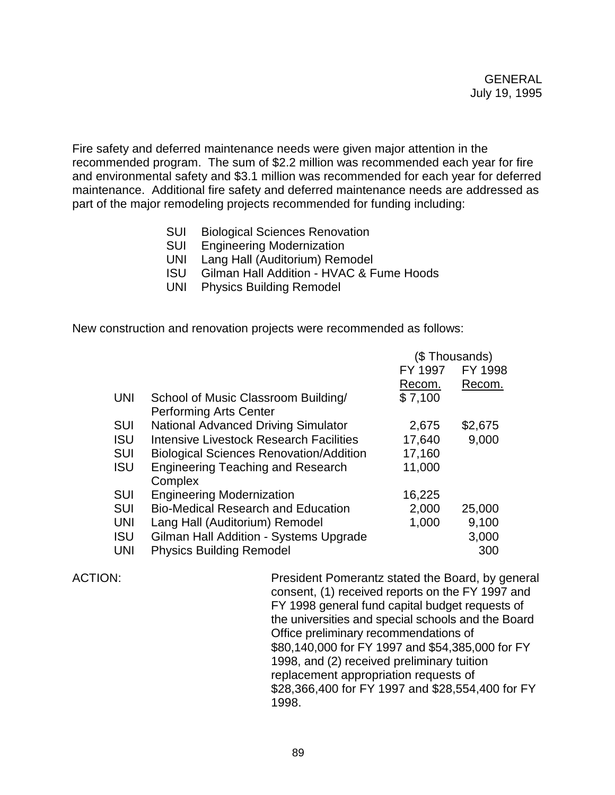Fire safety and deferred maintenance needs were given major attention in the recommended program. The sum of \$2.2 million was recommended each year for fire and environmental safety and \$3.1 million was recommended for each year for deferred maintenance. Additional fire safety and deferred maintenance needs are addressed as part of the major remodeling projects recommended for funding including:

- SUI Biological Sciences Renovation
- SUI Engineering Modernization
- UNI Lang Hall (Auditorium) Remodel
- ISU Gilman Hall Addition HVAC & Fume Hoods
- UNI Physics Building Remodel

New construction and renovation projects were recommended as follows:

|            |                                                | (\$Thousands) |         |
|------------|------------------------------------------------|---------------|---------|
|            |                                                | FY 1997       | FY 1998 |
|            |                                                | Recom.        | Recom.  |
| <b>UNI</b> | School of Music Classroom Building/            | \$7,100       |         |
|            | <b>Performing Arts Center</b>                  |               |         |
| SUI        | <b>National Advanced Driving Simulator</b>     | 2,675         | \$2,675 |
| <b>ISU</b> | Intensive Livestock Research Facilities        | 17,640        | 9,000   |
| <b>SUI</b> | <b>Biological Sciences Renovation/Addition</b> | 17,160        |         |
| <b>ISU</b> | <b>Engineering Teaching and Research</b>       | 11,000        |         |
|            | Complex                                        |               |         |
| <b>SUI</b> | <b>Engineering Modernization</b>               | 16,225        |         |
| <b>SUI</b> | <b>Bio-Medical Research and Education</b>      | 2,000         | 25,000  |
| <b>UNI</b> | Lang Hall (Auditorium) Remodel                 | 1,000         | 9,100   |
| <b>ISU</b> | Gilman Hall Addition - Systems Upgrade         |               | 3,000   |
| <b>UNI</b> | <b>Physics Building Remodel</b>                |               | 300     |

ACTION: President Pomerantz stated the Board, by general consent, (1) received reports on the FY 1997 and FY 1998 general fund capital budget requests of the universities and special schools and the Board Office preliminary recommendations of \$80,140,000 for FY 1997 and \$54,385,000 for FY 1998, and (2) received preliminary tuition replacement appropriation requests of \$28,366,400 for FY 1997 and \$28,554,400 for FY 1998.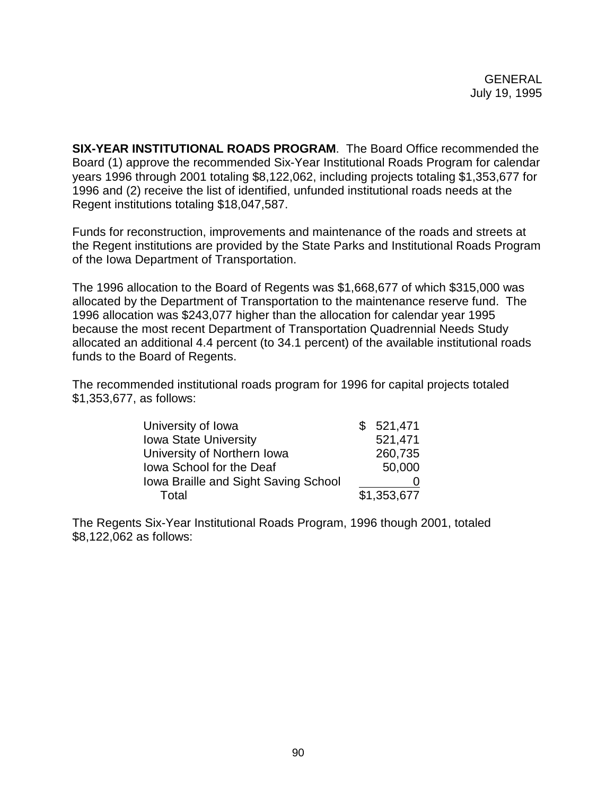**SIX-YEAR INSTITUTIONAL ROADS PROGRAM**. The Board Office recommended the Board (1) approve the recommended Six-Year Institutional Roads Program for calendar years 1996 through 2001 totaling \$8,122,062, including projects totaling \$1,353,677 for 1996 and (2) receive the list of identified, unfunded institutional roads needs at the Regent institutions totaling \$18,047,587.

Funds for reconstruction, improvements and maintenance of the roads and streets at the Regent institutions are provided by the State Parks and Institutional Roads Program of the Iowa Department of Transportation.

The 1996 allocation to the Board of Regents was \$1,668,677 of which \$315,000 was allocated by the Department of Transportation to the maintenance reserve fund. The 1996 allocation was \$243,077 higher than the allocation for calendar year 1995 because the most recent Department of Transportation Quadrennial Needs Study allocated an additional 4.4 percent (to 34.1 percent) of the available institutional roads funds to the Board of Regents.

The recommended institutional roads program for 1996 for capital projects totaled \$1,353,677, as follows:

| University of Iowa                   |  | \$521,471   |
|--------------------------------------|--|-------------|
| <b>Iowa State University</b>         |  | 521,471     |
| University of Northern Iowa          |  | 260,735     |
| Iowa School for the Deaf             |  | 50,000      |
| Iowa Braille and Sight Saving School |  |             |
| Total                                |  | \$1,353,677 |

The Regents Six-Year Institutional Roads Program, 1996 though 2001, totaled \$8,122,062 as follows: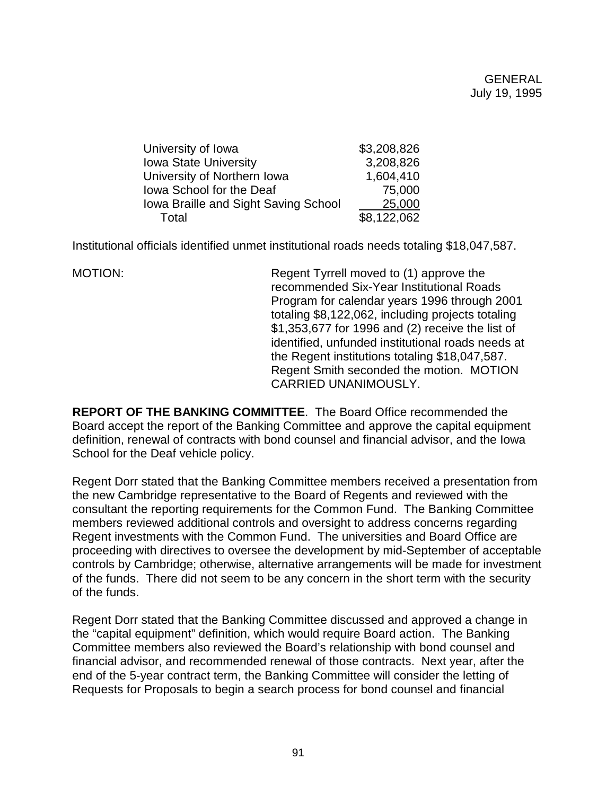| \$3,208,826 |
|-------------|
| 3,208,826   |
| 1,604,410   |
| 75,000      |
| 25,000      |
| \$8,122,062 |
|             |

Institutional officials identified unmet institutional roads needs totaling \$18,047,587.

MOTION: Regent Tyrrell moved to (1) approve the recommended Six-Year Institutional Roads Program for calendar years 1996 through 2001 totaling \$8,122,062, including projects totaling \$1,353,677 for 1996 and (2) receive the list of identified, unfunded institutional roads needs at the Regent institutions totaling \$18,047,587. Regent Smith seconded the motion. MOTION CARRIED UNANIMOUSLY.

**REPORT OF THE BANKING COMMITTEE**. The Board Office recommended the Board accept the report of the Banking Committee and approve the capital equipment definition, renewal of contracts with bond counsel and financial advisor, and the Iowa School for the Deaf vehicle policy.

Regent Dorr stated that the Banking Committee members received a presentation from the new Cambridge representative to the Board of Regents and reviewed with the consultant the reporting requirements for the Common Fund. The Banking Committee members reviewed additional controls and oversight to address concerns regarding Regent investments with the Common Fund. The universities and Board Office are proceeding with directives to oversee the development by mid-September of acceptable controls by Cambridge; otherwise, alternative arrangements will be made for investment of the funds. There did not seem to be any concern in the short term with the security of the funds.

Regent Dorr stated that the Banking Committee discussed and approved a change in the "capital equipment" definition, which would require Board action. The Banking Committee members also reviewed the Board's relationship with bond counsel and financial advisor, and recommended renewal of those contracts. Next year, after the end of the 5-year contract term, the Banking Committee will consider the letting of Requests for Proposals to begin a search process for bond counsel and financial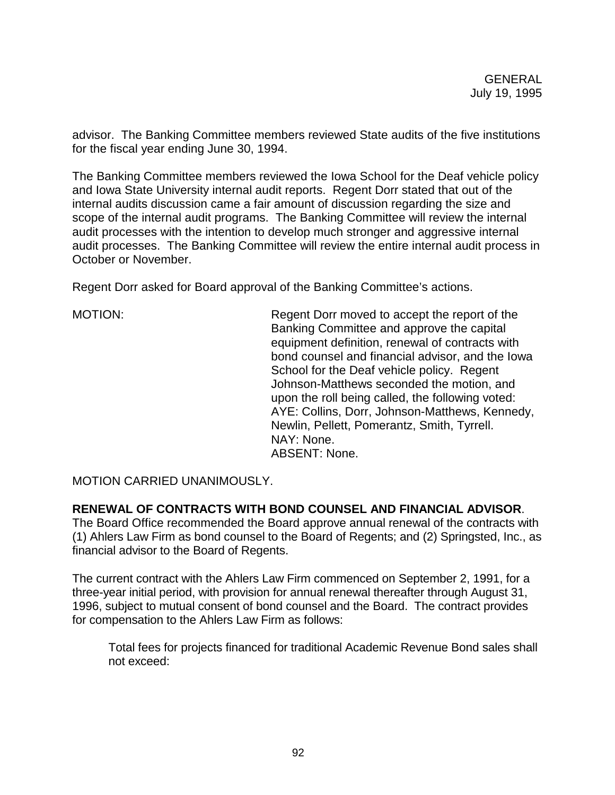advisor. The Banking Committee members reviewed State audits of the five institutions for the fiscal year ending June 30, 1994.

The Banking Committee members reviewed the Iowa School for the Deaf vehicle policy and Iowa State University internal audit reports. Regent Dorr stated that out of the internal audits discussion came a fair amount of discussion regarding the size and scope of the internal audit programs. The Banking Committee will review the internal audit processes with the intention to develop much stronger and aggressive internal audit processes. The Banking Committee will review the entire internal audit process in October or November.

Regent Dorr asked for Board approval of the Banking Committee's actions.

MOTION: Regent Dorr moved to accept the report of the Banking Committee and approve the capital equipment definition, renewal of contracts with bond counsel and financial advisor, and the Iowa School for the Deaf vehicle policy. Regent Johnson-Matthews seconded the motion, and upon the roll being called, the following voted: AYE: Collins, Dorr, Johnson-Matthews, Kennedy, Newlin, Pellett, Pomerantz, Smith, Tyrrell. NAY: None. ABSENT: None.

MOTION CARRIED UNANIMOUSLY.

## **RENEWAL OF CONTRACTS WITH BOND COUNSEL AND FINANCIAL ADVISOR**.

The Board Office recommended the Board approve annual renewal of the contracts with (1) Ahlers Law Firm as bond counsel to the Board of Regents; and (2) Springsted, Inc., as financial advisor to the Board of Regents.

The current contract with the Ahlers Law Firm commenced on September 2, 1991, for a three-year initial period, with provision for annual renewal thereafter through August 31, 1996, subject to mutual consent of bond counsel and the Board. The contract provides for compensation to the Ahlers Law Firm as follows:

Total fees for projects financed for traditional Academic Revenue Bond sales shall not exceed: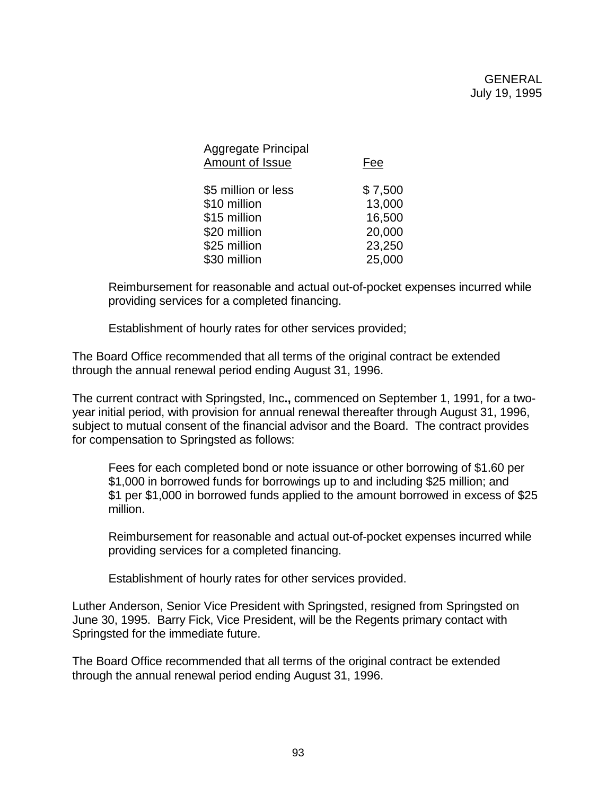| <b>Aggregate Principal</b><br>Amount of Issue | Fee     |
|-----------------------------------------------|---------|
| \$5 million or less                           | \$7,500 |
| \$10 million                                  | 13,000  |
| \$15 million                                  | 16,500  |
| \$20 million                                  | 20,000  |
| \$25 million                                  | 23,250  |
| \$30 million                                  | 25,000  |

Reimbursement for reasonable and actual out-of-pocket expenses incurred while providing services for a completed financing.

Establishment of hourly rates for other services provided;

The Board Office recommended that all terms of the original contract be extended through the annual renewal period ending August 31, 1996.

The current contract with Springsted, Inc**.,** commenced on September 1, 1991, for a twoyear initial period, with provision for annual renewal thereafter through August 31, 1996, subject to mutual consent of the financial advisor and the Board. The contract provides for compensation to Springsted as follows:

Fees for each completed bond or note issuance or other borrowing of \$1.60 per \$1,000 in borrowed funds for borrowings up to and including \$25 million; and \$1 per \$1,000 in borrowed funds applied to the amount borrowed in excess of \$25 million.

Reimbursement for reasonable and actual out-of-pocket expenses incurred while providing services for a completed financing.

Establishment of hourly rates for other services provided.

Luther Anderson, Senior Vice President with Springsted, resigned from Springsted on June 30, 1995. Barry Fick, Vice President, will be the Regents primary contact with Springsted for the immediate future.

The Board Office recommended that all terms of the original contract be extended through the annual renewal period ending August 31, 1996.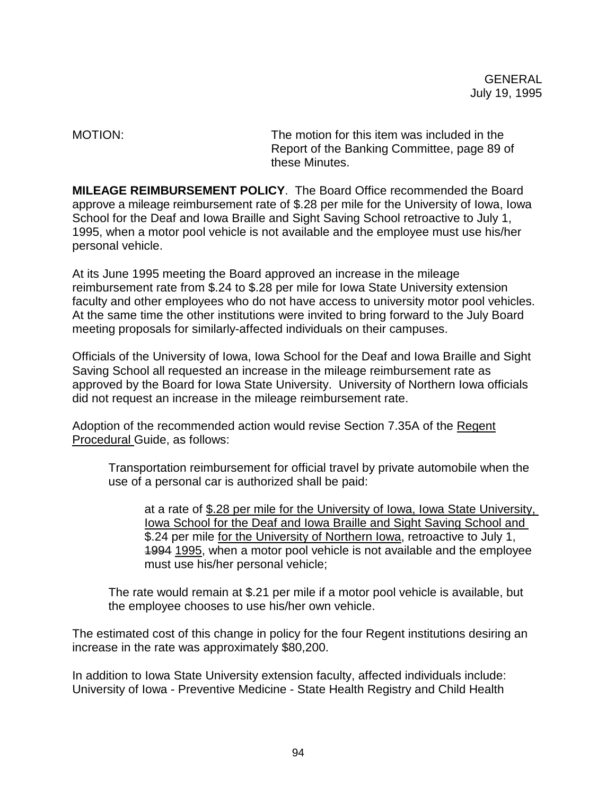MOTION: The motion for this item was included in the Report of the Banking Committee, page 89 of these Minutes.

**MILEAGE REIMBURSEMENT POLICY**. The Board Office recommended the Board approve a mileage reimbursement rate of \$.28 per mile for the University of Iowa, Iowa School for the Deaf and Iowa Braille and Sight Saving School retroactive to July 1, 1995, when a motor pool vehicle is not available and the employee must use his/her personal vehicle.

At its June 1995 meeting the Board approved an increase in the mileage reimbursement rate from \$.24 to \$.28 per mile for Iowa State University extension faculty and other employees who do not have access to university motor pool vehicles. At the same time the other institutions were invited to bring forward to the July Board meeting proposals for similarly-affected individuals on their campuses.

Officials of the University of Iowa, Iowa School for the Deaf and Iowa Braille and Sight Saving School all requested an increase in the mileage reimbursement rate as approved by the Board for Iowa State University. University of Northern Iowa officials did not request an increase in the mileage reimbursement rate.

Adoption of the recommended action would revise Section 7.35A of the Regent Procedural Guide, as follows:

Transportation reimbursement for official travel by private automobile when the use of a personal car is authorized shall be paid:

at a rate of \$.28 per mile for the University of Iowa, Iowa State University, lowa School for the Deaf and Iowa Braille and Sight Saving School and \$.24 per mile for the University of Northern Iowa, retroactive to July 1, 1994 1995, when a motor pool vehicle is not available and the employee must use his/her personal vehicle;

The rate would remain at \$.21 per mile if a motor pool vehicle is available, but the employee chooses to use his/her own vehicle.

The estimated cost of this change in policy for the four Regent institutions desiring an increase in the rate was approximately \$80,200.

In addition to Iowa State University extension faculty, affected individuals include: University of Iowa - Preventive Medicine - State Health Registry and Child Health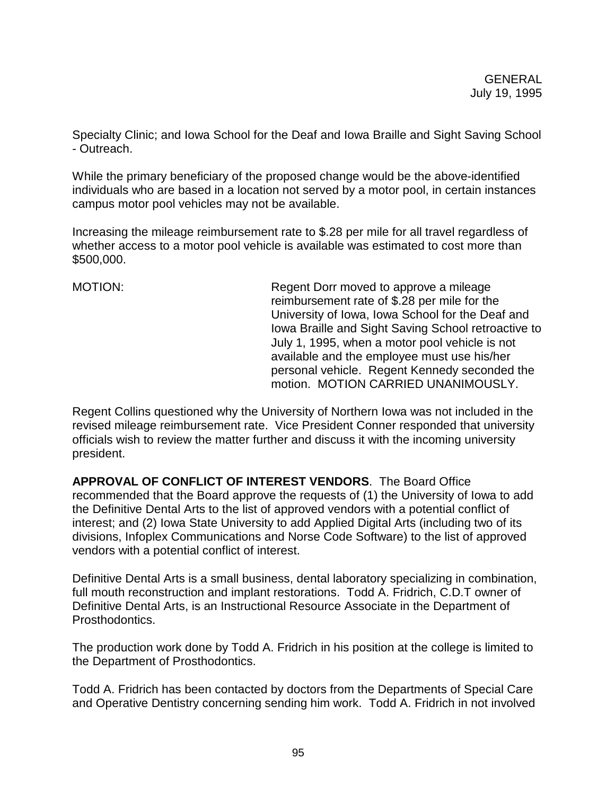Specialty Clinic; and Iowa School for the Deaf and Iowa Braille and Sight Saving School - Outreach.

While the primary beneficiary of the proposed change would be the above-identified individuals who are based in a location not served by a motor pool, in certain instances campus motor pool vehicles may not be available.

Increasing the mileage reimbursement rate to \$.28 per mile for all travel regardless of whether access to a motor pool vehicle is available was estimated to cost more than \$500,000.

MOTION: Regent Dorr moved to approve a mileage reimbursement rate of \$.28 per mile for the University of Iowa, Iowa School for the Deaf and Iowa Braille and Sight Saving School retroactive to July 1, 1995, when a motor pool vehicle is not available and the employee must use his/her personal vehicle. Regent Kennedy seconded the motion. MOTION CARRIED UNANIMOUSLY.

Regent Collins questioned why the University of Northern Iowa was not included in the revised mileage reimbursement rate. Vice President Conner responded that university officials wish to review the matter further and discuss it with the incoming university president.

**APPROVAL OF CONFLICT OF INTEREST VENDORS**. The Board Office recommended that the Board approve the requests of (1) the University of Iowa to add the Definitive Dental Arts to the list of approved vendors with a potential conflict of interest; and (2) Iowa State University to add Applied Digital Arts (including two of its divisions, Infoplex Communications and Norse Code Software) to the list of approved vendors with a potential conflict of interest.

Definitive Dental Arts is a small business, dental laboratory specializing in combination, full mouth reconstruction and implant restorations. Todd A. Fridrich, C.D.T owner of Definitive Dental Arts, is an Instructional Resource Associate in the Department of Prosthodontics.

The production work done by Todd A. Fridrich in his position at the college is limited to the Department of Prosthodontics.

Todd A. Fridrich has been contacted by doctors from the Departments of Special Care and Operative Dentistry concerning sending him work. Todd A. Fridrich in not involved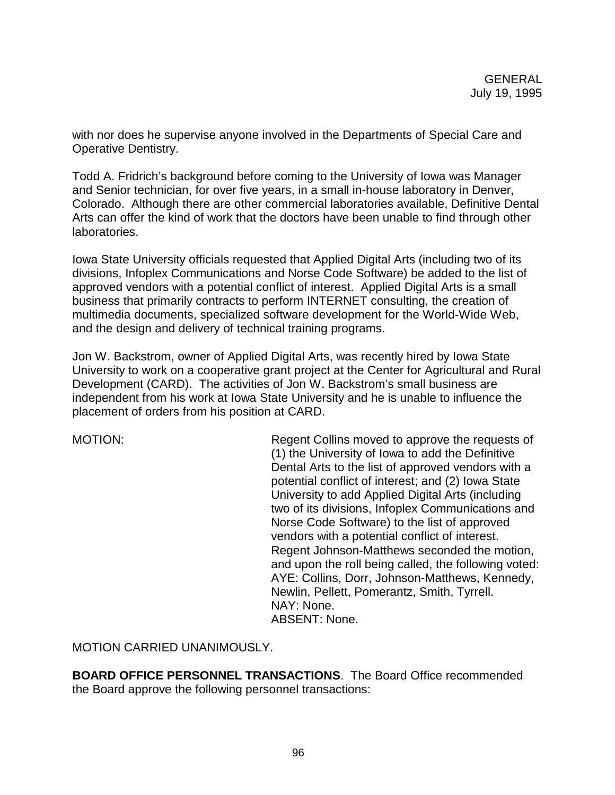with nor does he supervise anyone involved in the Departments of Special Care and Operative Dentistry.

Todd A. Fridrich's background before coming to the University of Iowa was Manager and Senior technician, for over five years, in a small in-house laboratory in Denver, Colorado. Although there are other commercial laboratories available, Definitive Dental Arts can offer the kind of work that the doctors have been unable to find through other laboratories.

Iowa State University officials requested that Applied Digital Arts (including two of its divisions, Infoplex Communications and Norse Code Software) be added to the list of approved vendors with a potential conflict of interest. Applied Digital Arts is a small business that primarily contracts to perform INTERNET consulting, the creation of multimedia documents, specialized software development for the World-Wide Web, and the design and delivery of technical training programs.

Jon W. Backstrom, owner of Applied Digital Arts, was recently hired by Iowa State University to work on a cooperative grant project at the Center for Agricultural and Rural Development (CARD). The activities of Jon W. Backstrom's small business are independent from his work at Iowa State University and he is unable to influence the placement of orders from his position at CARD.

MOTION: Regent Collins moved to approve the requests of (1) the University of Iowa to add the Definitive Dental Arts to the list of approved vendors with a potential conflict of interest; and (2) Iowa State University to add Applied Digital Arts (including two of its divisions, Infoplex Communications and Norse Code Software) to the list of approved vendors with a potential conflict of interest. Regent Johnson-Matthews seconded the motion, and upon the roll being called, the following voted: AYE: Collins, Dorr, Johnson-Matthews, Kennedy, Newlin, Pellett, Pomerantz, Smith, Tyrrell. NAY: None. ABSENT: None.

MOTION CARRIED UNANIMOUSLY.

**BOARD OFFICE PERSONNEL TRANSACTIONS**. The Board Office recommended the Board approve the following personnel transactions: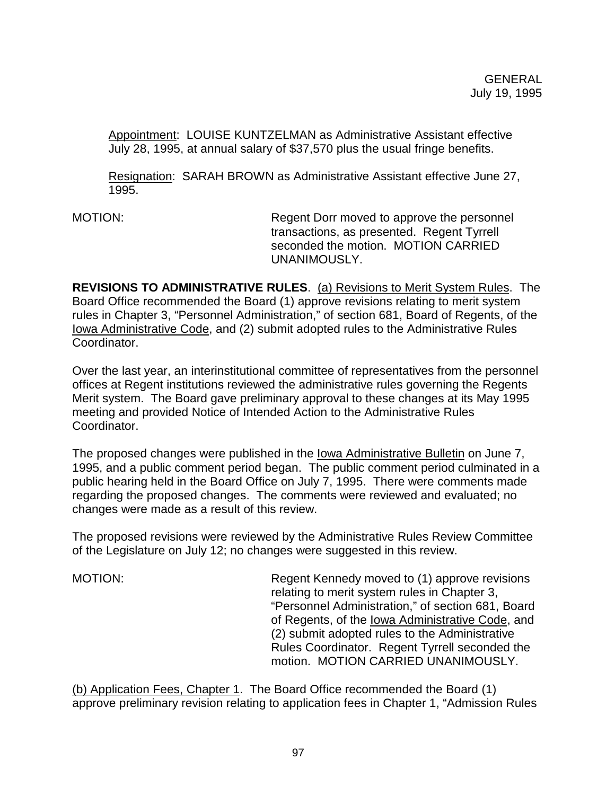Appointment: LOUISE KUNTZELMAN as Administrative Assistant effective July 28, 1995, at annual salary of \$37,570 plus the usual fringe benefits.

Resignation: SARAH BROWN as Administrative Assistant effective June 27, 1995.

MOTION: Regent Dorr moved to approve the personnel transactions, as presented. Regent Tyrrell seconded the motion. MOTION CARRIED UNANIMOUSLY.

**REVISIONS TO ADMINISTRATIVE RULES**. (a) Revisions to Merit System Rules. The Board Office recommended the Board (1) approve revisions relating to merit system rules in Chapter 3, "Personnel Administration," of section 681, Board of Regents, of the Iowa Administrative Code, and (2) submit adopted rules to the Administrative Rules Coordinator.

Over the last year, an interinstitutional committee of representatives from the personnel offices at Regent institutions reviewed the administrative rules governing the Regents Merit system. The Board gave preliminary approval to these changes at its May 1995 meeting and provided Notice of Intended Action to the Administrative Rules Coordinator.

The proposed changes were published in the Iowa Administrative Bulletin on June 7, 1995, and a public comment period began. The public comment period culminated in a public hearing held in the Board Office on July 7, 1995. There were comments made regarding the proposed changes. The comments were reviewed and evaluated; no changes were made as a result of this review.

The proposed revisions were reviewed by the Administrative Rules Review Committee of the Legislature on July 12; no changes were suggested in this review.

MOTION: Regent Kennedy moved to (1) approve revisions relating to merit system rules in Chapter 3, "Personnel Administration," of section 681, Board of Regents, of the Iowa Administrative Code, and (2) submit adopted rules to the Administrative Rules Coordinator. Regent Tyrrell seconded the motion. MOTION CARRIED UNANIMOUSLY.

(b) Application Fees, Chapter 1. The Board Office recommended the Board (1) approve preliminary revision relating to application fees in Chapter 1, "Admission Rules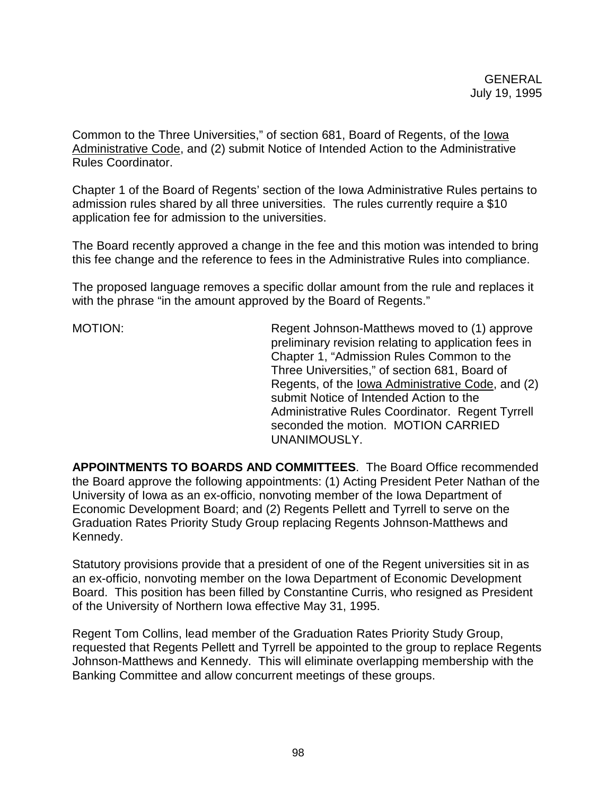Common to the Three Universities," of section 681, Board of Regents, of the Iowa Administrative Code, and (2) submit Notice of Intended Action to the Administrative Rules Coordinator.

Chapter 1 of the Board of Regents' section of the Iowa Administrative Rules pertains to admission rules shared by all three universities. The rules currently require a \$10 application fee for admission to the universities.

The Board recently approved a change in the fee and this motion was intended to bring this fee change and the reference to fees in the Administrative Rules into compliance.

The proposed language removes a specific dollar amount from the rule and replaces it with the phrase "in the amount approved by the Board of Regents."

MOTION: Regent Johnson-Matthews moved to (1) approve preliminary revision relating to application fees in Chapter 1, "Admission Rules Common to the Three Universities," of section 681, Board of Regents, of the Iowa Administrative Code, and (2) submit Notice of Intended Action to the Administrative Rules Coordinator. Regent Tyrrell seconded the motion. MOTION CARRIED UNANIMOUSLY.

**APPOINTMENTS TO BOARDS AND COMMITTEES**. The Board Office recommended the Board approve the following appointments: (1) Acting President Peter Nathan of the University of Iowa as an ex-officio, nonvoting member of the Iowa Department of Economic Development Board; and (2) Regents Pellett and Tyrrell to serve on the Graduation Rates Priority Study Group replacing Regents Johnson-Matthews and Kennedy.

Statutory provisions provide that a president of one of the Regent universities sit in as an ex-officio, nonvoting member on the Iowa Department of Economic Development Board. This position has been filled by Constantine Curris, who resigned as President of the University of Northern Iowa effective May 31, 1995.

Regent Tom Collins, lead member of the Graduation Rates Priority Study Group, requested that Regents Pellett and Tyrrell be appointed to the group to replace Regents Johnson-Matthews and Kennedy. This will eliminate overlapping membership with the Banking Committee and allow concurrent meetings of these groups.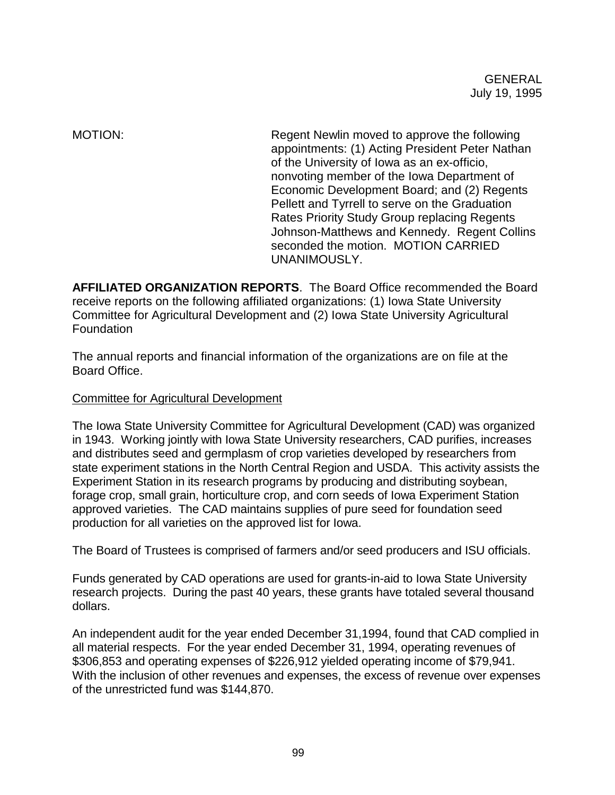MOTION: MOTION: Regent Newlin moved to approve the following appointments: (1) Acting President Peter Nathan of the University of Iowa as an ex-officio, nonvoting member of the Iowa Department of Economic Development Board; and (2) Regents Pellett and Tyrrell to serve on the Graduation Rates Priority Study Group replacing Regents Johnson-Matthews and Kennedy. Regent Collins seconded the motion. MOTION CARRIED UNANIMOUSLY.

**AFFILIATED ORGANIZATION REPORTS**. The Board Office recommended the Board receive reports on the following affiliated organizations: (1) Iowa State University Committee for Agricultural Development and (2) Iowa State University Agricultural **Foundation** 

The annual reports and financial information of the organizations are on file at the Board Office.

## Committee for Agricultural Development

The Iowa State University Committee for Agricultural Development (CAD) was organized in 1943. Working jointly with Iowa State University researchers, CAD purifies, increases and distributes seed and germplasm of crop varieties developed by researchers from state experiment stations in the North Central Region and USDA. This activity assists the Experiment Station in its research programs by producing and distributing soybean, forage crop, small grain, horticulture crop, and corn seeds of Iowa Experiment Station approved varieties. The CAD maintains supplies of pure seed for foundation seed production for all varieties on the approved list for Iowa.

The Board of Trustees is comprised of farmers and/or seed producers and ISU officials.

Funds generated by CAD operations are used for grants-in-aid to Iowa State University research projects. During the past 40 years, these grants have totaled several thousand dollars.

An independent audit for the year ended December 31,1994, found that CAD complied in all material respects. For the year ended December 31, 1994, operating revenues of \$306,853 and operating expenses of \$226,912 yielded operating income of \$79,941. With the inclusion of other revenues and expenses, the excess of revenue over expenses of the unrestricted fund was \$144,870.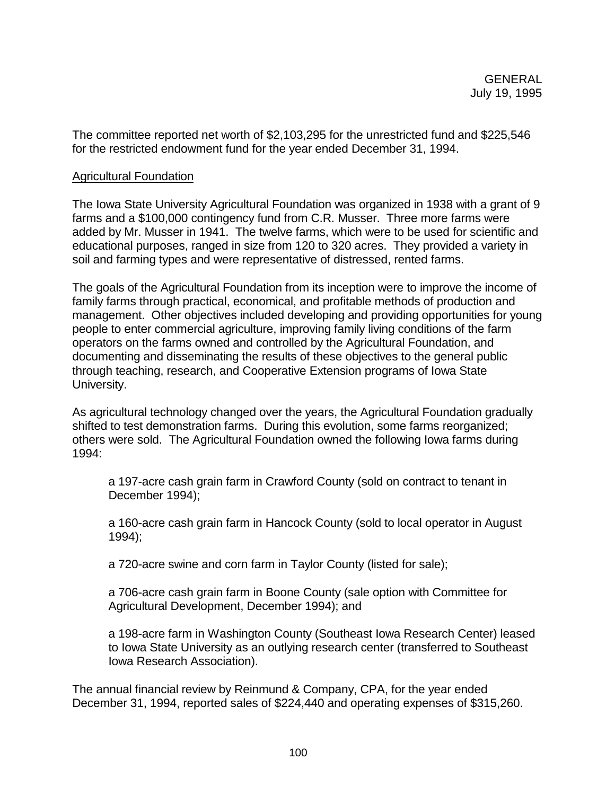The committee reported net worth of \$2,103,295 for the unrestricted fund and \$225,546 for the restricted endowment fund for the year ended December 31, 1994.

### Agricultural Foundation

The Iowa State University Agricultural Foundation was organized in 1938 with a grant of 9 farms and a \$100,000 contingency fund from C.R. Musser. Three more farms were added by Mr. Musser in 1941. The twelve farms, which were to be used for scientific and educational purposes, ranged in size from 120 to 320 acres. They provided a variety in soil and farming types and were representative of distressed, rented farms.

The goals of the Agricultural Foundation from its inception were to improve the income of family farms through practical, economical, and profitable methods of production and management. Other objectives included developing and providing opportunities for young people to enter commercial agriculture, improving family living conditions of the farm operators on the farms owned and controlled by the Agricultural Foundation, and documenting and disseminating the results of these objectives to the general public through teaching, research, and Cooperative Extension programs of Iowa State University.

As agricultural technology changed over the years, the Agricultural Foundation gradually shifted to test demonstration farms. During this evolution, some farms reorganized; others were sold. The Agricultural Foundation owned the following Iowa farms during 1994:

a 197-acre cash grain farm in Crawford County (sold on contract to tenant in December 1994);

a 160-acre cash grain farm in Hancock County (sold to local operator in August 1994);

a 720-acre swine and corn farm in Taylor County (listed for sale);

a 706-acre cash grain farm in Boone County (sale option with Committee for Agricultural Development, December 1994); and

a 198-acre farm in Washington County (Southeast Iowa Research Center) leased to Iowa State University as an outlying research center (transferred to Southeast Iowa Research Association).

The annual financial review by Reinmund & Company, CPA, for the year ended December 31, 1994, reported sales of \$224,440 and operating expenses of \$315,260.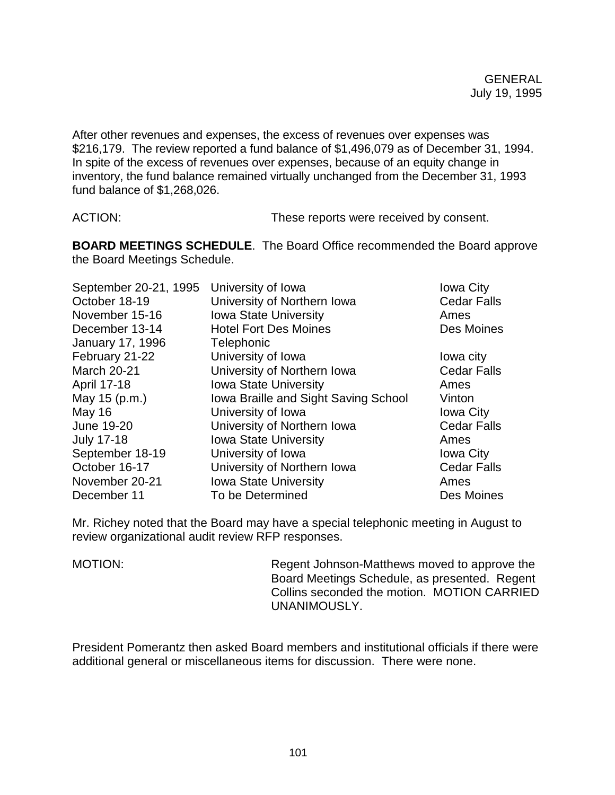After other revenues and expenses, the excess of revenues over expenses was \$216,179. The review reported a fund balance of \$1,496,079 as of December 31, 1994. In spite of the excess of revenues over expenses, because of an equity change in inventory, the fund balance remained virtually unchanged from the December 31, 1993 fund balance of \$1,268,026.

ACTION: These reports were received by consent.

**BOARD MEETINGS SCHEDULE**. The Board Office recommended the Board approve the Board Meetings Schedule.

| September 20-21, 1995   | University of Iowa                   | <b>Iowa City</b>   |
|-------------------------|--------------------------------------|--------------------|
| October 18-19           | University of Northern Iowa          | <b>Cedar Falls</b> |
| November 15-16          | <b>Iowa State University</b>         | Ames               |
| December 13-14          | <b>Hotel Fort Des Moines</b>         | Des Moines         |
| <b>January 17, 1996</b> | Telephonic                           |                    |
| February 21-22          | University of Iowa                   | lowa city          |
| <b>March 20-21</b>      | University of Northern Iowa          | <b>Cedar Falls</b> |
| April 17-18             | <b>Iowa State University</b>         | Ames               |
| May 15 (p.m.)           | Iowa Braille and Sight Saving School | Vinton             |
| May 16                  | University of Iowa                   | <b>Iowa City</b>   |
| June 19-20              | University of Northern Iowa          | <b>Cedar Falls</b> |
| <b>July 17-18</b>       | <b>Iowa State University</b>         | Ames               |
| September 18-19         | University of Iowa                   | <b>Iowa City</b>   |
| October 16-17           | University of Northern Iowa          | <b>Cedar Falls</b> |
| November 20-21          | <b>Iowa State University</b>         | Ames               |
| December 11             | To be Determined                     | Des Moines         |

Mr. Richey noted that the Board may have a special telephonic meeting in August to review organizational audit review RFP responses.

MOTION: Regent Johnson-Matthews moved to approve the Board Meetings Schedule, as presented. Regent Collins seconded the motion. MOTION CARRIED UNANIMOUSLY.

President Pomerantz then asked Board members and institutional officials if there were additional general or miscellaneous items for discussion. There were none.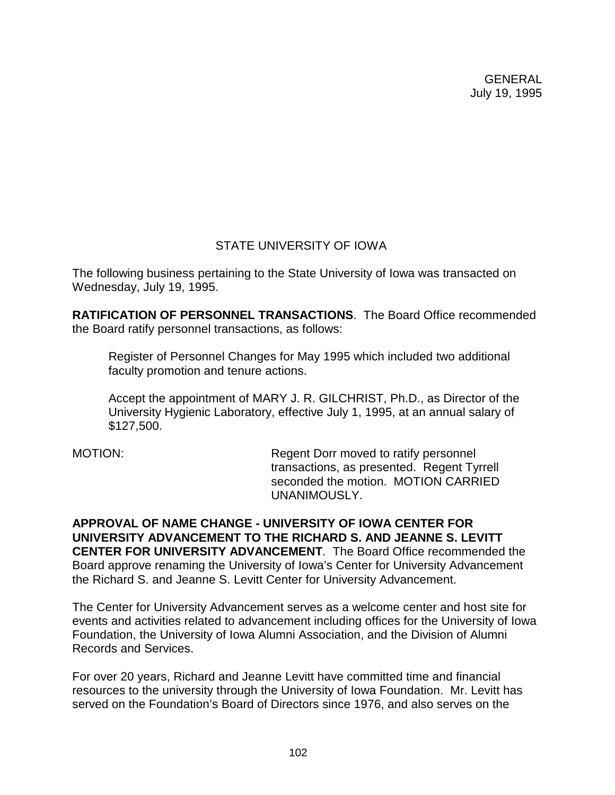# STATE UNIVERSITY OF IOWA

The following business pertaining to the State University of Iowa was transacted on Wednesday, July 19, 1995.

**RATIFICATION OF PERSONNEL TRANSACTIONS**. The Board Office recommended the Board ratify personnel transactions, as follows:

Register of Personnel Changes for May 1995 which included two additional faculty promotion and tenure actions.

Accept the appointment of MARY J. R. GILCHRIST, Ph.D., as Director of the University Hygienic Laboratory, effective July 1, 1995, at an annual salary of \$127,500.

MOTION: Regent Dorr moved to ratify personnel transactions, as presented. Regent Tyrrell seconded the motion. MOTION CARRIED UNANIMOUSLY.

**APPROVAL OF NAME CHANGE - UNIVERSITY OF IOWA CENTER FOR UNIVERSITY ADVANCEMENT TO THE RICHARD S. AND JEANNE S. LEVITT CENTER FOR UNIVERSITY ADVANCEMENT**. The Board Office recommended the Board approve renaming the University of Iowa's Center for University Advancement the Richard S. and Jeanne S. Levitt Center for University Advancement.

The Center for University Advancement serves as a welcome center and host site for events and activities related to advancement including offices for the University of Iowa Foundation, the University of Iowa Alumni Association, and the Division of Alumni Records and Services.

For over 20 years, Richard and Jeanne Levitt have committed time and financial resources to the university through the University of Iowa Foundation. Mr. Levitt has served on the Foundation's Board of Directors since 1976, and also serves on the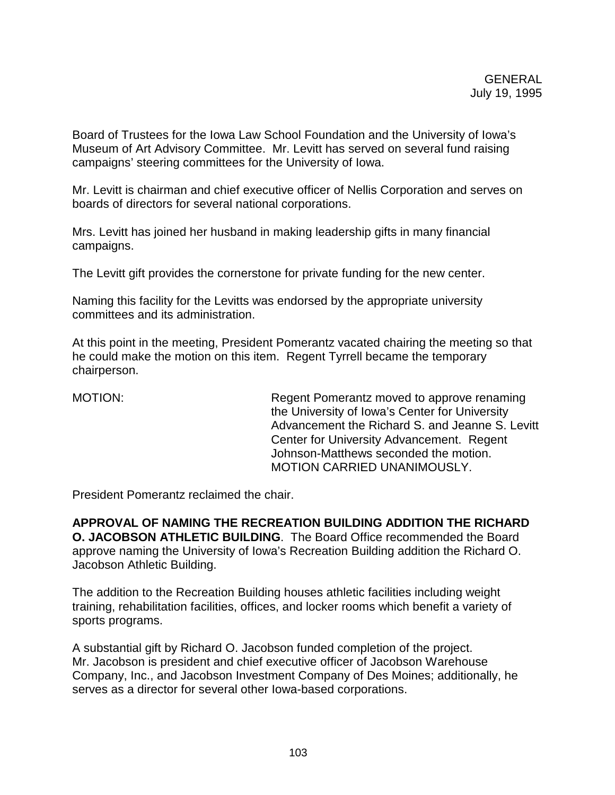Board of Trustees for the Iowa Law School Foundation and the University of Iowa's Museum of Art Advisory Committee. Mr. Levitt has served on several fund raising campaigns' steering committees for the University of Iowa.

Mr. Levitt is chairman and chief executive officer of Nellis Corporation and serves on boards of directors for several national corporations.

Mrs. Levitt has joined her husband in making leadership gifts in many financial campaigns.

The Levitt gift provides the cornerstone for private funding for the new center.

Naming this facility for the Levitts was endorsed by the appropriate university committees and its administration.

At this point in the meeting, President Pomerantz vacated chairing the meeting so that he could make the motion on this item. Regent Tyrrell became the temporary chairperson.

MOTION: Regent Pomerantz moved to approve renaming the University of Iowa's Center for University Advancement the Richard S. and Jeanne S. Levitt Center for University Advancement. Regent Johnson-Matthews seconded the motion. MOTION CARRIED UNANIMOUSLY.

President Pomerantz reclaimed the chair.

**APPROVAL OF NAMING THE RECREATION BUILDING ADDITION THE RICHARD O. JACOBSON ATHLETIC BUILDING**. The Board Office recommended the Board approve naming the University of Iowa's Recreation Building addition the Richard O. Jacobson Athletic Building.

The addition to the Recreation Building houses athletic facilities including weight training, rehabilitation facilities, offices, and locker rooms which benefit a variety of sports programs.

A substantial gift by Richard O. Jacobson funded completion of the project. Mr. Jacobson is president and chief executive officer of Jacobson Warehouse Company, Inc., and Jacobson Investment Company of Des Moines; additionally, he serves as a director for several other Iowa-based corporations.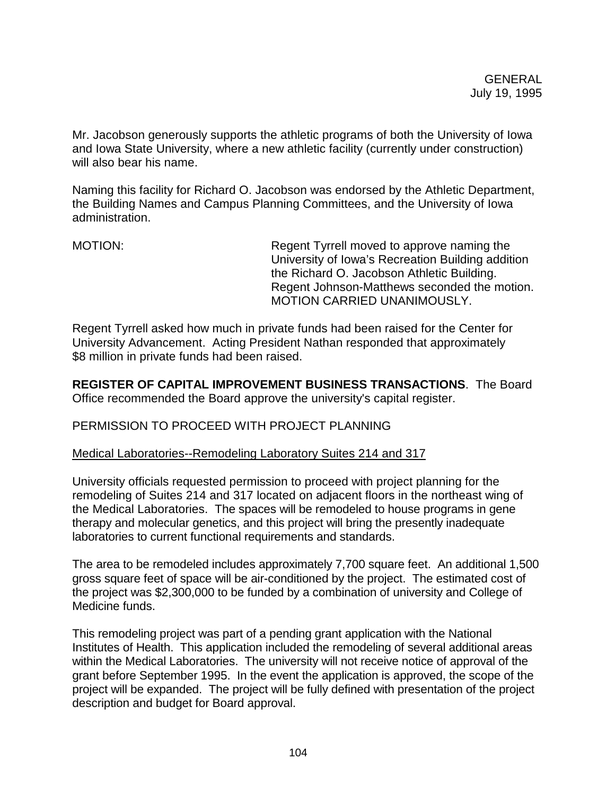Mr. Jacobson generously supports the athletic programs of both the University of Iowa and Iowa State University, where a new athletic facility (currently under construction) will also bear his name.

Naming this facility for Richard O. Jacobson was endorsed by the Athletic Department, the Building Names and Campus Planning Committees, and the University of Iowa administration.

MOTION: Regent Tyrrell moved to approve naming the University of Iowa's Recreation Building addition the Richard O. Jacobson Athletic Building. Regent Johnson-Matthews seconded the motion. MOTION CARRIED UNANIMOUSLY.

Regent Tyrrell asked how much in private funds had been raised for the Center for University Advancement. Acting President Nathan responded that approximately \$8 million in private funds had been raised.

**REGISTER OF CAPITAL IMPROVEMENT BUSINESS TRANSACTIONS**. The Board Office recommended the Board approve the university's capital register.

## PERMISSION TO PROCEED WITH PROJECT PLANNING

## Medical Laboratories--Remodeling Laboratory Suites 214 and 317

University officials requested permission to proceed with project planning for the remodeling of Suites 214 and 317 located on adjacent floors in the northeast wing of the Medical Laboratories. The spaces will be remodeled to house programs in gene therapy and molecular genetics, and this project will bring the presently inadequate laboratories to current functional requirements and standards.

The area to be remodeled includes approximately 7,700 square feet. An additional 1,500 gross square feet of space will be air-conditioned by the project. The estimated cost of the project was \$2,300,000 to be funded by a combination of university and College of Medicine funds.

This remodeling project was part of a pending grant application with the National Institutes of Health. This application included the remodeling of several additional areas within the Medical Laboratories. The university will not receive notice of approval of the grant before September 1995. In the event the application is approved, the scope of the project will be expanded. The project will be fully defined with presentation of the project description and budget for Board approval.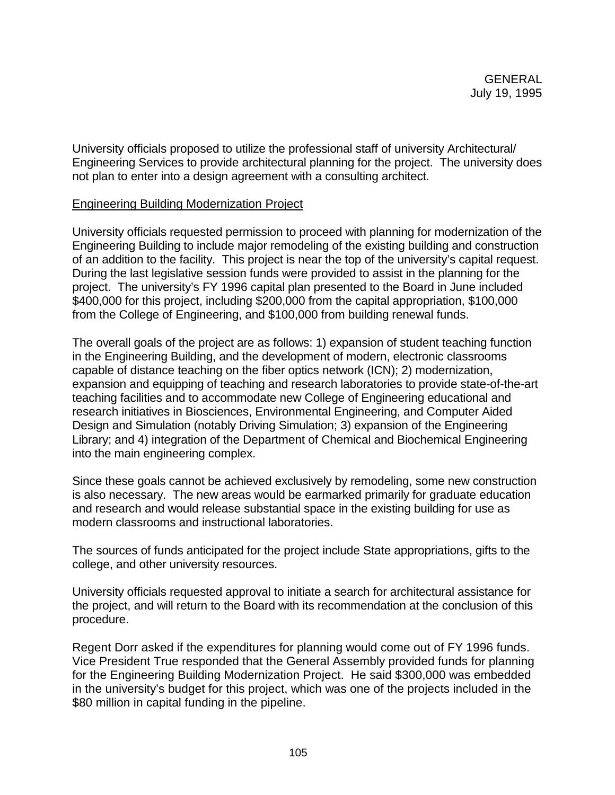University officials proposed to utilize the professional staff of university Architectural/ Engineering Services to provide architectural planning for the project. The university does not plan to enter into a design agreement with a consulting architect.

## Engineering Building Modernization Project

University officials requested permission to proceed with planning for modernization of the Engineering Building to include major remodeling of the existing building and construction of an addition to the facility. This project is near the top of the university's capital request. During the last legislative session funds were provided to assist in the planning for the project. The university's FY 1996 capital plan presented to the Board in June included \$400,000 for this project, including \$200,000 from the capital appropriation, \$100,000 from the College of Engineering, and \$100,000 from building renewal funds.

The overall goals of the project are as follows: 1) expansion of student teaching function in the Engineering Building, and the development of modern, electronic classrooms capable of distance teaching on the fiber optics network (ICN); 2) modernization, expansion and equipping of teaching and research laboratories to provide state-of-the-art teaching facilities and to accommodate new College of Engineering educational and research initiatives in Biosciences, Environmental Engineering, and Computer Aided Design and Simulation (notably Driving Simulation; 3) expansion of the Engineering Library; and 4) integration of the Department of Chemical and Biochemical Engineering into the main engineering complex.

Since these goals cannot be achieved exclusively by remodeling, some new construction is also necessary. The new areas would be earmarked primarily for graduate education and research and would release substantial space in the existing building for use as modern classrooms and instructional laboratories.

The sources of funds anticipated for the project include State appropriations, gifts to the college, and other university resources.

University officials requested approval to initiate a search for architectural assistance for the project, and will return to the Board with its recommendation at the conclusion of this procedure.

Regent Dorr asked if the expenditures for planning would come out of FY 1996 funds. Vice President True responded that the General Assembly provided funds for planning for the Engineering Building Modernization Project. He said \$300,000 was embedded in the university's budget for this project, which was one of the projects included in the \$80 million in capital funding in the pipeline.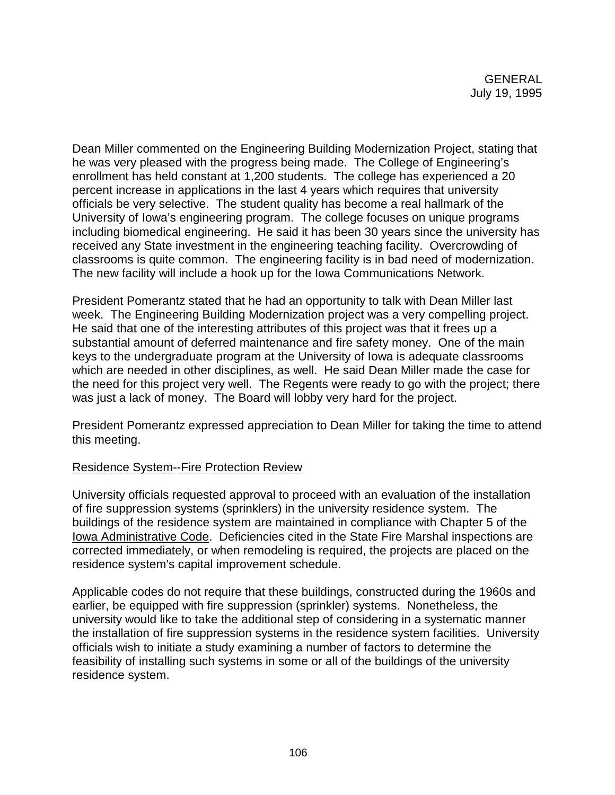Dean Miller commented on the Engineering Building Modernization Project, stating that he was very pleased with the progress being made. The College of Engineering's enrollment has held constant at 1,200 students. The college has experienced a 20 percent increase in applications in the last 4 years which requires that university officials be very selective. The student quality has become a real hallmark of the University of Iowa's engineering program. The college focuses on unique programs including biomedical engineering. He said it has been 30 years since the university has received any State investment in the engineering teaching facility. Overcrowding of classrooms is quite common. The engineering facility is in bad need of modernization. The new facility will include a hook up for the Iowa Communications Network.

President Pomerantz stated that he had an opportunity to talk with Dean Miller last week. The Engineering Building Modernization project was a very compelling project. He said that one of the interesting attributes of this project was that it frees up a substantial amount of deferred maintenance and fire safety money. One of the main keys to the undergraduate program at the University of Iowa is adequate classrooms which are needed in other disciplines, as well. He said Dean Miller made the case for the need for this project very well. The Regents were ready to go with the project; there was just a lack of money. The Board will lobby very hard for the project.

President Pomerantz expressed appreciation to Dean Miller for taking the time to attend this meeting.

## Residence System--Fire Protection Review

University officials requested approval to proceed with an evaluation of the installation of fire suppression systems (sprinklers) in the university residence system. The buildings of the residence system are maintained in compliance with Chapter 5 of the Iowa Administrative Code. Deficiencies cited in the State Fire Marshal inspections are corrected immediately, or when remodeling is required, the projects are placed on the residence system's capital improvement schedule.

Applicable codes do not require that these buildings, constructed during the 1960s and earlier, be equipped with fire suppression (sprinkler) systems. Nonetheless, the university would like to take the additional step of considering in a systematic manner the installation of fire suppression systems in the residence system facilities. University officials wish to initiate a study examining a number of factors to determine the feasibility of installing such systems in some or all of the buildings of the university residence system.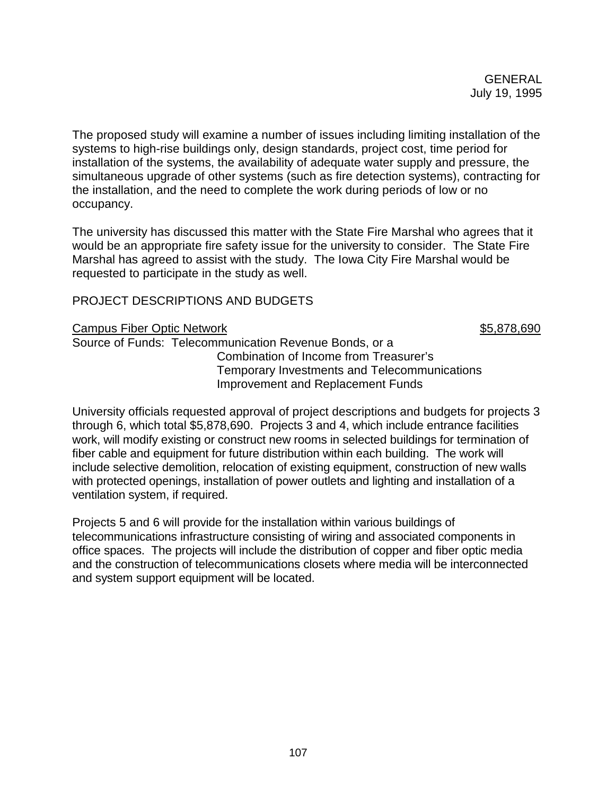The proposed study will examine a number of issues including limiting installation of the systems to high-rise buildings only, design standards, project cost, time period for installation of the systems, the availability of adequate water supply and pressure, the simultaneous upgrade of other systems (such as fire detection systems), contracting for the installation, and the need to complete the work during periods of low or no occupancy.

The university has discussed this matter with the State Fire Marshal who agrees that it would be an appropriate fire safety issue for the university to consider. The State Fire Marshal has agreed to assist with the study. The Iowa City Fire Marshal would be requested to participate in the study as well.

# PROJECT DESCRIPTIONS AND BUDGETS

#### Campus Fiber Optic Network  $$5,878,690$

Source of Funds: Telecommunication Revenue Bonds, or a Combination of Income from Treasurer's Temporary Investments and Telecommunications Improvement and Replacement Funds

University officials requested approval of project descriptions and budgets for projects 3 through 6, which total \$5,878,690. Projects 3 and 4, which include entrance facilities work, will modify existing or construct new rooms in selected buildings for termination of fiber cable and equipment for future distribution within each building. The work will include selective demolition, relocation of existing equipment, construction of new walls with protected openings, installation of power outlets and lighting and installation of a ventilation system, if required.

Projects 5 and 6 will provide for the installation within various buildings of telecommunications infrastructure consisting of wiring and associated components in office spaces. The projects will include the distribution of copper and fiber optic media and the construction of telecommunications closets where media will be interconnected and system support equipment will be located.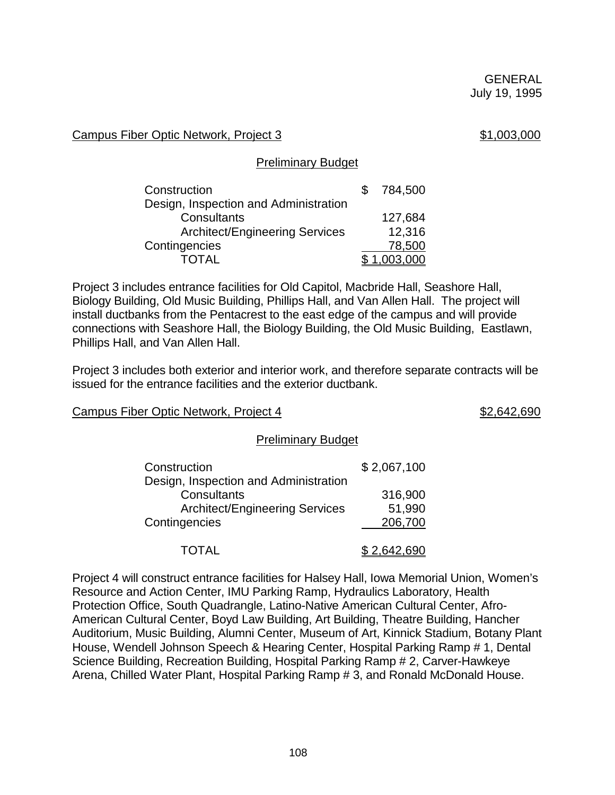## Campus Fiber Optic Network, Project 3  $$1,003,000$

## Preliminary Budget

| Construction                          | 784,500 |
|---------------------------------------|---------|
| Design, Inspection and Administration |         |
| Consultants                           | 127,684 |
| <b>Architect/Engineering Services</b> | 12,316  |
| Contingencies                         | 78,500  |
| TOTAL                                 | 003.000 |

Project 3 includes entrance facilities for Old Capitol, Macbride Hall, Seashore Hall, Biology Building, Old Music Building, Phillips Hall, and Van Allen Hall. The project will install ductbanks from the Pentacrest to the east edge of the campus and will provide connections with Seashore Hall, the Biology Building, the Old Music Building, Eastlawn, Phillips Hall, and Van Allen Hall.

Project 3 includes both exterior and interior work, and therefore separate contracts will be issued for the entrance facilities and the exterior ductbank.

## Campus Fiber Optic Network, Project 4  $$2,642,690$

#### Preliminary Budget

| Construction                          | \$2,067,100 |
|---------------------------------------|-------------|
| Design, Inspection and Administration |             |
| Consultants                           | 316,900     |
| <b>Architect/Engineering Services</b> | 51,990      |
| Contingencies                         | 206,700     |
| TOTAL                                 | \$2,642,690 |

Project 4 will construct entrance facilities for Halsey Hall, Iowa Memorial Union, Women's Resource and Action Center, IMU Parking Ramp, Hydraulics Laboratory, Health Protection Office, South Quadrangle, Latino-Native American Cultural Center, Afro-American Cultural Center, Boyd Law Building, Art Building, Theatre Building, Hancher Auditorium, Music Building, Alumni Center, Museum of Art, Kinnick Stadium, Botany Plant House, Wendell Johnson Speech & Hearing Center, Hospital Parking Ramp # 1, Dental Science Building, Recreation Building, Hospital Parking Ramp # 2, Carver-Hawkeye Arena, Chilled Water Plant, Hospital Parking Ramp # 3, and Ronald McDonald House.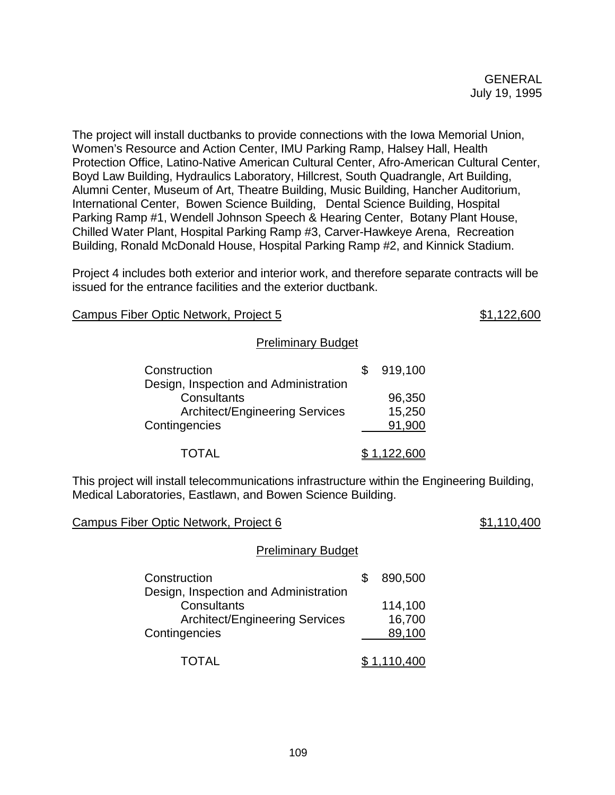The project will install ductbanks to provide connections with the Iowa Memorial Union, Women's Resource and Action Center, IMU Parking Ramp, Halsey Hall, Health Protection Office, Latino-Native American Cultural Center, Afro-American Cultural Center, Boyd Law Building, Hydraulics Laboratory, Hillcrest, South Quadrangle, Art Building, Alumni Center, Museum of Art, Theatre Building, Music Building, Hancher Auditorium, International Center, Bowen Science Building, Dental Science Building, Hospital Parking Ramp #1, Wendell Johnson Speech & Hearing Center, Botany Plant House, Chilled Water Plant, Hospital Parking Ramp #3, Carver-Hawkeye Arena, Recreation Building, Ronald McDonald House, Hospital Parking Ramp #2, and Kinnick Stadium.

Project 4 includes both exterior and interior work, and therefore separate contracts will be issued for the entrance facilities and the exterior ductbank.

Campus Fiber Optic Network, Project 5  $$1,122,600$ 

## Preliminary Budget

| Construction                          | 919,100     |
|---------------------------------------|-------------|
| Design, Inspection and Administration |             |
| Consultants                           | 96,350      |
| <b>Architect/Engineering Services</b> | 15,250      |
| Contingencies                         | 91,900      |
| <b>TOTAL</b>                          | \$1,122,600 |

This project will install telecommunications infrastructure within the Engineering Building, Medical Laboratories, Eastlawn, and Bowen Science Building.

Campus Fiber Optic Network, Project 6  $$1,110,400$ 

#### Preliminary Budget

| Construction                          | 890,500     |
|---------------------------------------|-------------|
| Design, Inspection and Administration |             |
| Consultants                           | 114,100     |
| <b>Architect/Engineering Services</b> | 16,700      |
| Contingencies                         | 89,100      |
| <b>TOTAL</b>                          | \$1,110,400 |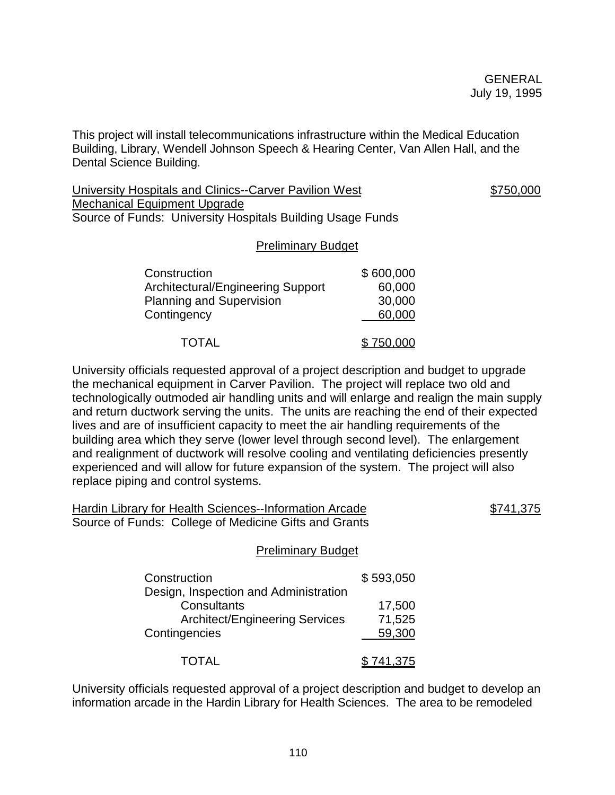This project will install telecommunications infrastructure within the Medical Education Building, Library, Wendell Johnson Speech & Hearing Center, Van Allen Hall, and the Dental Science Building.

University Hospitals and Clinics--Carver Pavilion West  $$750,000$ Mechanical Equipment Upgrade Source of Funds: University Hospitals Building Usage Funds

### Preliminary Budget

| Construction                             | \$600,000 |
|------------------------------------------|-----------|
| <b>Architectural/Engineering Support</b> | 60,000    |
| <b>Planning and Supervision</b>          | 30,000    |
| Contingency                              | 60,000    |
| <b>TOTAL</b>                             | \$750,000 |

University officials requested approval of a project description and budget to upgrade the mechanical equipment in Carver Pavilion. The project will replace two old and technologically outmoded air handling units and will enlarge and realign the main supply and return ductwork serving the units. The units are reaching the end of their expected lives and are of insufficient capacity to meet the air handling requirements of the building area which they serve (lower level through second level). The enlargement and realignment of ductwork will resolve cooling and ventilating deficiencies presently experienced and will allow for future expansion of the system. The project will also replace piping and control systems.

| Hardin Library for Health Sciences--Information Arcade | <u>\$741,375</u> |
|--------------------------------------------------------|------------------|
| Source of Funds: College of Medicine Gifts and Grants  |                  |

#### Preliminary Budget

| Construction                          | \$593,050 |
|---------------------------------------|-----------|
| Design, Inspection and Administration |           |
| Consultants                           | 17,500    |
| <b>Architect/Engineering Services</b> | 71,525    |
| Contingencies                         | 59,300    |
| <b>TOTAL</b>                          | \$741,375 |

University officials requested approval of a project description and budget to develop an information arcade in the Hardin Library for Health Sciences. The area to be remodeled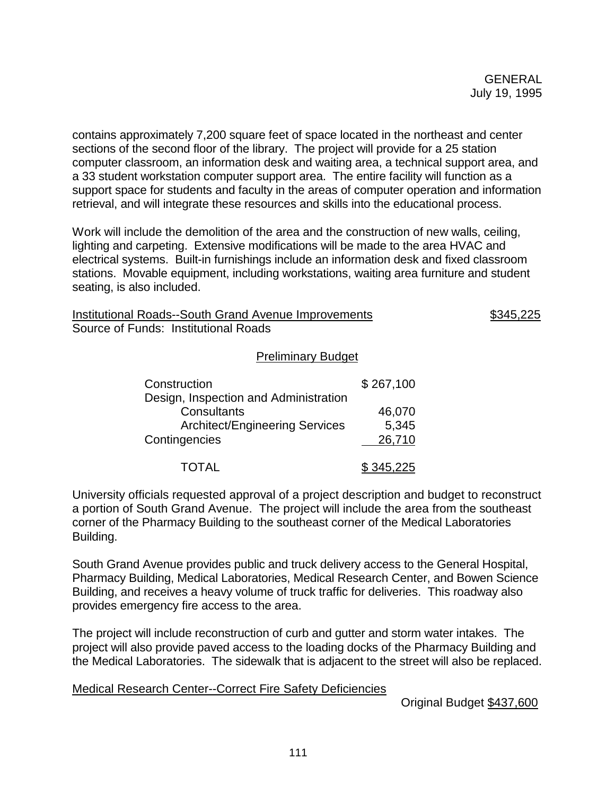contains approximately 7,200 square feet of space located in the northeast and center sections of the second floor of the library. The project will provide for a 25 station computer classroom, an information desk and waiting area, a technical support area, and a 33 student workstation computer support area. The entire facility will function as a support space for students and faculty in the areas of computer operation and information retrieval, and will integrate these resources and skills into the educational process.

Work will include the demolition of the area and the construction of new walls, ceiling, lighting and carpeting. Extensive modifications will be made to the area HVAC and electrical systems. Built-in furnishings include an information desk and fixed classroom stations. Movable equipment, including workstations, waiting area furniture and student seating, is also included.

Institutional Roads--South Grand Avenue Improvements \$345,225 Source of Funds: Institutional Roads

### Preliminary Budget

| Construction                          | \$267,100 |
|---------------------------------------|-----------|
| Design, Inspection and Administration |           |
| Consultants                           | 46,070    |
| <b>Architect/Engineering Services</b> | 5,345     |
| Contingencies                         | 26,710    |
| TOTAL                                 | \$345,225 |

University officials requested approval of a project description and budget to reconstruct a portion of South Grand Avenue. The project will include the area from the southeast corner of the Pharmacy Building to the southeast corner of the Medical Laboratories Building.

South Grand Avenue provides public and truck delivery access to the General Hospital, Pharmacy Building, Medical Laboratories, Medical Research Center, and Bowen Science Building, and receives a heavy volume of truck traffic for deliveries. This roadway also provides emergency fire access to the area.

The project will include reconstruction of curb and gutter and storm water intakes. The project will also provide paved access to the loading docks of the Pharmacy Building and the Medical Laboratories. The sidewalk that is adjacent to the street will also be replaced.

## Medical Research Center--Correct Fire Safety Deficiencies

Original Budget \$437,600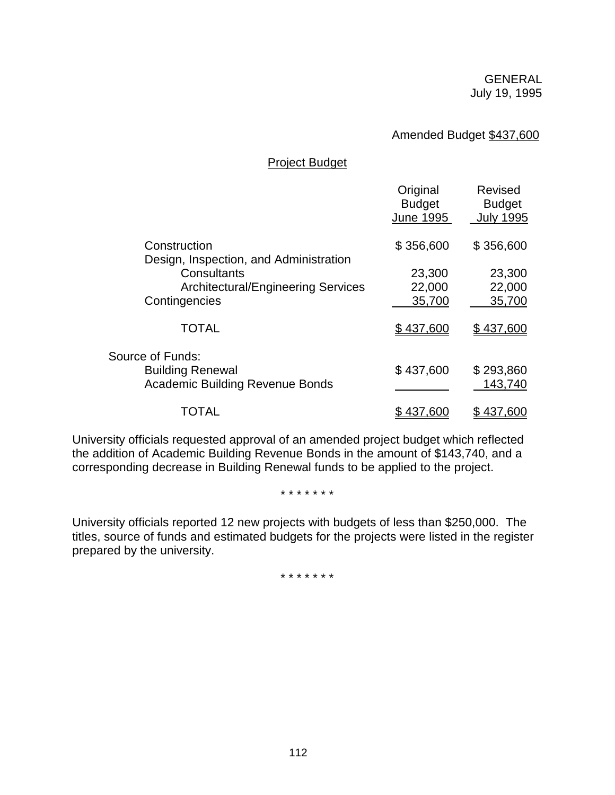## Amended Budget \$437,600

#### Project Budget

|                                                                   | Original<br><b>Budget</b><br><b>June 1995</b> | <b>Revised</b><br><b>Budget</b><br><b>July 1995</b> |
|-------------------------------------------------------------------|-----------------------------------------------|-----------------------------------------------------|
| Construction<br>Design, Inspection, and Administration            | \$356,600                                     | \$356,600                                           |
| Consultants                                                       | 23,300                                        | 23,300                                              |
| <b>Architectural/Engineering Services</b>                         | 22,000                                        | 22,000                                              |
| Contingencies                                                     | 35,700                                        | 35,700                                              |
| <b>TOTAL</b>                                                      | \$437,600                                     | \$437,600                                           |
| Source of Funds:                                                  |                                               |                                                     |
| <b>Building Renewal</b><br><b>Academic Building Revenue Bonds</b> | \$437,600                                     | \$293,860<br>143,740                                |
| TOTAL                                                             | \$437,600                                     | \$437,600                                           |

University officials requested approval of an amended project budget which reflected the addition of Academic Building Revenue Bonds in the amount of \$143,740, and a corresponding decrease in Building Renewal funds to be applied to the project.

\* \* \* \* \* \* \*

University officials reported 12 new projects with budgets of less than \$250,000. The titles, source of funds and estimated budgets for the projects were listed in the register prepared by the university.

\* \* \* \* \* \* \*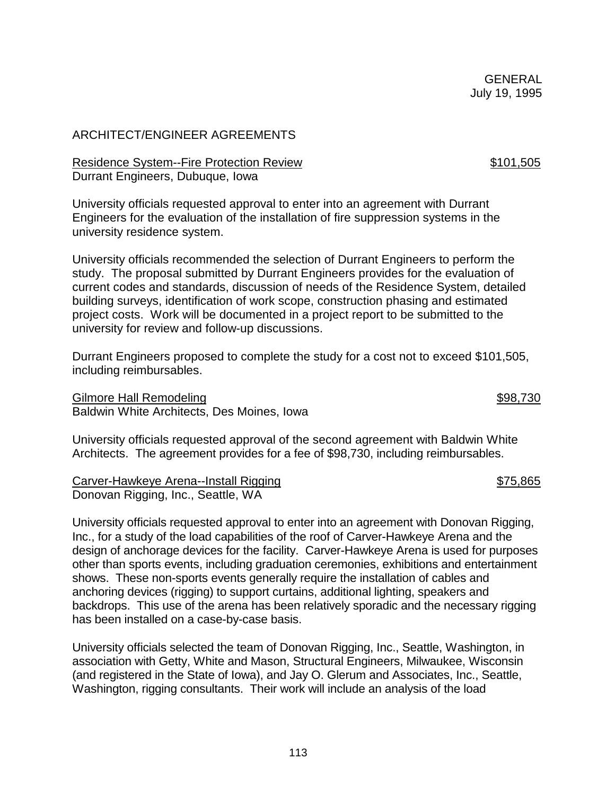# ARCHITECT/ENGINEER AGREEMENTS

## Residence System--Fire Protection Review **\$101,505** \$101,505 Durrant Engineers, Dubuque, Iowa

University officials requested approval to enter into an agreement with Durrant Engineers for the evaluation of the installation of fire suppression systems in the university residence system.

University officials recommended the selection of Durrant Engineers to perform the study. The proposal submitted by Durrant Engineers provides for the evaluation of current codes and standards, discussion of needs of the Residence System, detailed building surveys, identification of work scope, construction phasing and estimated project costs. Work will be documented in a project report to be submitted to the university for review and follow-up discussions.

Durrant Engineers proposed to complete the study for a cost not to exceed \$101,505, including reimbursables.

Gilmore Hall Remodeling  $$98,730$ Baldwin White Architects, Des Moines, Iowa

University officials requested approval of the second agreement with Baldwin White Architects. The agreement provides for a fee of \$98,730, including reimbursables.

Carver-Hawkeye Arena--Install Rigging \$75,865 Donovan Rigging, Inc., Seattle, WA

University officials requested approval to enter into an agreement with Donovan Rigging, Inc., for a study of the load capabilities of the roof of Carver-Hawkeye Arena and the design of anchorage devices for the facility. Carver-Hawkeye Arena is used for purposes other than sports events, including graduation ceremonies, exhibitions and entertainment shows. These non-sports events generally require the installation of cables and anchoring devices (rigging) to support curtains, additional lighting, speakers and backdrops. This use of the arena has been relatively sporadic and the necessary rigging has been installed on a case-by-case basis.

University officials selected the team of Donovan Rigging, Inc., Seattle, Washington, in association with Getty, White and Mason, Structural Engineers, Milwaukee, Wisconsin (and registered in the State of Iowa), and Jay O. Glerum and Associates, Inc., Seattle, Washington, rigging consultants. Their work will include an analysis of the load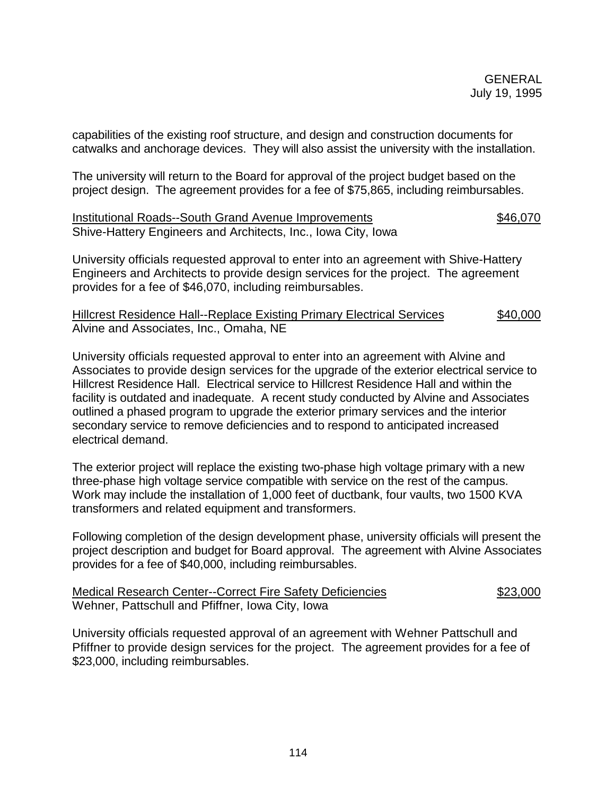capabilities of the existing roof structure, and design and construction documents for catwalks and anchorage devices. They will also assist the university with the installation.

The university will return to the Board for approval of the project budget based on the project design. The agreement provides for a fee of \$75,865, including reimbursables.

| Institutional Roads--South Grand Avenue Improvements          | \$46,070 |
|---------------------------------------------------------------|----------|
| Shive-Hattery Engineers and Architects, Inc., Iowa City, Iowa |          |

University officials requested approval to enter into an agreement with Shive-Hattery Engineers and Architects to provide design services for the project. The agreement provides for a fee of \$46,070, including reimbursables.

Hillcrest Residence Hall--Replace Existing Primary Electrical Services \$40,000 Alvine and Associates, Inc., Omaha, NE

University officials requested approval to enter into an agreement with Alvine and Associates to provide design services for the upgrade of the exterior electrical service to Hillcrest Residence Hall. Electrical service to Hillcrest Residence Hall and within the facility is outdated and inadequate. A recent study conducted by Alvine and Associates outlined a phased program to upgrade the exterior primary services and the interior secondary service to remove deficiencies and to respond to anticipated increased electrical demand.

The exterior project will replace the existing two-phase high voltage primary with a new three-phase high voltage service compatible with service on the rest of the campus. Work may include the installation of 1,000 feet of ductbank, four vaults, two 1500 KVA transformers and related equipment and transformers.

Following completion of the design development phase, university officials will present the project description and budget for Board approval. The agreement with Alvine Associates provides for a fee of \$40,000, including reimbursables.

| <b>Medical Research Center--Correct Fire Safety Deficiencies</b> | \$23,000 |
|------------------------------------------------------------------|----------|
| Wehner, Pattschull and Pfiffner, Iowa City, Iowa                 |          |

University officials requested approval of an agreement with Wehner Pattschull and Pfiffner to provide design services for the project. The agreement provides for a fee of \$23,000, including reimbursables.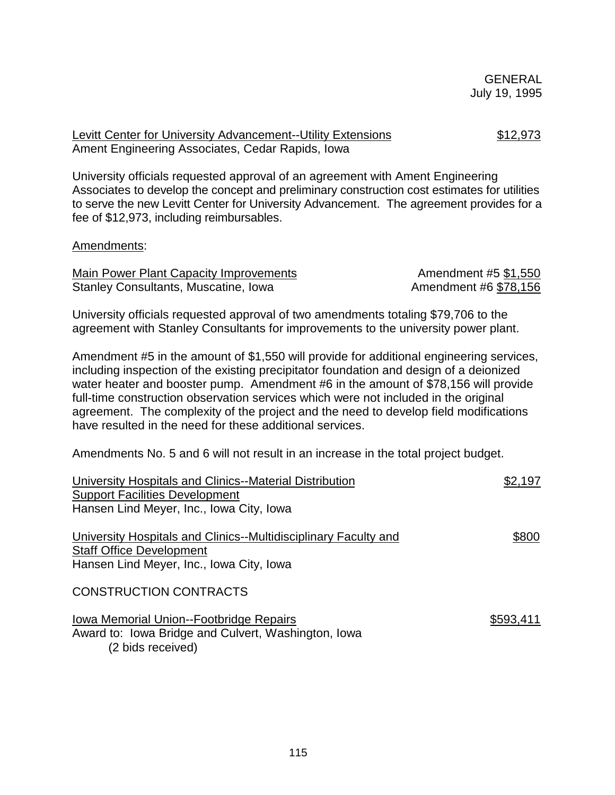Levitt Center for University Advancement--Utility Extensions \$12,973 Ament Engineering Associates, Cedar Rapids, Iowa

University officials requested approval of an agreement with Ament Engineering Associates to develop the concept and preliminary construction cost estimates for utilities to serve the new Levitt Center for University Advancement. The agreement provides for a fee of \$12,973, including reimbursables.

### Amendments:

| Main Power Plant Capacity Improvements | Amendment #5 \$1,550  |
|----------------------------------------|-----------------------|
| Stanley Consultants, Muscatine, Iowa   | Amendment #6 \$78,156 |

University officials requested approval of two amendments totaling \$79,706 to the agreement with Stanley Consultants for improvements to the university power plant.

Amendment #5 in the amount of \$1,550 will provide for additional engineering services, including inspection of the existing precipitator foundation and design of a deionized water heater and booster pump. Amendment #6 in the amount of \$78,156 will provide full-time construction observation services which were not included in the original agreement. The complexity of the project and the need to develop field modifications have resulted in the need for these additional services.

Amendments No. 5 and 6 will not result in an increase in the total project budget.

| University Hospitals and Clinics--Material Distribution                                                             | \$2,197   |
|---------------------------------------------------------------------------------------------------------------------|-----------|
| <b>Support Facilities Development</b>                                                                               |           |
| Hansen Lind Meyer, Inc., Iowa City, Iowa                                                                            |           |
| University Hospitals and Clinics--Multidisciplinary Faculty and<br><b>Staff Office Development</b>                  | \$800     |
| Hansen Lind Meyer, Inc., Iowa City, Iowa                                                                            |           |
| <b>CONSTRUCTION CONTRACTS</b>                                                                                       |           |
| Iowa Memorial Union--Footbridge Repairs<br>Award to: Iowa Bridge and Culvert, Washington, Iowa<br>(2 bids received) | \$593,411 |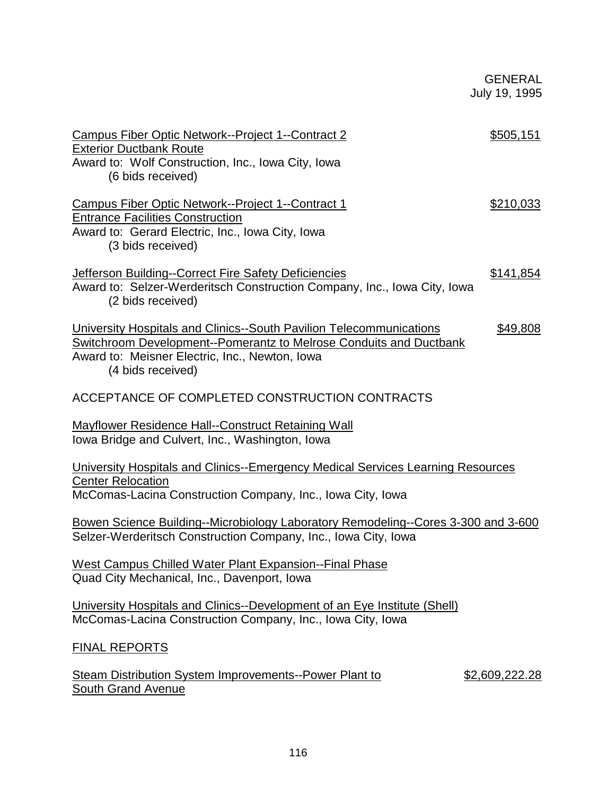| Campus Fiber Optic Network--Project 1--Contract 2<br><b>Exterior Ductbank Route</b><br>Award to: Wolf Construction, Inc., Iowa City, Iowa<br>(6 bids received)                                                          | \$505,151      |
|-------------------------------------------------------------------------------------------------------------------------------------------------------------------------------------------------------------------------|----------------|
| Campus Fiber Optic Network--Project 1--Contract 1<br><b>Entrance Facilities Construction</b><br>Award to: Gerard Electric, Inc., Iowa City, Iowa<br>(3 bids received)                                                   | \$210,033      |
| <b>Jefferson Building--Correct Fire Safety Deficiencies</b><br>Award to: Selzer-Werderitsch Construction Company, Inc., Iowa City, Iowa<br>(2 bids received)                                                            | \$141,854      |
| University Hospitals and Clinics--South Pavilion Telecommunications<br><b>Switchroom Development--Pomerantz to Melrose Conduits and Ductbank</b><br>Award to: Meisner Electric, Inc., Newton, Iowa<br>(4 bids received) | \$49,808       |
| ACCEPTANCE OF COMPLETED CONSTRUCTION CONTRACTS                                                                                                                                                                          |                |
| <b>Mayflower Residence Hall--Construct Retaining Wall</b><br>Iowa Bridge and Culvert, Inc., Washington, Iowa                                                                                                            |                |
| University Hospitals and Clinics--Emergency Medical Services Learning Resources<br><b>Center Relocation</b><br>McComas-Lacina Construction Company, Inc., Iowa City, Iowa                                               |                |
| Bowen Science Building--Microbiology Laboratory Remodeling--Cores 3-300 and 3-600<br>Selzer-Werderitsch Construction Company, Inc., Iowa City, Iowa                                                                     |                |
| West Campus Chilled Water Plant Expansion--Final Phase<br>Quad City Mechanical, Inc., Davenport, Iowa                                                                                                                   |                |
| University Hospitals and Clinics--Development of an Eye Institute (Shell)<br>McComas-Lacina Construction Company, Inc., Iowa City, Iowa                                                                                 |                |
| <b>FINAL REPORTS</b>                                                                                                                                                                                                    |                |
| <b>Steam Distribution System Improvements--Power Plant to</b><br><b>South Grand Avenue</b>                                                                                                                              | \$2,609,222.28 |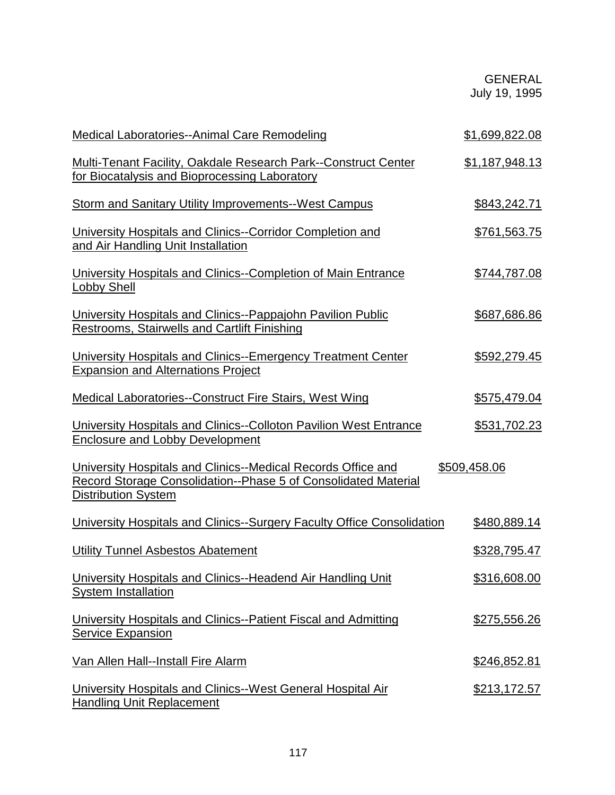| <b>Medical Laboratories--Animal Care Remodeling</b>                                                                                                          | \$1,699,822.08      |
|--------------------------------------------------------------------------------------------------------------------------------------------------------------|---------------------|
| <b>Multi-Tenant Facility, Oakdale Research Park--Construct Center</b><br>for Biocatalysis and Bioprocessing Laboratory                                       | \$1,187,948.13      |
| <b>Storm and Sanitary Utility Improvements--West Campus</b>                                                                                                  | \$843,242.71        |
| University Hospitals and Clinics--Corridor Completion and<br>and Air Handling Unit Installation                                                              | \$761,563.75        |
| University Hospitals and Clinics--Completion of Main Entrance<br><b>Lobby Shell</b>                                                                          | \$744,787.08        |
| University Hospitals and Clinics--Pappajohn Pavilion Public<br><b>Restrooms, Stairwells and Cartlift Finishing</b>                                           | \$687,686.86        |
| <b>University Hospitals and Clinics--Emergency Treatment Center</b><br><b>Expansion and Alternations Project</b>                                             | \$592,279.45        |
| Medical Laboratories--Construct Fire Stairs, West Wing                                                                                                       | \$575,479.04        |
| University Hospitals and Clinics--Colloton Pavilion West Entrance<br><b>Enclosure and Lobby Development</b>                                                  | \$531,702.23        |
| University Hospitals and Clinics--Medical Records Office and<br>Record Storage Consolidation--Phase 5 of Consolidated Material<br><b>Distribution System</b> | \$509,458.06        |
| University Hospitals and Clinics--Surgery Faculty Office Consolidation                                                                                       | \$480,889.14        |
| <b>Utility Tunnel Asbestos Abatement</b>                                                                                                                     | <u>\$328,795.47</u> |
| University Hospitals and Clinics--Headend Air Handling Unit<br><b>System Installation</b>                                                                    | \$316,608.00        |
| University Hospitals and Clinics--Patient Fiscal and Admitting<br><b>Service Expansion</b>                                                                   | \$275,556.26        |
| Van Allen Hall--Install Fire Alarm                                                                                                                           | \$246,852.81        |
| University Hospitals and Clinics--West General Hospital Air<br><b>Handling Unit Replacement</b>                                                              | <u>\$213,172.57</u> |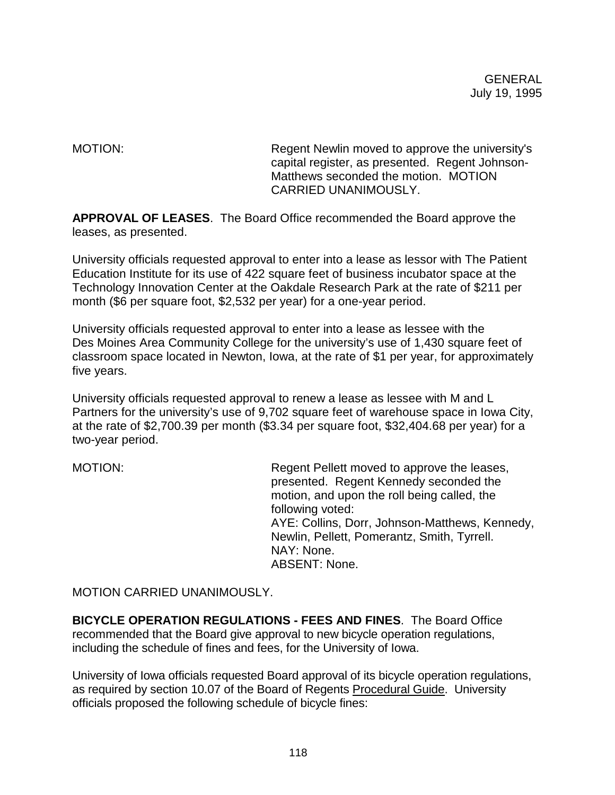MOTION: Regent Newlin moved to approve the university's capital register, as presented. Regent Johnson-Matthews seconded the motion. MOTION CARRIED UNANIMOUSLY.

**APPROVAL OF LEASES**. The Board Office recommended the Board approve the leases, as presented.

University officials requested approval to enter into a lease as lessor with The Patient Education Institute for its use of 422 square feet of business incubator space at the Technology Innovation Center at the Oakdale Research Park at the rate of \$211 per month (\$6 per square foot, \$2,532 per year) for a one-year period.

University officials requested approval to enter into a lease as lessee with the Des Moines Area Community College for the university's use of 1,430 square feet of classroom space located in Newton, Iowa, at the rate of \$1 per year, for approximately five years.

University officials requested approval to renew a lease as lessee with M and L Partners for the university's use of 9,702 square feet of warehouse space in Iowa City, at the rate of \$2,700.39 per month (\$3.34 per square foot, \$32,404.68 per year) for a two-year period.

MOTION: Regent Pellett moved to approve the leases, presented. Regent Kennedy seconded the motion, and upon the roll being called, the following voted: AYE: Collins, Dorr, Johnson-Matthews, Kennedy, Newlin, Pellett, Pomerantz, Smith, Tyrrell. NAY: None. ABSENT: None.

MOTION CARRIED UNANIMOUSLY.

**BICYCLE OPERATION REGULATIONS - FEES AND FINES**. The Board Office recommended that the Board give approval to new bicycle operation regulations, including the schedule of fines and fees, for the University of Iowa.

University of Iowa officials requested Board approval of its bicycle operation regulations, as required by section 10.07 of the Board of Regents Procedural Guide. University officials proposed the following schedule of bicycle fines: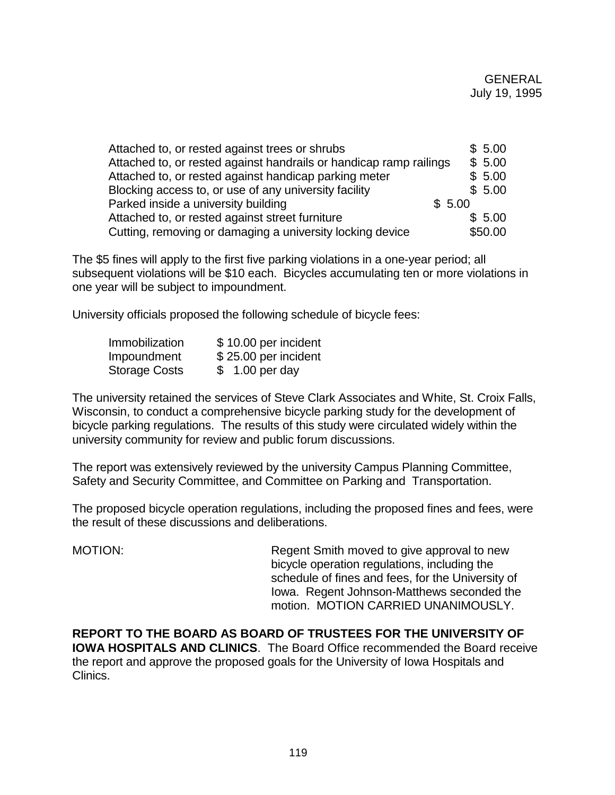| Attached to, or rested against trees or shrubs                     | \$5.00  |
|--------------------------------------------------------------------|---------|
| Attached to, or rested against handrails or handicap ramp railings | \$5.00  |
| Attached to, or rested against handicap parking meter              | \$5.00  |
| Blocking access to, or use of any university facility              | \$5.00  |
| Parked inside a university building                                | \$5.00  |
| Attached to, or rested against street furniture                    | \$5.00  |
| Cutting, removing or damaging a university locking device          | \$50.00 |

The \$5 fines will apply to the first five parking violations in a one-year period; all subsequent violations will be \$10 each. Bicycles accumulating ten or more violations in one year will be subject to impoundment.

University officials proposed the following schedule of bicycle fees:

| Immobilization       | \$10.00 per incident |
|----------------------|----------------------|
| Impoundment          | \$25.00 per incident |
| <b>Storage Costs</b> | $$1.00$ per day      |

The university retained the services of Steve Clark Associates and White, St. Croix Falls, Wisconsin, to conduct a comprehensive bicycle parking study for the development of bicycle parking regulations. The results of this study were circulated widely within the university community for review and public forum discussions.

The report was extensively reviewed by the university Campus Planning Committee, Safety and Security Committee, and Committee on Parking and Transportation.

The proposed bicycle operation regulations, including the proposed fines and fees, were the result of these discussions and deliberations.

MOTION: Regent Smith moved to give approval to new bicycle operation regulations, including the schedule of fines and fees, for the University of Iowa. Regent Johnson-Matthews seconded the motion. MOTION CARRIED UNANIMOUSLY.

**REPORT TO THE BOARD AS BOARD OF TRUSTEES FOR THE UNIVERSITY OF IOWA HOSPITALS AND CLINICS**. The Board Office recommended the Board receive the report and approve the proposed goals for the University of Iowa Hospitals and Clinics.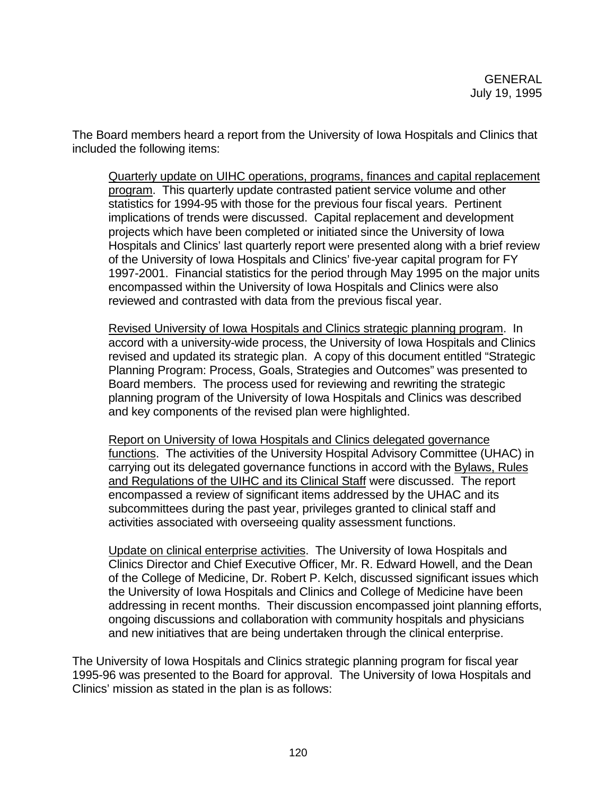The Board members heard a report from the University of Iowa Hospitals and Clinics that included the following items:

Quarterly update on UIHC operations, programs, finances and capital replacement program. This quarterly update contrasted patient service volume and other statistics for 1994-95 with those for the previous four fiscal years. Pertinent implications of trends were discussed. Capital replacement and development projects which have been completed or initiated since the University of Iowa Hospitals and Clinics' last quarterly report were presented along with a brief review of the University of Iowa Hospitals and Clinics' five-year capital program for FY 1997-2001. Financial statistics for the period through May 1995 on the major units encompassed within the University of Iowa Hospitals and Clinics were also reviewed and contrasted with data from the previous fiscal year.

Revised University of Iowa Hospitals and Clinics strategic planning program. In accord with a university-wide process, the University of Iowa Hospitals and Clinics revised and updated its strategic plan. A copy of this document entitled "Strategic Planning Program: Process, Goals, Strategies and Outcomes" was presented to Board members. The process used for reviewing and rewriting the strategic planning program of the University of Iowa Hospitals and Clinics was described and key components of the revised plan were highlighted.

Report on University of Iowa Hospitals and Clinics delegated governance functions. The activities of the University Hospital Advisory Committee (UHAC) in carrying out its delegated governance functions in accord with the Bylaws, Rules and Regulations of the UIHC and its Clinical Staff were discussed. The report encompassed a review of significant items addressed by the UHAC and its subcommittees during the past year, privileges granted to clinical staff and activities associated with overseeing quality assessment functions.

Update on clinical enterprise activities. The University of Iowa Hospitals and Clinics Director and Chief Executive Officer, Mr. R. Edward Howell, and the Dean of the College of Medicine, Dr. Robert P. Kelch, discussed significant issues which the University of Iowa Hospitals and Clinics and College of Medicine have been addressing in recent months. Their discussion encompassed joint planning efforts, ongoing discussions and collaboration with community hospitals and physicians and new initiatives that are being undertaken through the clinical enterprise.

The University of Iowa Hospitals and Clinics strategic planning program for fiscal year 1995-96 was presented to the Board for approval. The University of Iowa Hospitals and Clinics' mission as stated in the plan is as follows: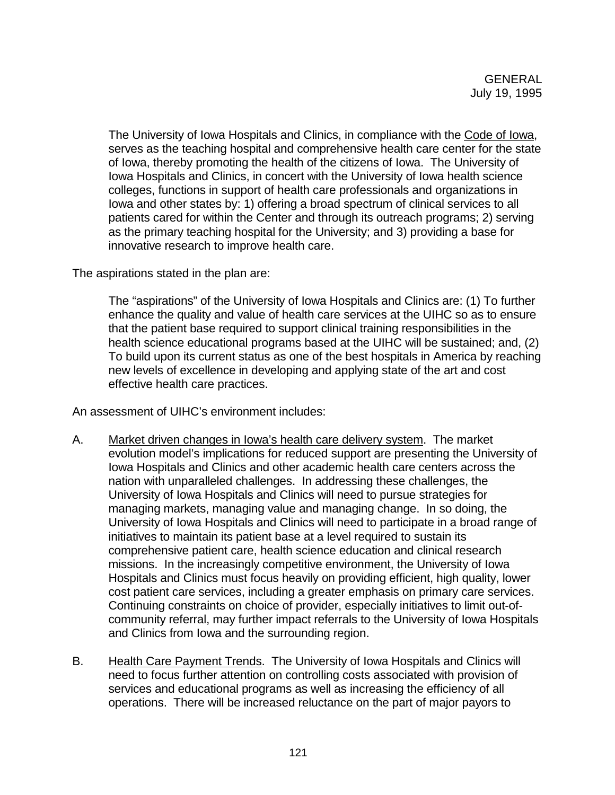The University of Iowa Hospitals and Clinics, in compliance with the Code of Iowa, serves as the teaching hospital and comprehensive health care center for the state of Iowa, thereby promoting the health of the citizens of Iowa. The University of Iowa Hospitals and Clinics, in concert with the University of Iowa health science colleges, functions in support of health care professionals and organizations in Iowa and other states by: 1) offering a broad spectrum of clinical services to all patients cared for within the Center and through its outreach programs; 2) serving as the primary teaching hospital for the University; and 3) providing a base for innovative research to improve health care.

The aspirations stated in the plan are:

The "aspirations" of the University of Iowa Hospitals and Clinics are: (1) To further enhance the quality and value of health care services at the UIHC so as to ensure that the patient base required to support clinical training responsibilities in the health science educational programs based at the UIHC will be sustained; and, (2) To build upon its current status as one of the best hospitals in America by reaching new levels of excellence in developing and applying state of the art and cost effective health care practices.

An assessment of UIHC's environment includes:

- A. Market driven changes in Iowa's health care delivery system. The market evolution model's implications for reduced support are presenting the University of Iowa Hospitals and Clinics and other academic health care centers across the nation with unparalleled challenges. In addressing these challenges, the University of Iowa Hospitals and Clinics will need to pursue strategies for managing markets, managing value and managing change. In so doing, the University of Iowa Hospitals and Clinics will need to participate in a broad range of initiatives to maintain its patient base at a level required to sustain its comprehensive patient care, health science education and clinical research missions. In the increasingly competitive environment, the University of Iowa Hospitals and Clinics must focus heavily on providing efficient, high quality, lower cost patient care services, including a greater emphasis on primary care services. Continuing constraints on choice of provider, especially initiatives to limit out-ofcommunity referral, may further impact referrals to the University of Iowa Hospitals and Clinics from Iowa and the surrounding region.
- B. Health Care Payment Trends. The University of Iowa Hospitals and Clinics will need to focus further attention on controlling costs associated with provision of services and educational programs as well as increasing the efficiency of all operations. There will be increased reluctance on the part of major payors to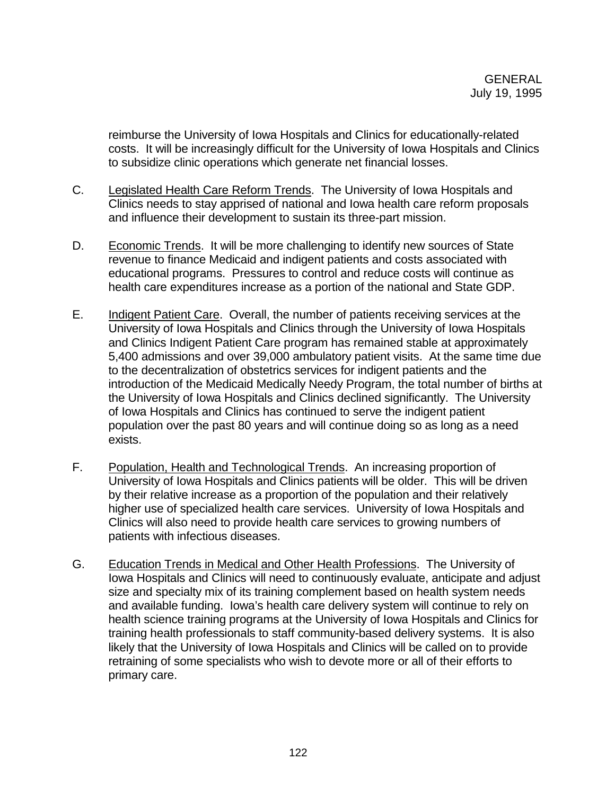reimburse the University of Iowa Hospitals and Clinics for educationally-related costs. It will be increasingly difficult for the University of Iowa Hospitals and Clinics to subsidize clinic operations which generate net financial losses.

- C. Legislated Health Care Reform Trends. The University of Iowa Hospitals and Clinics needs to stay apprised of national and Iowa health care reform proposals and influence their development to sustain its three-part mission.
- D. Economic Trends. It will be more challenging to identify new sources of State revenue to finance Medicaid and indigent patients and costs associated with educational programs. Pressures to control and reduce costs will continue as health care expenditures increase as a portion of the national and State GDP.
- E. Indigent Patient Care. Overall, the number of patients receiving services at the University of Iowa Hospitals and Clinics through the University of Iowa Hospitals and Clinics Indigent Patient Care program has remained stable at approximately 5,400 admissions and over 39,000 ambulatory patient visits. At the same time due to the decentralization of obstetrics services for indigent patients and the introduction of the Medicaid Medically Needy Program, the total number of births at the University of Iowa Hospitals and Clinics declined significantly. The University of Iowa Hospitals and Clinics has continued to serve the indigent patient population over the past 80 years and will continue doing so as long as a need exists.
- F. Population, Health and Technological Trends. An increasing proportion of University of Iowa Hospitals and Clinics patients will be older. This will be driven by their relative increase as a proportion of the population and their relatively higher use of specialized health care services. University of Iowa Hospitals and Clinics will also need to provide health care services to growing numbers of patients with infectious diseases.
- G. Education Trends in Medical and Other Health Professions. The University of Iowa Hospitals and Clinics will need to continuously evaluate, anticipate and adjust size and specialty mix of its training complement based on health system needs and available funding. Iowa's health care delivery system will continue to rely on health science training programs at the University of Iowa Hospitals and Clinics for training health professionals to staff community-based delivery systems. It is also likely that the University of Iowa Hospitals and Clinics will be called on to provide retraining of some specialists who wish to devote more or all of their efforts to primary care.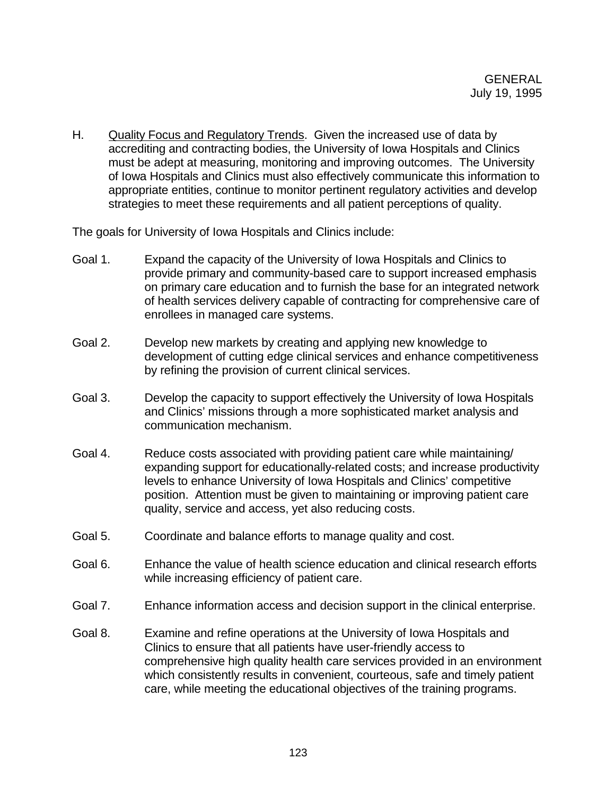H. Quality Focus and Regulatory Trends. Given the increased use of data by accrediting and contracting bodies, the University of Iowa Hospitals and Clinics must be adept at measuring, monitoring and improving outcomes. The University of Iowa Hospitals and Clinics must also effectively communicate this information to appropriate entities, continue to monitor pertinent regulatory activities and develop strategies to meet these requirements and all patient perceptions of quality.

The goals for University of Iowa Hospitals and Clinics include:

- Goal 1. Expand the capacity of the University of Iowa Hospitals and Clinics to provide primary and community-based care to support increased emphasis on primary care education and to furnish the base for an integrated network of health services delivery capable of contracting for comprehensive care of enrollees in managed care systems.
- Goal 2. Develop new markets by creating and applying new knowledge to development of cutting edge clinical services and enhance competitiveness by refining the provision of current clinical services.
- Goal 3. Develop the capacity to support effectively the University of Iowa Hospitals and Clinics' missions through a more sophisticated market analysis and communication mechanism.
- Goal 4. Reduce costs associated with providing patient care while maintaining/ expanding support for educationally-related costs; and increase productivity levels to enhance University of Iowa Hospitals and Clinics' competitive position. Attention must be given to maintaining or improving patient care quality, service and access, yet also reducing costs.
- Goal 5. Coordinate and balance efforts to manage quality and cost.
- Goal 6. Enhance the value of health science education and clinical research efforts while increasing efficiency of patient care.
- Goal 7. Enhance information access and decision support in the clinical enterprise.
- Goal 8. Examine and refine operations at the University of Iowa Hospitals and Clinics to ensure that all patients have user-friendly access to comprehensive high quality health care services provided in an environment which consistently results in convenient, courteous, safe and timely patient care, while meeting the educational objectives of the training programs.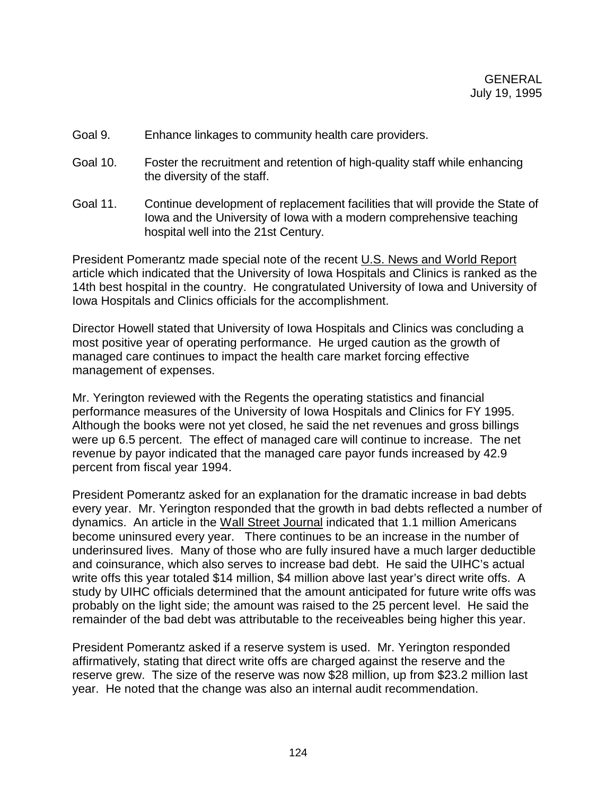- Goal 9. Enhance linkages to community health care providers.
- Goal 10. Foster the recruitment and retention of high-quality staff while enhancing the diversity of the staff.
- Goal 11. Continue development of replacement facilities that will provide the State of Iowa and the University of Iowa with a modern comprehensive teaching hospital well into the 21st Century.

President Pomerantz made special note of the recent U.S. News and World Report article which indicated that the University of Iowa Hospitals and Clinics is ranked as the 14th best hospital in the country. He congratulated University of Iowa and University of Iowa Hospitals and Clinics officials for the accomplishment.

Director Howell stated that University of Iowa Hospitals and Clinics was concluding a most positive year of operating performance. He urged caution as the growth of managed care continues to impact the health care market forcing effective management of expenses.

Mr. Yerington reviewed with the Regents the operating statistics and financial performance measures of the University of Iowa Hospitals and Clinics for FY 1995. Although the books were not yet closed, he said the net revenues and gross billings were up 6.5 percent. The effect of managed care will continue to increase. The net revenue by payor indicated that the managed care payor funds increased by 42.9 percent from fiscal year 1994.

President Pomerantz asked for an explanation for the dramatic increase in bad debts every year. Mr. Yerington responded that the growth in bad debts reflected a number of dynamics. An article in the Wall Street Journal indicated that 1.1 million Americans become uninsured every year. There continues to be an increase in the number of underinsured lives. Many of those who are fully insured have a much larger deductible and coinsurance, which also serves to increase bad debt. He said the UIHC's actual write offs this year totaled \$14 million, \$4 million above last year's direct write offs. A study by UIHC officials determined that the amount anticipated for future write offs was probably on the light side; the amount was raised to the 25 percent level. He said the remainder of the bad debt was attributable to the receiveables being higher this year.

President Pomerantz asked if a reserve system is used. Mr. Yerington responded affirmatively, stating that direct write offs are charged against the reserve and the reserve grew. The size of the reserve was now \$28 million, up from \$23.2 million last year. He noted that the change was also an internal audit recommendation.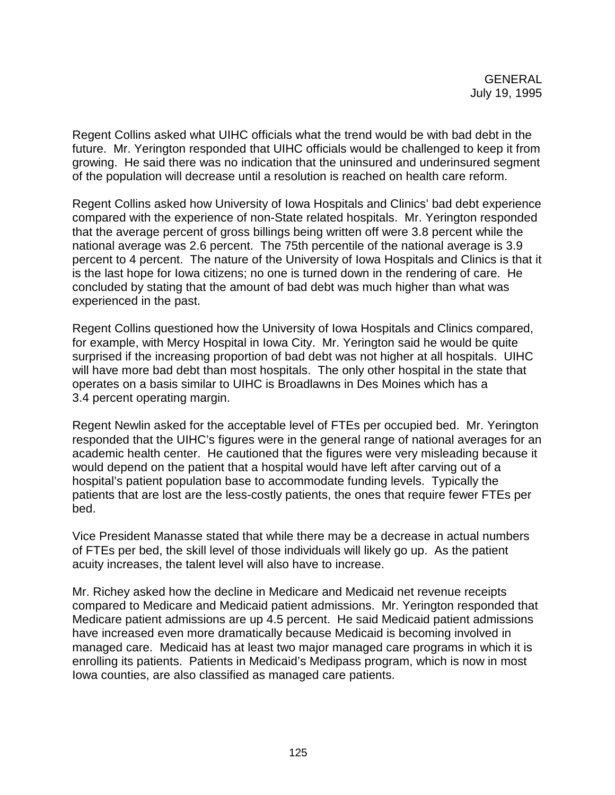Regent Collins asked what UIHC officials what the trend would be with bad debt in the future. Mr. Yerington responded that UIHC officials would be challenged to keep it from growing. He said there was no indication that the uninsured and underinsured segment of the population will decrease until a resolution is reached on health care reform.

Regent Collins asked how University of Iowa Hospitals and Clinics' bad debt experience compared with the experience of non-State related hospitals. Mr. Yerington responded that the average percent of gross billings being written off were 3.8 percent while the national average was 2.6 percent. The 75th percentile of the national average is 3.9 percent to 4 percent. The nature of the University of Iowa Hospitals and Clinics is that it is the last hope for Iowa citizens; no one is turned down in the rendering of care. He concluded by stating that the amount of bad debt was much higher than what was experienced in the past.

Regent Collins questioned how the University of Iowa Hospitals and Clinics compared, for example, with Mercy Hospital in Iowa City. Mr. Yerington said he would be quite surprised if the increasing proportion of bad debt was not higher at all hospitals. UIHC will have more bad debt than most hospitals. The only other hospital in the state that operates on a basis similar to UIHC is Broadlawns in Des Moines which has a 3.4 percent operating margin.

Regent Newlin asked for the acceptable level of FTEs per occupied bed. Mr. Yerington responded that the UIHC's figures were in the general range of national averages for an academic health center. He cautioned that the figures were very misleading because it would depend on the patient that a hospital would have left after carving out of a hospital's patient population base to accommodate funding levels. Typically the patients that are lost are the less-costly patients, the ones that require fewer FTEs per bed.

Vice President Manasse stated that while there may be a decrease in actual numbers of FTEs per bed, the skill level of those individuals will likely go up. As the patient acuity increases, the talent level will also have to increase.

Mr. Richey asked how the decline in Medicare and Medicaid net revenue receipts compared to Medicare and Medicaid patient admissions. Mr. Yerington responded that Medicare patient admissions are up 4.5 percent. He said Medicaid patient admissions have increased even more dramatically because Medicaid is becoming involved in managed care. Medicaid has at least two major managed care programs in which it is enrolling its patients. Patients in Medicaid's Medipass program, which is now in most Iowa counties, are also classified as managed care patients.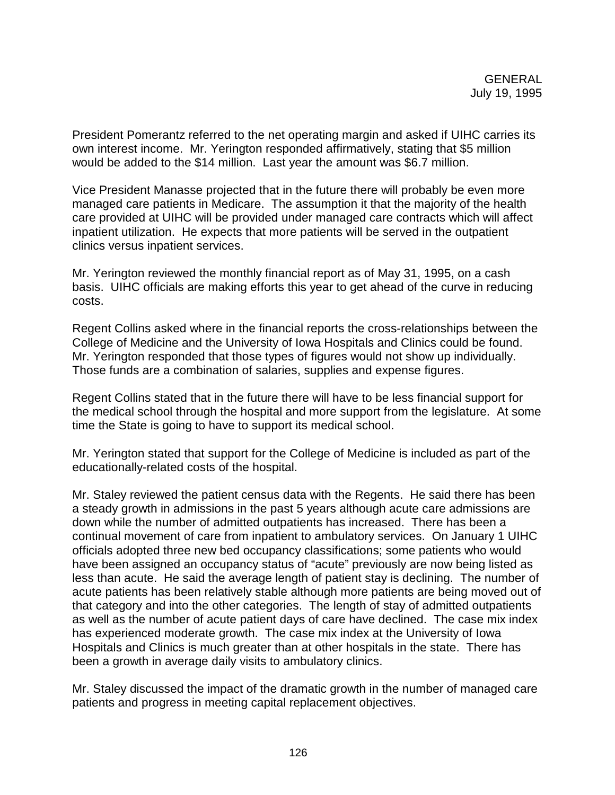President Pomerantz referred to the net operating margin and asked if UIHC carries its own interest income. Mr. Yerington responded affirmatively, stating that \$5 million would be added to the \$14 million. Last year the amount was \$6.7 million.

Vice President Manasse projected that in the future there will probably be even more managed care patients in Medicare. The assumption it that the majority of the health care provided at UIHC will be provided under managed care contracts which will affect inpatient utilization. He expects that more patients will be served in the outpatient clinics versus inpatient services.

Mr. Yerington reviewed the monthly financial report as of May 31, 1995, on a cash basis. UIHC officials are making efforts this year to get ahead of the curve in reducing costs.

Regent Collins asked where in the financial reports the cross-relationships between the College of Medicine and the University of Iowa Hospitals and Clinics could be found. Mr. Yerington responded that those types of figures would not show up individually. Those funds are a combination of salaries, supplies and expense figures.

Regent Collins stated that in the future there will have to be less financial support for the medical school through the hospital and more support from the legislature. At some time the State is going to have to support its medical school.

Mr. Yerington stated that support for the College of Medicine is included as part of the educationally-related costs of the hospital.

Mr. Staley reviewed the patient census data with the Regents. He said there has been a steady growth in admissions in the past 5 years although acute care admissions are down while the number of admitted outpatients has increased. There has been a continual movement of care from inpatient to ambulatory services. On January 1 UIHC officials adopted three new bed occupancy classifications; some patients who would have been assigned an occupancy status of "acute" previously are now being listed as less than acute. He said the average length of patient stay is declining. The number of acute patients has been relatively stable although more patients are being moved out of that category and into the other categories. The length of stay of admitted outpatients as well as the number of acute patient days of care have declined. The case mix index has experienced moderate growth. The case mix index at the University of Iowa Hospitals and Clinics is much greater than at other hospitals in the state. There has been a growth in average daily visits to ambulatory clinics.

Mr. Staley discussed the impact of the dramatic growth in the number of managed care patients and progress in meeting capital replacement objectives.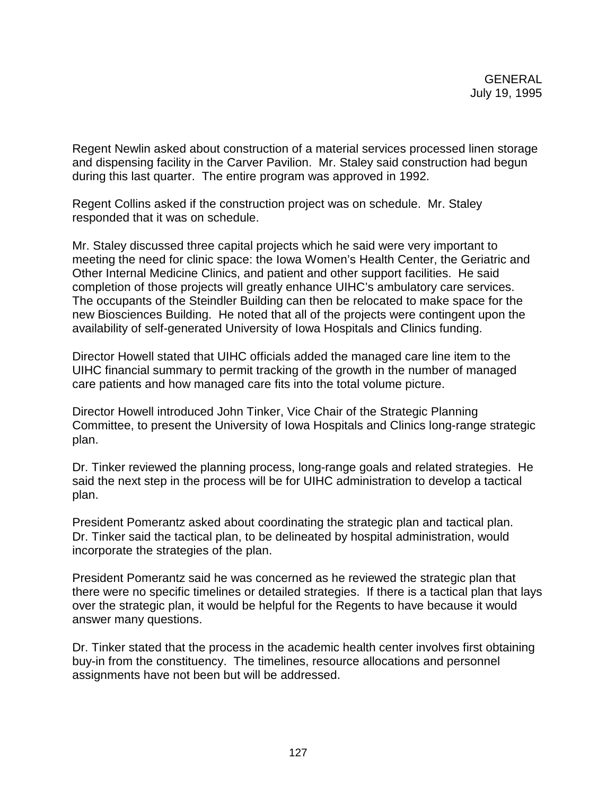Regent Newlin asked about construction of a material services processed linen storage and dispensing facility in the Carver Pavilion. Mr. Staley said construction had begun during this last quarter. The entire program was approved in 1992.

Regent Collins asked if the construction project was on schedule. Mr. Staley responded that it was on schedule.

Mr. Staley discussed three capital projects which he said were very important to meeting the need for clinic space: the Iowa Women's Health Center, the Geriatric and Other Internal Medicine Clinics, and patient and other support facilities. He said completion of those projects will greatly enhance UIHC's ambulatory care services. The occupants of the Steindler Building can then be relocated to make space for the new Biosciences Building. He noted that all of the projects were contingent upon the availability of self-generated University of Iowa Hospitals and Clinics funding.

Director Howell stated that UIHC officials added the managed care line item to the UIHC financial summary to permit tracking of the growth in the number of managed care patients and how managed care fits into the total volume picture.

Director Howell introduced John Tinker, Vice Chair of the Strategic Planning Committee, to present the University of Iowa Hospitals and Clinics long-range strategic plan.

Dr. Tinker reviewed the planning process, long-range goals and related strategies. He said the next step in the process will be for UIHC administration to develop a tactical plan.

President Pomerantz asked about coordinating the strategic plan and tactical plan. Dr. Tinker said the tactical plan, to be delineated by hospital administration, would incorporate the strategies of the plan.

President Pomerantz said he was concerned as he reviewed the strategic plan that there were no specific timelines or detailed strategies. If there is a tactical plan that lays over the strategic plan, it would be helpful for the Regents to have because it would answer many questions.

Dr. Tinker stated that the process in the academic health center involves first obtaining buy-in from the constituency. The timelines, resource allocations and personnel assignments have not been but will be addressed.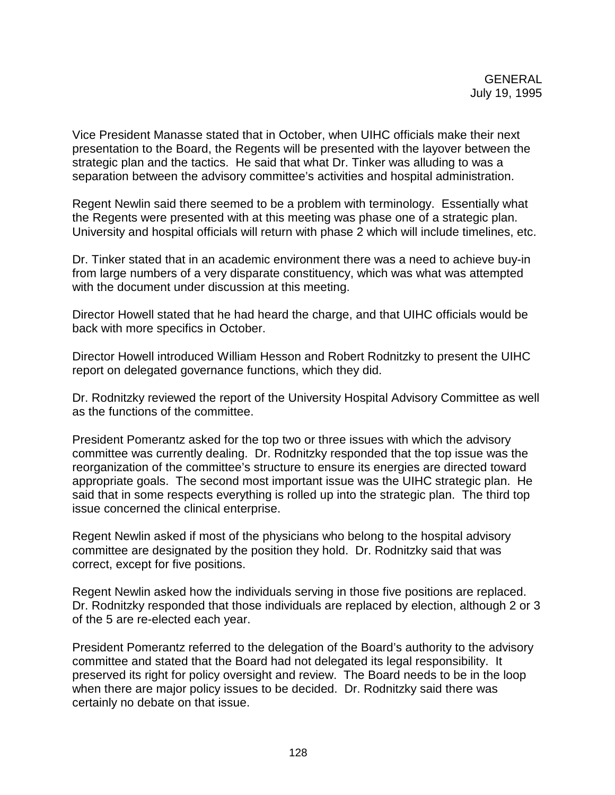Vice President Manasse stated that in October, when UIHC officials make their next presentation to the Board, the Regents will be presented with the layover between the strategic plan and the tactics. He said that what Dr. Tinker was alluding to was a separation between the advisory committee's activities and hospital administration.

Regent Newlin said there seemed to be a problem with terminology. Essentially what the Regents were presented with at this meeting was phase one of a strategic plan. University and hospital officials will return with phase 2 which will include timelines, etc.

Dr. Tinker stated that in an academic environment there was a need to achieve buy-in from large numbers of a very disparate constituency, which was what was attempted with the document under discussion at this meeting.

Director Howell stated that he had heard the charge, and that UIHC officials would be back with more specifics in October.

Director Howell introduced William Hesson and Robert Rodnitzky to present the UIHC report on delegated governance functions, which they did.

Dr. Rodnitzky reviewed the report of the University Hospital Advisory Committee as well as the functions of the committee.

President Pomerantz asked for the top two or three issues with which the advisory committee was currently dealing. Dr. Rodnitzky responded that the top issue was the reorganization of the committee's structure to ensure its energies are directed toward appropriate goals. The second most important issue was the UIHC strategic plan. He said that in some respects everything is rolled up into the strategic plan. The third top issue concerned the clinical enterprise.

Regent Newlin asked if most of the physicians who belong to the hospital advisory committee are designated by the position they hold. Dr. Rodnitzky said that was correct, except for five positions.

Regent Newlin asked how the individuals serving in those five positions are replaced. Dr. Rodnitzky responded that those individuals are replaced by election, although 2 or 3 of the 5 are re-elected each year.

President Pomerantz referred to the delegation of the Board's authority to the advisory committee and stated that the Board had not delegated its legal responsibility. It preserved its right for policy oversight and review. The Board needs to be in the loop when there are major policy issues to be decided. Dr. Rodnitzky said there was certainly no debate on that issue.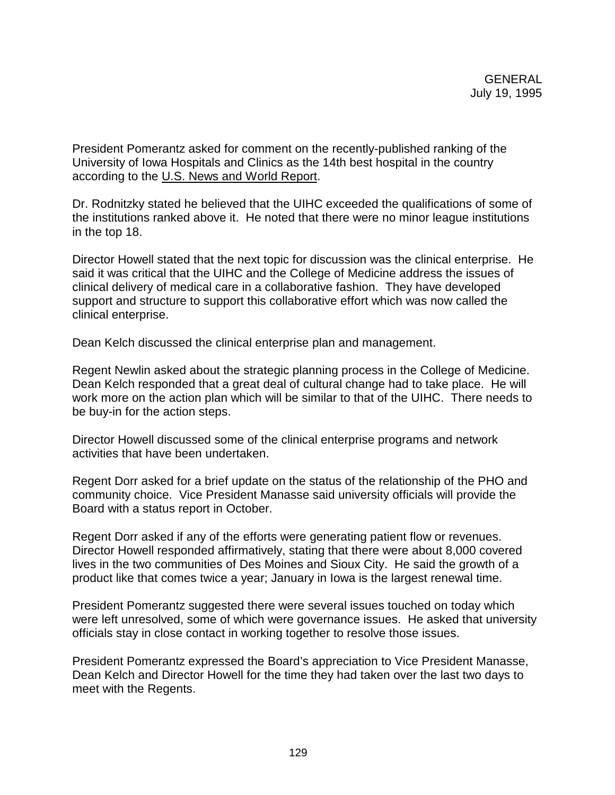President Pomerantz asked for comment on the recently-published ranking of the University of Iowa Hospitals and Clinics as the 14th best hospital in the country according to the U.S. News and World Report.

Dr. Rodnitzky stated he believed that the UIHC exceeded the qualifications of some of the institutions ranked above it. He noted that there were no minor league institutions in the top 18.

Director Howell stated that the next topic for discussion was the clinical enterprise. He said it was critical that the UIHC and the College of Medicine address the issues of clinical delivery of medical care in a collaborative fashion. They have developed support and structure to support this collaborative effort which was now called the clinical enterprise.

Dean Kelch discussed the clinical enterprise plan and management.

Regent Newlin asked about the strategic planning process in the College of Medicine. Dean Kelch responded that a great deal of cultural change had to take place. He will work more on the action plan which will be similar to that of the UIHC. There needs to be buy-in for the action steps.

Director Howell discussed some of the clinical enterprise programs and network activities that have been undertaken.

Regent Dorr asked for a brief update on the status of the relationship of the PHO and community choice. Vice President Manasse said university officials will provide the Board with a status report in October.

Regent Dorr asked if any of the efforts were generating patient flow or revenues. Director Howell responded affirmatively, stating that there were about 8,000 covered lives in the two communities of Des Moines and Sioux City. He said the growth of a product like that comes twice a year; January in Iowa is the largest renewal time.

President Pomerantz suggested there were several issues touched on today which were left unresolved, some of which were governance issues. He asked that university officials stay in close contact in working together to resolve those issues.

President Pomerantz expressed the Board's appreciation to Vice President Manasse, Dean Kelch and Director Howell for the time they had taken over the last two days to meet with the Regents.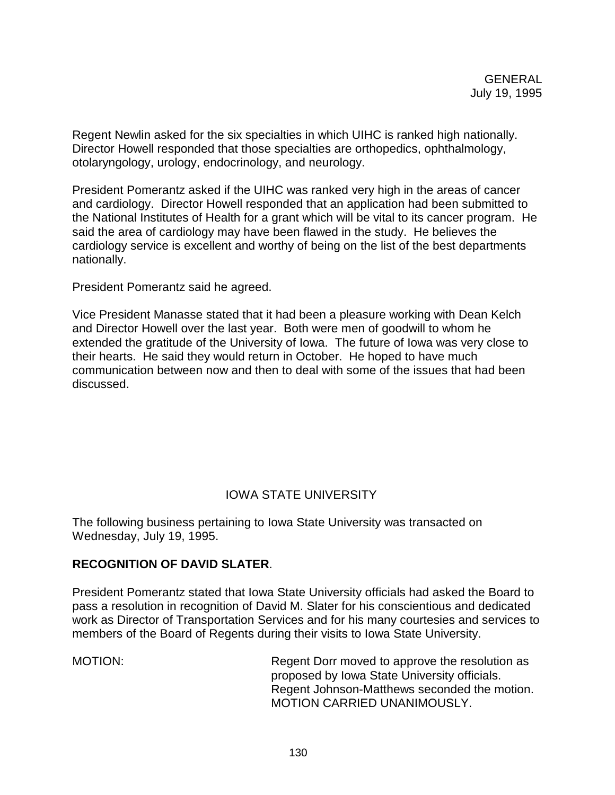Regent Newlin asked for the six specialties in which UIHC is ranked high nationally. Director Howell responded that those specialties are orthopedics, ophthalmology, otolaryngology, urology, endocrinology, and neurology.

President Pomerantz asked if the UIHC was ranked very high in the areas of cancer and cardiology. Director Howell responded that an application had been submitted to the National Institutes of Health for a grant which will be vital to its cancer program. He said the area of cardiology may have been flawed in the study. He believes the cardiology service is excellent and worthy of being on the list of the best departments nationally.

President Pomerantz said he agreed.

Vice President Manasse stated that it had been a pleasure working with Dean Kelch and Director Howell over the last year. Both were men of goodwill to whom he extended the gratitude of the University of Iowa. The future of Iowa was very close to their hearts. He said they would return in October. He hoped to have much communication between now and then to deal with some of the issues that had been discussed.

# IOWA STATE UNIVERSITY

The following business pertaining to Iowa State University was transacted on Wednesday, July 19, 1995.

### **RECOGNITION OF DAVID SLATER**.

President Pomerantz stated that Iowa State University officials had asked the Board to pass a resolution in recognition of David M. Slater for his conscientious and dedicated work as Director of Transportation Services and for his many courtesies and services to members of the Board of Regents during their visits to Iowa State University.

MOTION: Regent Dorr moved to approve the resolution as proposed by Iowa State University officials. Regent Johnson-Matthews seconded the motion. MOTION CARRIED UNANIMOUSLY.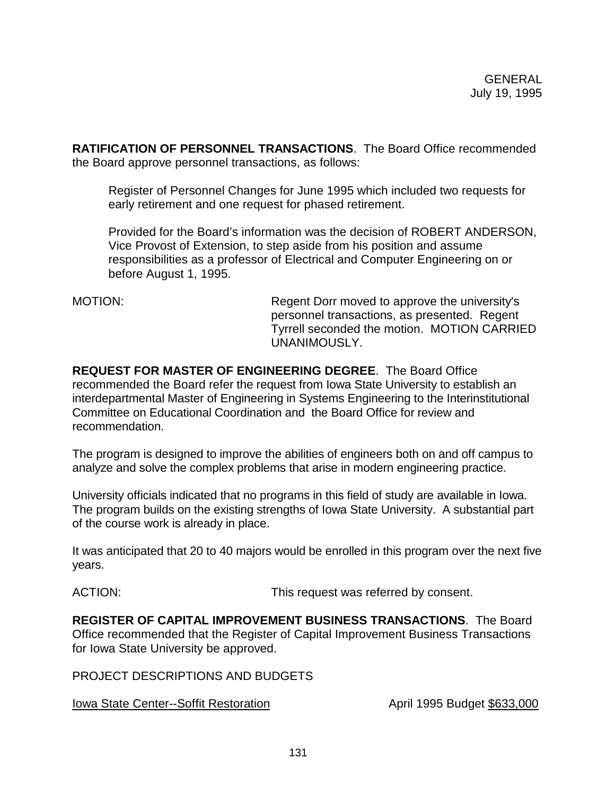**RATIFICATION OF PERSONNEL TRANSACTIONS**. The Board Office recommended the Board approve personnel transactions, as follows:

Register of Personnel Changes for June 1995 which included two requests for early retirement and one request for phased retirement.

Provided for the Board's information was the decision of ROBERT ANDERSON, Vice Provost of Extension, to step aside from his position and assume responsibilities as a professor of Electrical and Computer Engineering on or before August 1, 1995.

MOTION: Regent Dorr moved to approve the university's personnel transactions, as presented. Regent Tyrrell seconded the motion. MOTION CARRIED UNANIMOUSLY.

**REQUEST FOR MASTER OF ENGINEERING DEGREE**. The Board Office recommended the Board refer the request from Iowa State University to establish an interdepartmental Master of Engineering in Systems Engineering to the Interinstitutional Committee on Educational Coordination and the Board Office for review and recommendation.

The program is designed to improve the abilities of engineers both on and off campus to analyze and solve the complex problems that arise in modern engineering practice.

University officials indicated that no programs in this field of study are available in Iowa. The program builds on the existing strengths of Iowa State University. A substantial part of the course work is already in place.

It was anticipated that 20 to 40 majors would be enrolled in this program over the next five years.

ACTION: This request was referred by consent.

**REGISTER OF CAPITAL IMPROVEMENT BUSINESS TRANSACTIONS**. The Board Office recommended that the Register of Capital Improvement Business Transactions for Iowa State University be approved.

PROJECT DESCRIPTIONS AND BUDGETS

Iowa State Center--Soffit Restoration **April 1995** Budget \$633,000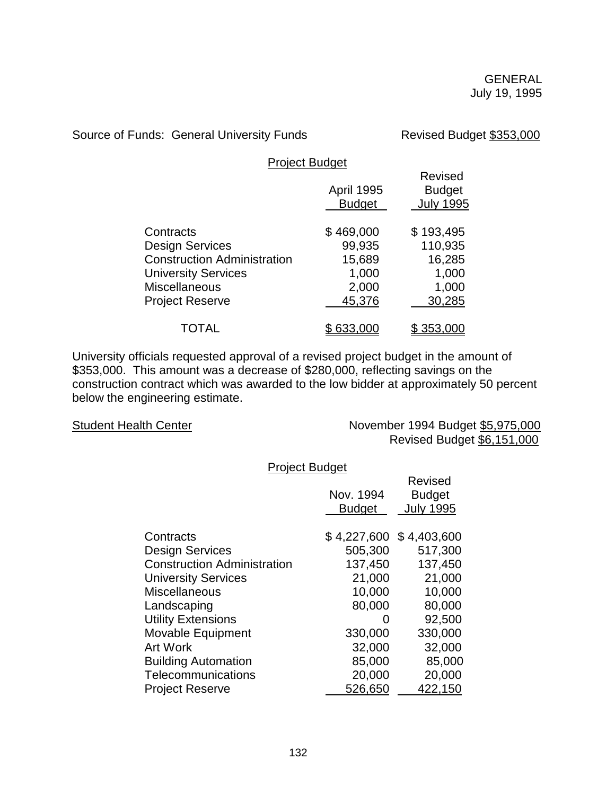Source of Funds: General University Funds Revised Budget \$353,000

Project Budget

|                                    | <b>April 1995</b><br><b>Budget</b> | <b>Revised</b><br><b>Budget</b><br><b>July 1995</b> |
|------------------------------------|------------------------------------|-----------------------------------------------------|
| Contracts                          | \$469,000                          | \$193,495                                           |
| <b>Design Services</b>             | 99,935                             | 110,935                                             |
| <b>Construction Administration</b> | 15,689                             | 16,285                                              |
| <b>University Services</b>         | 1,000                              | 1,000                                               |
| Miscellaneous                      | 2,000                              | 1,000                                               |
| <b>Project Reserve</b>             | 45,376                             | 30,285                                              |
| TOTAL                              | 633,000                            | \$353,000                                           |

University officials requested approval of a revised project budget in the amount of \$353,000. This amount was a decrease of \$280,000, reflecting savings on the construction contract which was awarded to the low bidder at approximately 50 percent below the engineering estimate.

Student Health Center November 1994 Budget \$5,975,000 Revised Budget \$6,151,000

Project Budget

|                                    | Nov. 1994<br><b>Budget</b> | Revised<br><b>Budget</b><br><b>July 1995</b> |
|------------------------------------|----------------------------|----------------------------------------------|
| Contracts                          |                            | $$4,227,600$ $$4,403,600$                    |
| <b>Design Services</b>             | 505,300                    | 517,300                                      |
| <b>Construction Administration</b> | 137,450                    | 137,450                                      |
| <b>University Services</b>         | 21,000                     | 21,000                                       |
| <b>Miscellaneous</b>               | 10,000                     | 10,000                                       |
| Landscaping                        | 80,000                     | 80,000                                       |
| <b>Utility Extensions</b>          | $\mathbf{O}$               | 92,500                                       |
| Movable Equipment                  | 330,000                    | 330,000                                      |
| <b>Art Work</b>                    | 32,000                     | 32,000                                       |
| <b>Building Automation</b>         | 85,000                     | 85,000                                       |
| Telecommunications                 | 20,000                     | 20,000                                       |
| <b>Project Reserve</b>             | 526,650                    | 422,150                                      |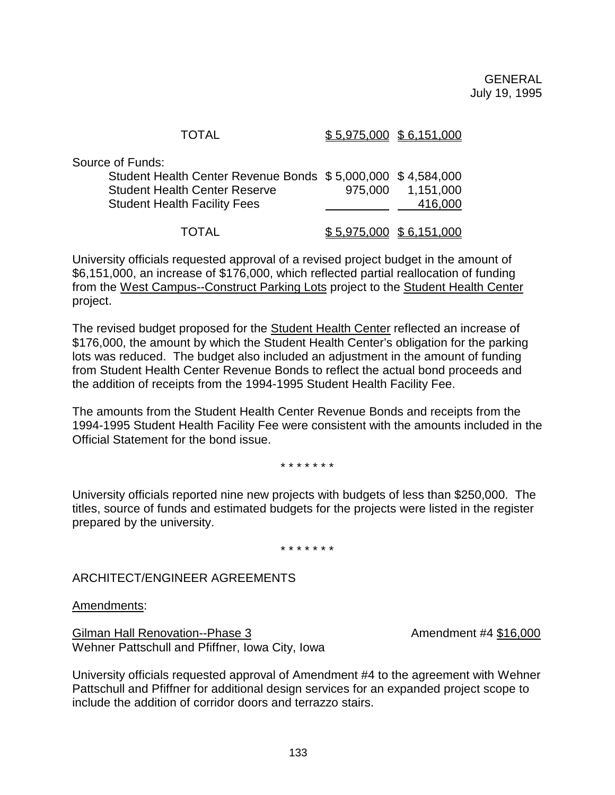| <b>TOTAL</b>                                                                                                                                            | $$5,975,000$ $$6,151,000$    |
|---------------------------------------------------------------------------------------------------------------------------------------------------------|------------------------------|
| of Funds:<br>Student Health Center Revenue Bonds \$5,000,000 \$4,584,000<br><b>Student Health Center Reserve</b><br><b>Student Health Facility Fees</b> | 975,000 1,151,000<br>416,000 |
| <b>TOTAL</b>                                                                                                                                            | $$5,975,000$ $$6,151,000$    |

University officials requested approval of a revised project budget in the amount of \$6,151,000, an increase of \$176,000, which reflected partial reallocation of funding from the West Campus--Construct Parking Lots project to the Student Health Center project.

The revised budget proposed for the Student Health Center reflected an increase of \$176,000, the amount by which the Student Health Center's obligation for the parking lots was reduced. The budget also included an adjustment in the amount of funding from Student Health Center Revenue Bonds to reflect the actual bond proceeds and the addition of receipts from the 1994-1995 Student Health Facility Fee.

The amounts from the Student Health Center Revenue Bonds and receipts from the 1994-1995 Student Health Facility Fee were consistent with the amounts included in the Official Statement for the bond issue.

\* \* \* \* \* \* \*

University officials reported nine new projects with budgets of less than \$250,000. The titles, source of funds and estimated budgets for the projects were listed in the register prepared by the university.

\* \* \* \* \* \* \*

ARCHITECT/ENGINEER AGREEMENTS

Amendments:

Source

Gilman Hall Renovation--Phase 3 Amendment #4 \$16,000 Wehner Pattschull and Pfiffner, Iowa City, Iowa

University officials requested approval of Amendment #4 to the agreement with Wehner Pattschull and Pfiffner for additional design services for an expanded project scope to include the addition of corridor doors and terrazzo stairs.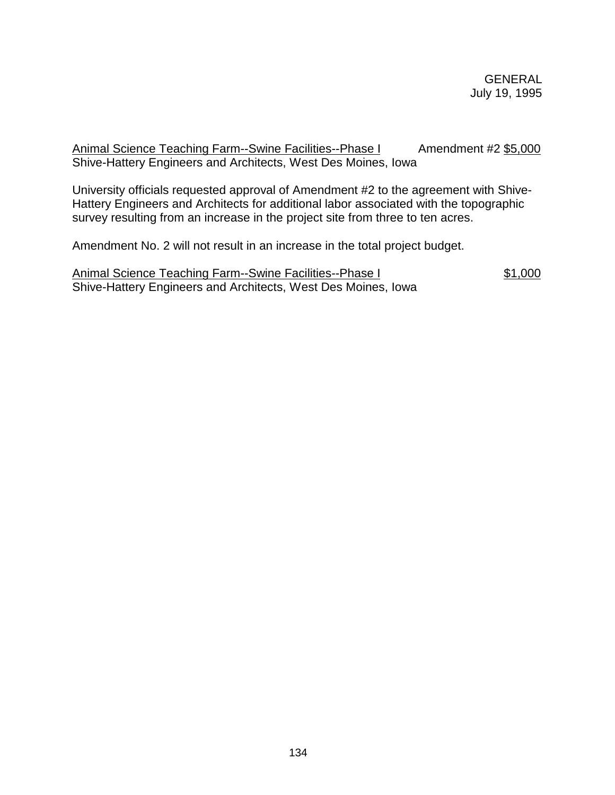Animal Science Teaching Farm--Swine Facilities--Phase I Amendment #2 \$5,000 Shive-Hattery Engineers and Architects, West Des Moines, Iowa

University officials requested approval of Amendment #2 to the agreement with Shive-Hattery Engineers and Architects for additional labor associated with the topographic survey resulting from an increase in the project site from three to ten acres.

Amendment No. 2 will not result in an increase in the total project budget.

Animal Science Teaching Farm--Swine Facilities--Phase I \$1,000 Shive-Hattery Engineers and Architects, West Des Moines, Iowa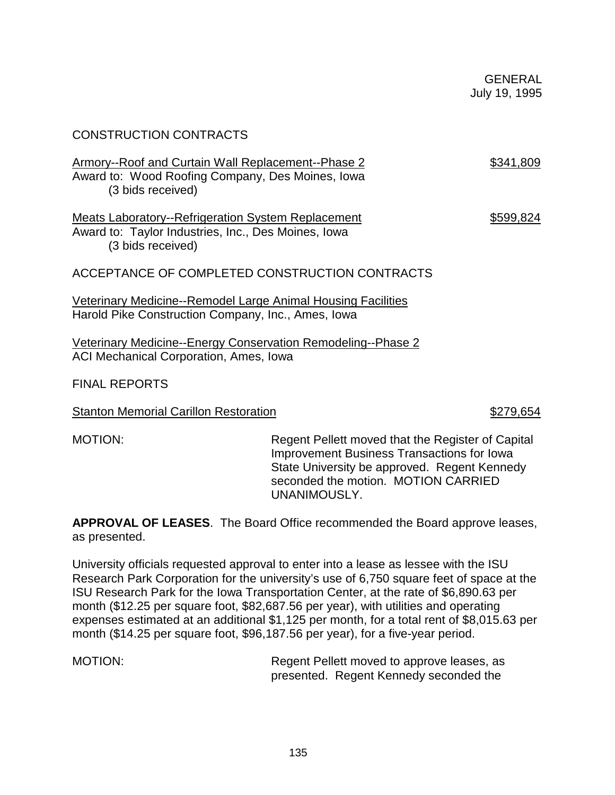| <b>CONSTRUCTION CONTRACTS</b>                                                                                                         |           |
|---------------------------------------------------------------------------------------------------------------------------------------|-----------|
| Armory--Roof and Curtain Wall Replacement--Phase 2<br>Award to: Wood Roofing Company, Des Moines, Iowa<br>(3 bids received)           | \$341,809 |
| <b>Meats Laboratory--Refrigeration System Replacement</b><br>Award to: Taylor Industries, Inc., Des Moines, Iowa<br>(3 bids received) | \$599,824 |
| ACCEPTANCE OF COMPLETED CONSTRUCTION CONTRACTS                                                                                        |           |
| Veterinary Medicine--Remodel Large Animal Housing Facilities<br>Harold Pike Construction Company, Inc., Ames, Iowa                    |           |
| <u>Veterinary Medicine--Energy Conservation Remodeling--Phase 2</u><br><b>ACI Mechanical Corporation, Ames, Iowa</b>                  |           |
| <b>FINAL REPORTS</b>                                                                                                                  |           |

Stanton Memorial Carillon Restoration **\$279,654** 

MOTION: Regent Pellett moved that the Register of Capital Improvement Business Transactions for Iowa State University be approved. Regent Kennedy seconded the motion. MOTION CARRIED UNANIMOUSLY.

**APPROVAL OF LEASES**. The Board Office recommended the Board approve leases, as presented.

University officials requested approval to enter into a lease as lessee with the ISU Research Park Corporation for the university's use of 6,750 square feet of space at the ISU Research Park for the Iowa Transportation Center, at the rate of \$6,890.63 per month (\$12.25 per square foot, \$82,687.56 per year), with utilities and operating expenses estimated at an additional \$1,125 per month, for a total rent of \$8,015.63 per month (\$14.25 per square foot, \$96,187.56 per year), for a five-year period.

135

MOTION: MOTION: Regent Pellett moved to approve leases, as presented. Regent Kennedy seconded the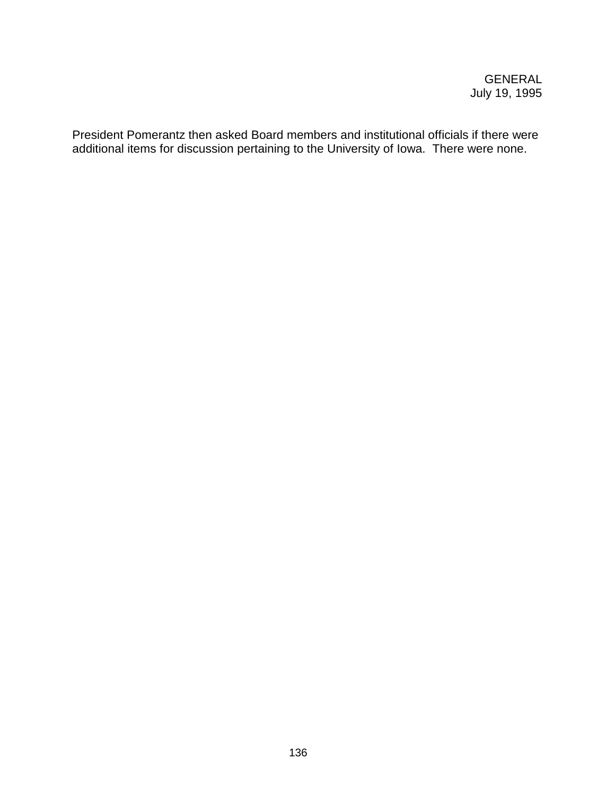President Pomerantz then asked Board members and institutional officials if there were additional items for discussion pertaining to the University of Iowa. There were none.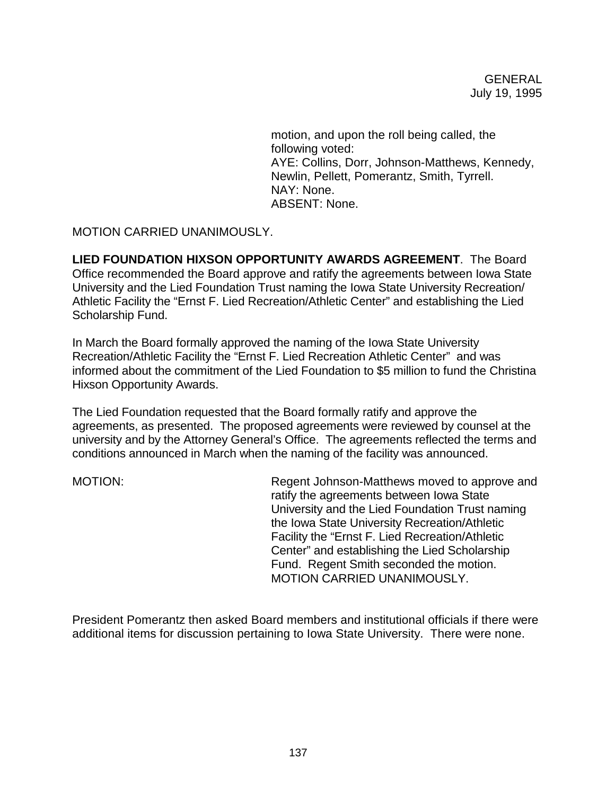motion, and upon the roll being called, the following voted: AYE: Collins, Dorr, Johnson-Matthews, Kennedy, Newlin, Pellett, Pomerantz, Smith, Tyrrell. NAY: None. ABSENT: None.

MOTION CARRIED UNANIMOUSLY.

**LIED FOUNDATION HIXSON OPPORTUNITY AWARDS AGREEMENT**. The Board Office recommended the Board approve and ratify the agreements between Iowa State University and the Lied Foundation Trust naming the Iowa State University Recreation/ Athletic Facility the "Ernst F. Lied Recreation/Athletic Center" and establishing the Lied Scholarship Fund.

In March the Board formally approved the naming of the Iowa State University Recreation/Athletic Facility the "Ernst F. Lied Recreation Athletic Center" and was informed about the commitment of the Lied Foundation to \$5 million to fund the Christina Hixson Opportunity Awards.

The Lied Foundation requested that the Board formally ratify and approve the agreements, as presented. The proposed agreements were reviewed by counsel at the university and by the Attorney General's Office. The agreements reflected the terms and conditions announced in March when the naming of the facility was announced.

MOTION: Regent Johnson-Matthews moved to approve and ratify the agreements between Iowa State University and the Lied Foundation Trust naming the Iowa State University Recreation/Athletic Facility the "Ernst F. Lied Recreation/Athletic Center" and establishing the Lied Scholarship Fund. Regent Smith seconded the motion. MOTION CARRIED UNANIMOUSLY.

President Pomerantz then asked Board members and institutional officials if there were additional items for discussion pertaining to Iowa State University. There were none.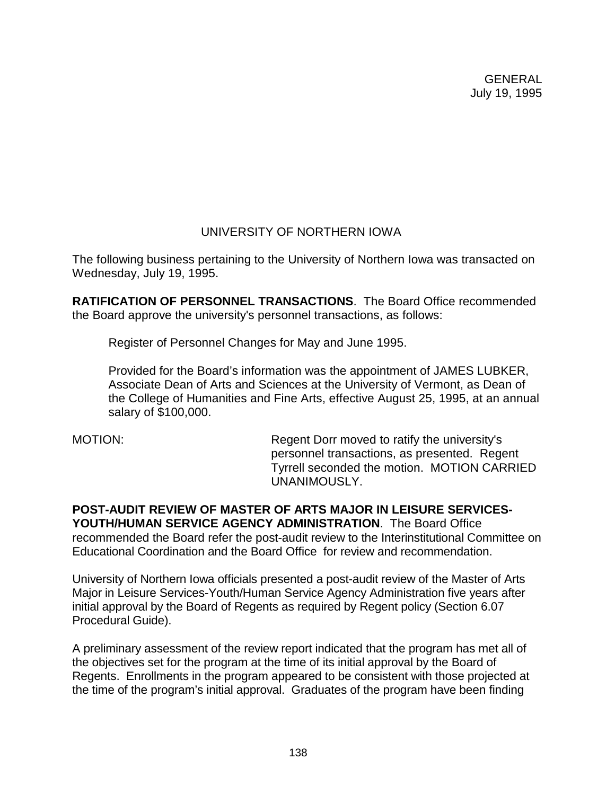# UNIVERSITY OF NORTHERN IOWA

The following business pertaining to the University of Northern Iowa was transacted on Wednesday, July 19, 1995.

**RATIFICATION OF PERSONNEL TRANSACTIONS**. The Board Office recommended the Board approve the university's personnel transactions, as follows:

Register of Personnel Changes for May and June 1995.

Provided for the Board's information was the appointment of JAMES LUBKER, Associate Dean of Arts and Sciences at the University of Vermont, as Dean of the College of Humanities and Fine Arts, effective August 25, 1995, at an annual salary of \$100,000.

MOTION: Regent Dorr moved to ratify the university's personnel transactions, as presented. Regent Tyrrell seconded the motion. MOTION CARRIED UNANIMOUSLY.

**POST-AUDIT REVIEW OF MASTER OF ARTS MAJOR IN LEISURE SERVICES-YOUTH/HUMAN SERVICE AGENCY ADMINISTRATION**. The Board Office recommended the Board refer the post-audit review to the Interinstitutional Committee on Educational Coordination and the Board Office for review and recommendation.

University of Northern Iowa officials presented a post-audit review of the Master of Arts Major in Leisure Services-Youth/Human Service Agency Administration five years after initial approval by the Board of Regents as required by Regent policy (Section 6.07 Procedural Guide).

A preliminary assessment of the review report indicated that the program has met all of the objectives set for the program at the time of its initial approval by the Board of Regents. Enrollments in the program appeared to be consistent with those projected at the time of the program's initial approval. Graduates of the program have been finding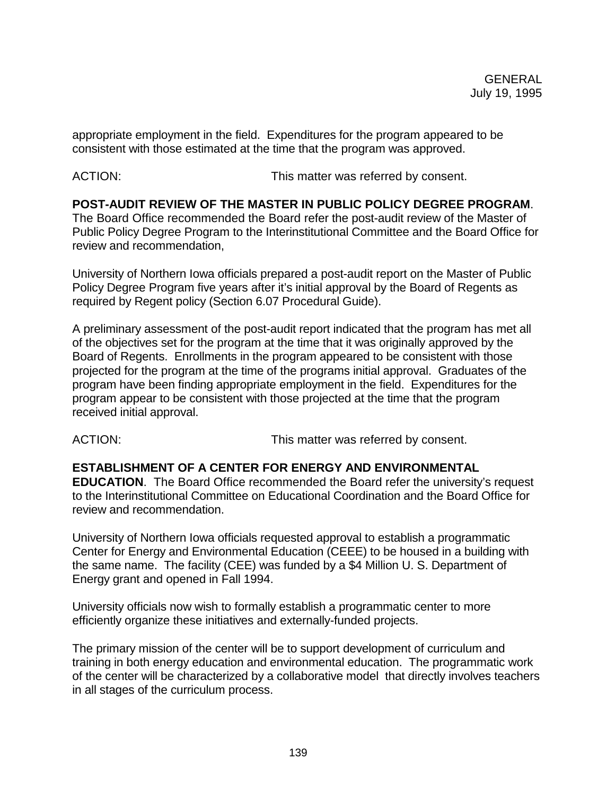appropriate employment in the field. Expenditures for the program appeared to be consistent with those estimated at the time that the program was approved.

ACTION: **This matter was referred by consent.** 

**POST-AUDIT REVIEW OF THE MASTER IN PUBLIC POLICY DEGREE PROGRAM**. The Board Office recommended the Board refer the post-audit review of the Master of Public Policy Degree Program to the Interinstitutional Committee and the Board Office for review and recommendation,

University of Northern Iowa officials prepared a post-audit report on the Master of Public Policy Degree Program five years after it's initial approval by the Board of Regents as required by Regent policy (Section 6.07 Procedural Guide).

A preliminary assessment of the post-audit report indicated that the program has met all of the objectives set for the program at the time that it was originally approved by the Board of Regents. Enrollments in the program appeared to be consistent with those projected for the program at the time of the programs initial approval. Graduates of the program have been finding appropriate employment in the field. Expenditures for the program appear to be consistent with those projected at the time that the program received initial approval.

ACTION: This matter was referred by consent.

**ESTABLISHMENT OF A CENTER FOR ENERGY AND ENVIRONMENTAL**

**EDUCATION**. The Board Office recommended the Board refer the university's request to the Interinstitutional Committee on Educational Coordination and the Board Office for review and recommendation.

University of Northern Iowa officials requested approval to establish a programmatic Center for Energy and Environmental Education (CEEE) to be housed in a building with the same name. The facility (CEE) was funded by a \$4 Million U. S. Department of Energy grant and opened in Fall 1994.

University officials now wish to formally establish a programmatic center to more efficiently organize these initiatives and externally-funded projects.

The primary mission of the center will be to support development of curriculum and training in both energy education and environmental education. The programmatic work of the center will be characterized by a collaborative model that directly involves teachers in all stages of the curriculum process.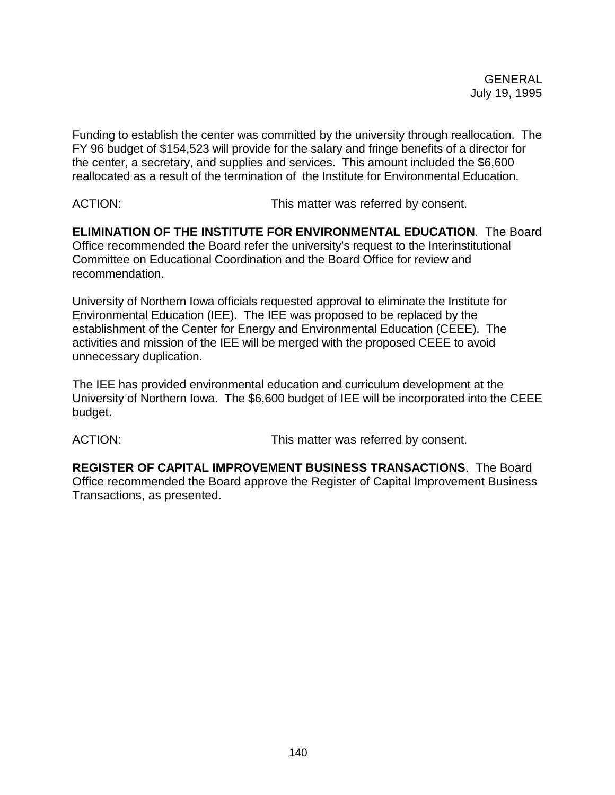Funding to establish the center was committed by the university through reallocation. The FY 96 budget of \$154,523 will provide for the salary and fringe benefits of a director for the center, a secretary, and supplies and services. This amount included the \$6,600 reallocated as a result of the termination of the Institute for Environmental Education.

ACTION: This matter was referred by consent.

**ELIMINATION OF THE INSTITUTE FOR ENVIRONMENTAL EDUCATION**. The Board Office recommended the Board refer the university's request to the Interinstitutional Committee on Educational Coordination and the Board Office for review and recommendation.

University of Northern Iowa officials requested approval to eliminate the Institute for Environmental Education (IEE). The IEE was proposed to be replaced by the establishment of the Center for Energy and Environmental Education (CEEE). The activities and mission of the IEE will be merged with the proposed CEEE to avoid unnecessary duplication.

The IEE has provided environmental education and curriculum development at the University of Northern Iowa. The \$6,600 budget of IEE will be incorporated into the CEEE budget.

ACTION: This matter was referred by consent.

**REGISTER OF CAPITAL IMPROVEMENT BUSINESS TRANSACTIONS**. The Board Office recommended the Board approve the Register of Capital Improvement Business Transactions, as presented.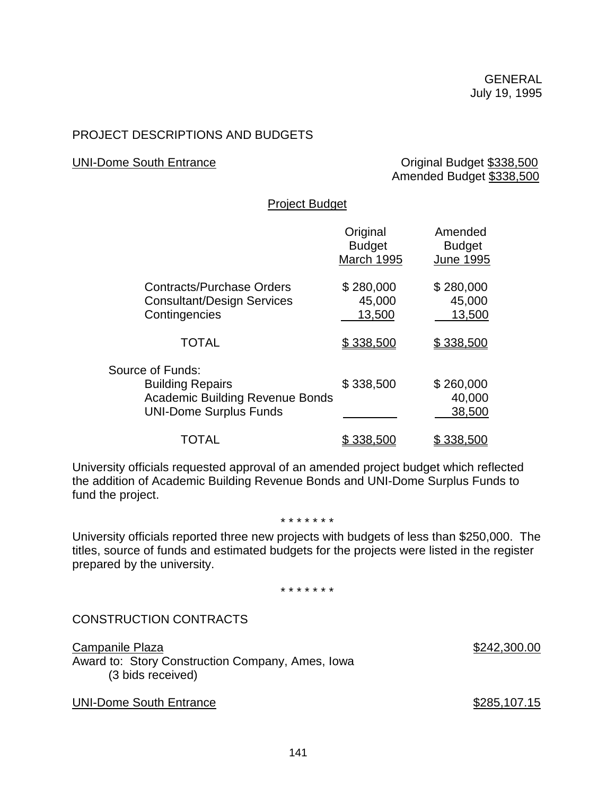# PROJECT DESCRIPTIONS AND BUDGETS

#### UNI-Dome South Entrance **Containers** Original Budget \$338,500 Amended Budget \$338,500

## Project Budget

|                                                                                                                        | Original<br><b>Budget</b><br><b>March 1995</b> | Amended<br><b>Budget</b><br><b>June 1995</b> |
|------------------------------------------------------------------------------------------------------------------------|------------------------------------------------|----------------------------------------------|
| <b>Contracts/Purchase Orders</b><br><b>Consultant/Design Services</b><br>Contingencies                                 | \$280,000<br>45,000<br>13,500                  | \$280,000<br>45,000<br>13,500                |
| <b>TOTAL</b>                                                                                                           | \$338,500                                      | \$338,500                                    |
| Source of Funds:<br><b>Building Repairs</b><br><b>Academic Building Revenue Bonds</b><br><b>UNI-Dome Surplus Funds</b> | \$338,500                                      | \$260,000<br>40,000<br>38,500                |
| TOTAL                                                                                                                  | \$338,500                                      | \$338,500                                    |

University officials requested approval of an amended project budget which reflected the addition of Academic Building Revenue Bonds and UNI-Dome Surplus Funds to fund the project.

#### \* \* \* \* \* \* \*

University officials reported three new projects with budgets of less than \$250,000. The titles, source of funds and estimated budgets for the projects were listed in the register prepared by the university.

\* \* \* \* \* \* \*

### CONSTRUCTION CONTRACTS

Campanile Plaza \$242,300.00 Award to: Story Construction Company, Ames, Iowa (3 bids received)

UNI-Dome South Entrance **\$285,107.15**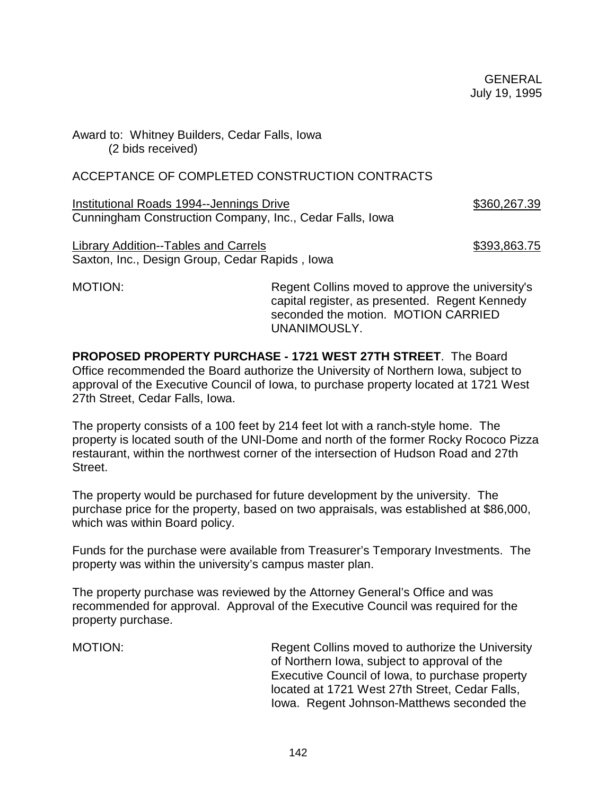Award to: Whitney Builders, Cedar Falls, Iowa (2 bids received)

## ACCEPTANCE OF COMPLETED CONSTRUCTION CONTRACTS

Institutional Roads 1994--Jennings Drive \$360,267.39 Cunningham Construction Company, Inc., Cedar Falls, Iowa

Library Addition--Tables and Carrels **\$393,863.75** \$393,863.75 Saxton, Inc., Design Group, Cedar Rapids , Iowa

MOTION: Regent Collins moved to approve the university's capital register, as presented. Regent Kennedy seconded the motion. MOTION CARRIED UNANIMOUSLY.

**PROPOSED PROPERTY PURCHASE - 1721 WEST 27TH STREET**. The Board Office recommended the Board authorize the University of Northern Iowa, subject to approval of the Executive Council of Iowa, to purchase property located at 1721 West 27th Street, Cedar Falls, Iowa.

The property consists of a 100 feet by 214 feet lot with a ranch-style home. The property is located south of the UNI-Dome and north of the former Rocky Rococo Pizza restaurant, within the northwest corner of the intersection of Hudson Road and 27th Street.

The property would be purchased for future development by the university. The purchase price for the property, based on two appraisals, was established at \$86,000, which was within Board policy.

Funds for the purchase were available from Treasurer's Temporary Investments. The property was within the university's campus master plan.

The property purchase was reviewed by the Attorney General's Office and was recommended for approval. Approval of the Executive Council was required for the property purchase.

MOTION: Regent Collins moved to authorize the University of Northern Iowa, subject to approval of the Executive Council of Iowa, to purchase property located at 1721 West 27th Street, Cedar Falls, Iowa. Regent Johnson-Matthews seconded the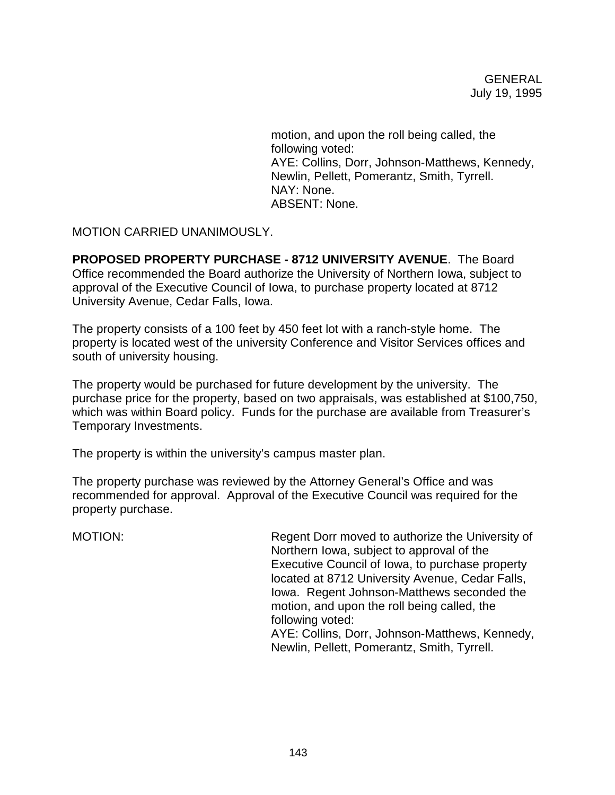motion, and upon the roll being called, the following voted: AYE: Collins, Dorr, Johnson-Matthews, Kennedy, Newlin, Pellett, Pomerantz, Smith, Tyrrell. NAY: None. ABSENT: None.

MOTION CARRIED UNANIMOUSLY.

**PROPOSED PROPERTY PURCHASE - 8712 UNIVERSITY AVENUE**. The Board Office recommended the Board authorize the University of Northern Iowa, subject to approval of the Executive Council of Iowa, to purchase property located at 8712 University Avenue, Cedar Falls, Iowa.

The property consists of a 100 feet by 450 feet lot with a ranch-style home. The property is located west of the university Conference and Visitor Services offices and south of university housing.

The property would be purchased for future development by the university. The purchase price for the property, based on two appraisals, was established at \$100,750, which was within Board policy. Funds for the purchase are available from Treasurer's Temporary Investments.

The property is within the university's campus master plan.

The property purchase was reviewed by the Attorney General's Office and was recommended for approval. Approval of the Executive Council was required for the property purchase.

MOTION: Regent Dorr moved to authorize the University of Northern Iowa, subject to approval of the Executive Council of Iowa, to purchase property located at 8712 University Avenue, Cedar Falls, Iowa. Regent Johnson-Matthews seconded the motion, and upon the roll being called, the following voted: AYE: Collins, Dorr, Johnson-Matthews, Kennedy, Newlin, Pellett, Pomerantz, Smith, Tyrrell.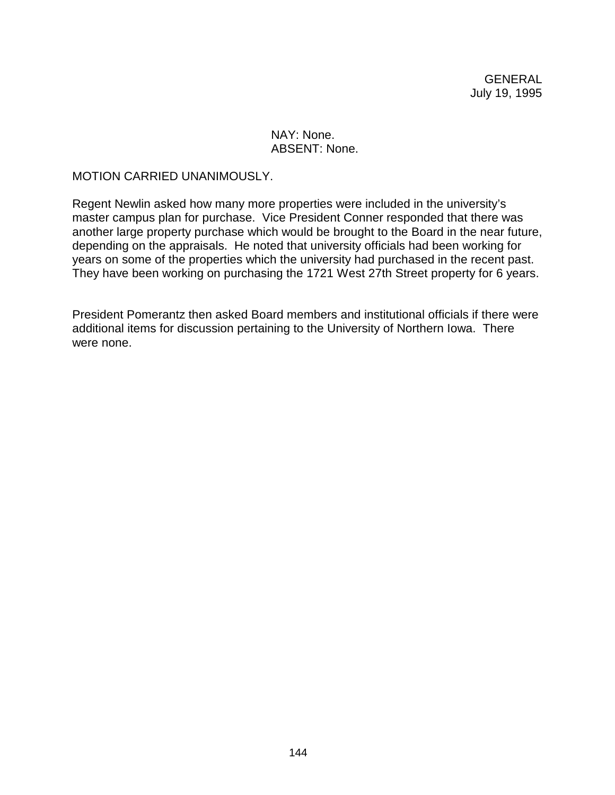### NAY: None. ABSENT: None.

### MOTION CARRIED UNANIMOUSLY.

Regent Newlin asked how many more properties were included in the university's master campus plan for purchase. Vice President Conner responded that there was another large property purchase which would be brought to the Board in the near future, depending on the appraisals. He noted that university officials had been working for years on some of the properties which the university had purchased in the recent past. They have been working on purchasing the 1721 West 27th Street property for 6 years.

President Pomerantz then asked Board members and institutional officials if there were additional items for discussion pertaining to the University of Northern Iowa. There were none.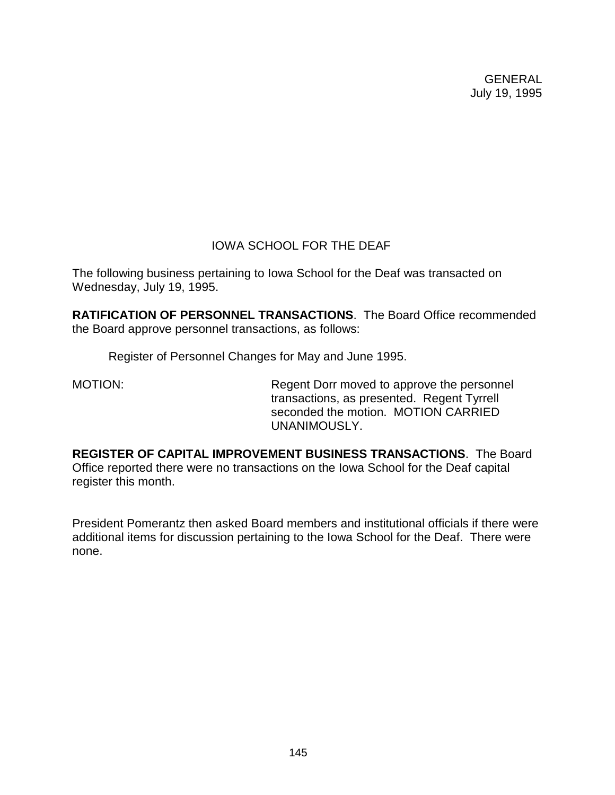# IOWA SCHOOL FOR THE DEAF

The following business pertaining to Iowa School for the Deaf was transacted on Wednesday, July 19, 1995.

**RATIFICATION OF PERSONNEL TRANSACTIONS**. The Board Office recommended the Board approve personnel transactions, as follows:

Register of Personnel Changes for May and June 1995.

MOTION: Regent Dorr moved to approve the personnel transactions, as presented. Regent Tyrrell seconded the motion. MOTION CARRIED UNANIMOUSLY.

**REGISTER OF CAPITAL IMPROVEMENT BUSINESS TRANSACTIONS**. The Board Office reported there were no transactions on the Iowa School for the Deaf capital register this month.

President Pomerantz then asked Board members and institutional officials if there were additional items for discussion pertaining to the Iowa School for the Deaf. There were none.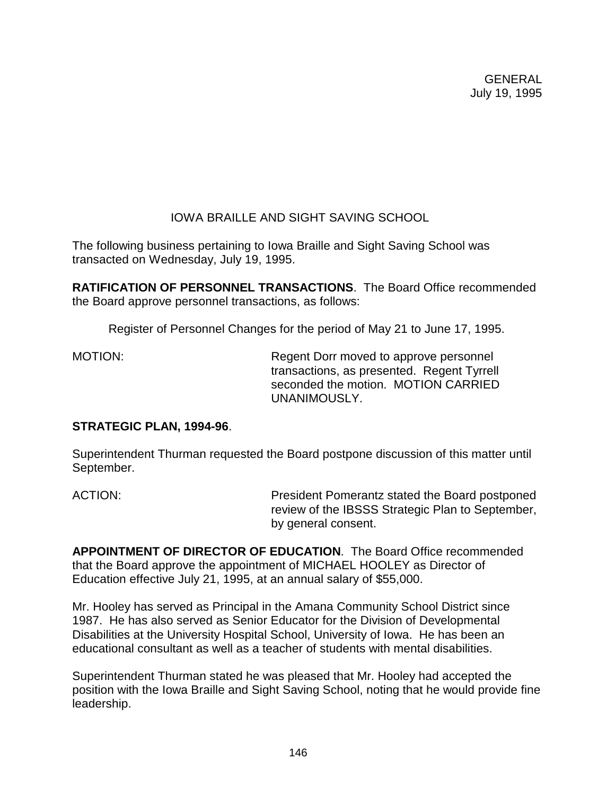# IOWA BRAILLE AND SIGHT SAVING SCHOOL

The following business pertaining to Iowa Braille and Sight Saving School was transacted on Wednesday, July 19, 1995.

**RATIFICATION OF PERSONNEL TRANSACTIONS**. The Board Office recommended the Board approve personnel transactions, as follows:

Register of Personnel Changes for the period of May 21 to June 17, 1995.

MOTION: Regent Dorr moved to approve personnel transactions, as presented. Regent Tyrrell seconded the motion. MOTION CARRIED UNANIMOUSLY.

# **STRATEGIC PLAN, 1994-96**.

Superintendent Thurman requested the Board postpone discussion of this matter until September.

ACTION: President Pomerantz stated the Board postponed review of the IBSSS Strategic Plan to September, by general consent.

**APPOINTMENT OF DIRECTOR OF EDUCATION**. The Board Office recommended that the Board approve the appointment of MICHAEL HOOLEY as Director of Education effective July 21, 1995, at an annual salary of \$55,000.

Mr. Hooley has served as Principal in the Amana Community School District since 1987. He has also served as Senior Educator for the Division of Developmental Disabilities at the University Hospital School, University of Iowa. He has been an educational consultant as well as a teacher of students with mental disabilities.

Superintendent Thurman stated he was pleased that Mr. Hooley had accepted the position with the Iowa Braille and Sight Saving School, noting that he would provide fine leadership.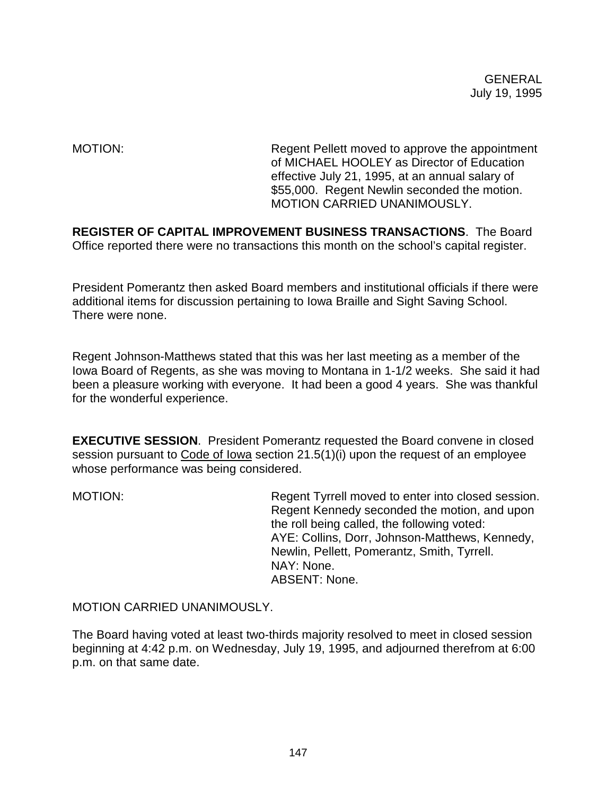MOTION: Regent Pellett moved to approve the appointment of MICHAEL HOOLEY as Director of Education effective July 21, 1995, at an annual salary of \$55,000. Regent Newlin seconded the motion. MOTION CARRIED UNANIMOUSLY.

**REGISTER OF CAPITAL IMPROVEMENT BUSINESS TRANSACTIONS**. The Board Office reported there were no transactions this month on the school's capital register.

President Pomerantz then asked Board members and institutional officials if there were additional items for discussion pertaining to Iowa Braille and Sight Saving School. There were none.

Regent Johnson-Matthews stated that this was her last meeting as a member of the Iowa Board of Regents, as she was moving to Montana in 1-1/2 weeks. She said it had been a pleasure working with everyone. It had been a good 4 years. She was thankful for the wonderful experience.

**EXECUTIVE SESSION**. President Pomerantz requested the Board convene in closed session pursuant to Code of Iowa section 21.5(1)(i) upon the request of an employee whose performance was being considered.

MOTION: Regent Tyrrell moved to enter into closed session. Regent Kennedy seconded the motion, and upon the roll being called, the following voted: AYE: Collins, Dorr, Johnson-Matthews, Kennedy, Newlin, Pellett, Pomerantz, Smith, Tyrrell. NAY: None. ABSENT: None.

MOTION CARRIED UNANIMOUSLY.

The Board having voted at least two-thirds majority resolved to meet in closed session beginning at 4:42 p.m. on Wednesday, July 19, 1995, and adjourned therefrom at 6:00 p.m. on that same date.